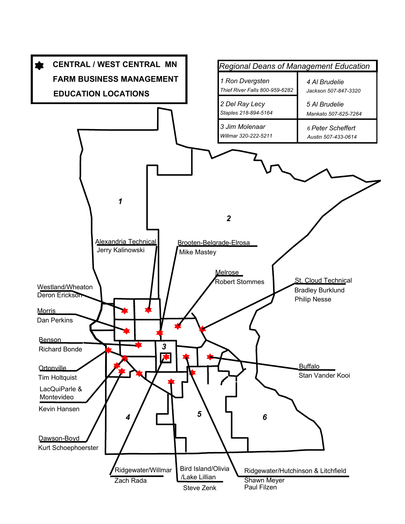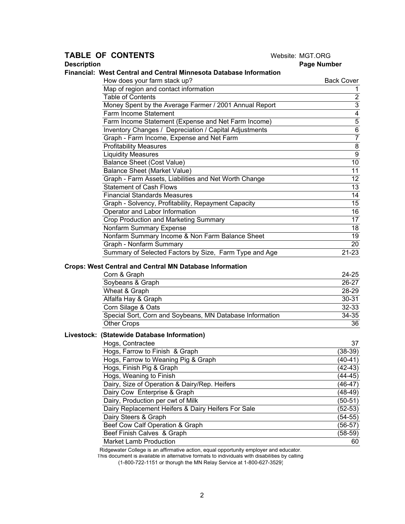## **TABLE OF CONTENTS** Website: MGT.ORG **Description** Page Number

#### **Financial: West Central and Central Minnesota Database Information**

| How does your farm stack up?                           | <b>Back Cover</b> |
|--------------------------------------------------------|-------------------|
| Map of region and contact information                  |                   |
| <b>Table of Contents</b>                               | 2                 |
| Money Spent by the Average Farmer / 2001 Annual Report | 3                 |
| Farm Income Statement                                  | 4                 |
| Farm Income Statement (Expense and Net Farm Income)    | 5                 |
| Inventory Changes / Depreciation / Capital Adjustments | 6                 |
| Graph - Farm Income, Expense and Net Farm              | $\overline{7}$    |
| <b>Profitability Measures</b>                          | 8                 |
| <b>Liquidity Measures</b>                              | 9                 |
| Balance Sheet (Cost Value)                             | 10                |
| <b>Balance Sheet (Market Value)</b>                    | 11                |
| Graph - Farm Assets, Liabilities and Net Worth Change  | 12                |
| <b>Statement of Cash Flows</b>                         | 13                |
| <b>Financial Standards Measures</b>                    | 14                |
| Graph - Solvency, Profitability, Repayment Capacity    | 15                |
| Operator and Labor Information                         | 16                |
| Crop Production and Marketing Summary                  | 17                |
| Nonfarm Summary Expense                                | 18                |
| Nonfarm Summary Income & Non Farm Balance Sheet        | 19                |
| Graph - Nonfarm Summary                                | 20                |
| Summary of Selected Factors by Size, Farm Type and Age | $21 - 23$         |

#### **Crops: West Central and Central MN Database Information**

| Corn & Graph                                             | $24 - 25$ |
|----------------------------------------------------------|-----------|
| Soybeans & Graph                                         | $26 - 27$ |
| Wheat & Graph                                            | 28-29     |
| Alfalfa Hay & Graph                                      | $30 - 31$ |
| Corn Silage & Oats                                       | $32 - 33$ |
| Special Sort, Corn and Soybeans, MN Database Information | 34-35     |
| <b>Other Crops</b>                                       | 36        |

### **Livestock: (Statewide Database Information)**

| Hogs, Contractee                                   | 37        |
|----------------------------------------------------|-----------|
| Hogs, Farrow to Finish & Graph                     | $(38-39)$ |
| Hogs, Farrow to Weaning Pig & Graph                | $(40-41)$ |
| Hogs, Finish Pig & Graph                           | (42-43)   |
| Hogs, Weaning to Finish                            | $(44-45)$ |
| Dairy, Size of Operation & Dairy/Rep. Heifers      | $(46-47)$ |
| Dairy Cow Enterprise & Graph                       | (48-49)   |
| Dairy, Production per cwt of Milk                  | $(50-51)$ |
| Dairy Replacement Heifers & Dairy Heifers For Sale | $(52-53)$ |
| Dairy Steers & Graph                               | $(54-55)$ |
| Beef Cow Calf Operation & Graph                    | $(56-57)$ |
| Beef Finish Calves & Graph                         | (58-59)   |
| <b>Market Lamb Production</b>                      | 60        |

Ridgewater College is an affirmative action, equal opportunity employer and educator.

This document is available in alternative formats to individuals with disabilities by calling

(1-800-722-1151 or thorugh the MN Relay Service at 1-800-627-3529)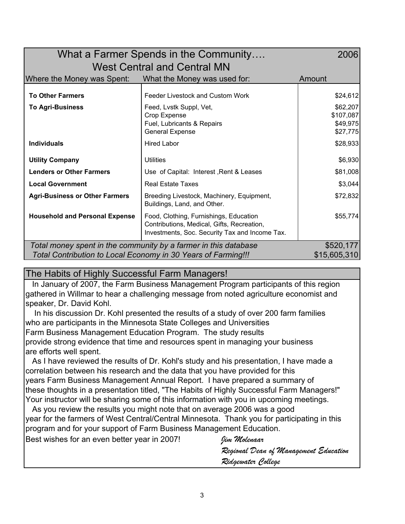| What a Farmer Spends in the Community<br>2006                                 |                                                                                                                                        |                                               |  |  |  |  |  |
|-------------------------------------------------------------------------------|----------------------------------------------------------------------------------------------------------------------------------------|-----------------------------------------------|--|--|--|--|--|
| <b>West Central and Central MN</b>                                            |                                                                                                                                        |                                               |  |  |  |  |  |
| Where the Money was Spent:                                                    | What the Money was used for:                                                                                                           | Amount                                        |  |  |  |  |  |
| <b>To Other Farmers</b>                                                       | Feeder Livestock and Custom Work                                                                                                       | \$24,612                                      |  |  |  |  |  |
| <b>To Agri-Business</b>                                                       | Feed, Lvstk Suppl, Vet,<br>Crop Expense<br>Fuel, Lubricants & Repairs<br><b>General Expense</b>                                        | \$62,207<br>\$107,087<br>\$49,975<br>\$27,775 |  |  |  |  |  |
| <b>Individuals</b>                                                            | <b>Hired Labor</b>                                                                                                                     | \$28,933                                      |  |  |  |  |  |
| <b>Utility Company</b>                                                        | <b>Utilities</b>                                                                                                                       | \$6,930                                       |  |  |  |  |  |
| <b>Lenders or Other Farmers</b>                                               | Use of Capital: Interest, Rent & Leases                                                                                                | \$81,008                                      |  |  |  |  |  |
| <b>Local Government</b>                                                       | <b>Real Estate Taxes</b>                                                                                                               | \$3,044                                       |  |  |  |  |  |
| <b>Agri-Business or Other Farmers</b>                                         | Breeding Livestock, Machinery, Equipment,<br>Buildings, Land, and Other.                                                               | \$72,832                                      |  |  |  |  |  |
| <b>Household and Personal Expense</b>                                         | Food, Clothing, Furnishings, Education<br>Contributions, Medical, Gifts, Recreation,<br>Investments, Soc. Security Tax and Income Tax. | \$55,774                                      |  |  |  |  |  |
| Total money spent in the community by a farmer in this database               | \$520,177                                                                                                                              |                                               |  |  |  |  |  |
| \$15,605,310<br>Total Contribution to Local Economy in 30 Years of Farming!!! |                                                                                                                                        |                                               |  |  |  |  |  |

# The Habits of Highly Successful Farm Managers!

 In January of 2007, the Farm Business Management Program participants of this region gathered in Willmar to hear a challenging message from noted agriculture economist and speaker, Dr. David Kohl.

 In his discussion Dr. Kohl presented the results of a study of over 200 farm families who are participants in the Minnesota State Colleges and Universities Farm Business Management Education Program. The study results provide strong evidence that time and resources spent in managing your business are efforts well spent.

 As I have reviewed the results of Dr. Kohl's study and his presentation, I have made a correlation between his research and the data that you have provided for this years Farm Business Management Annual Report. I have prepared a summary of these thoughts in a presentation titled, "The Habits of Highly Successful Farm Managers!" Your instructor will be sharing some of this information with you in upcoming meetings.

 As you review the results you might note that on average 2006 was a good year for the farmers of West Central/Central Minnesota. Thank you for participating in this program and for your support of Farm Business Management Education.

Best wishes for an even better year in 2007! *Jim Molenaar Regional Dean of Management Education Ridgewater College*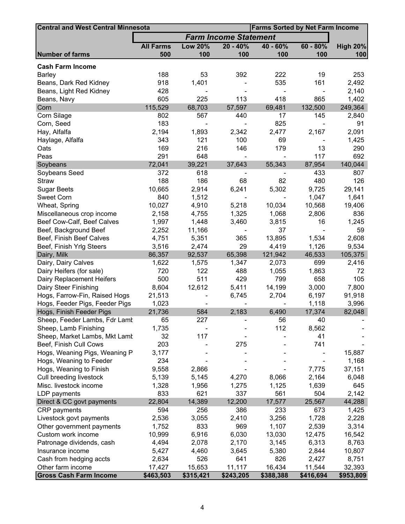| <b>Central and West Central Minnesota</b> | <b>Farms Sorted by Net Farm Income</b> |                |                              |            |            |                 |
|-------------------------------------------|----------------------------------------|----------------|------------------------------|------------|------------|-----------------|
|                                           |                                        |                | <b>Farm Income Statement</b> |            |            |                 |
|                                           | <b>All Farms</b>                       | <b>Low 20%</b> | $20 - 40%$                   | $40 - 60%$ | $60 - 80%$ | <b>High 20%</b> |
| <b>Number of farms</b>                    | 500                                    | 100            | 100                          | 100        | 100        | 100             |
| <b>Cash Farm Income</b>                   |                                        |                |                              |            |            |                 |
| <b>Barley</b>                             | 188                                    | 53             | 392                          | 222        | 19         | 253             |
| Beans, Dark Red Kidney                    | 918                                    | 1,401          |                              | 535        | 161        | 2,492           |
| Beans, Light Red Kidney                   | 428                                    |                |                              |            |            | 2,140           |
| Beans, Navy                               | 605                                    | 225            | 113                          | 418        | 865        | 1,402           |
| Corn                                      | 115,529                                | 68,703         | 57,597                       | 69,481     | 132,500    | 249,364         |
| Corn Silage                               | 802                                    | 567            | 440                          | 17         | 145        | 2,840           |
| Corn, Seed                                | 183                                    |                |                              | 825        |            | 91              |
| Hay, Alfalfa                              | 2,194                                  | 1,893          | 2,342                        | 2,477      | 2,167      | 2,091           |
| Haylage, Alfalfa                          | 343                                    | 121            | 100                          | 69         |            | 1,425           |
| Oats                                      | 169                                    | 216            | 146                          | 179        | 13         | 290             |
| Peas                                      | 291                                    | 648            |                              |            | 117        | 692             |
| Soybeans                                  | 72,041                                 | 39,221         | 37,643                       | 55,343     | 87,954     | 140,044         |
| Soybeans Seed                             | 372                                    | 618            |                              |            | 433        | 807             |
| <b>Straw</b>                              | 188                                    | 186            | 68                           | 82         | 480        | 126             |
| <b>Sugar Beets</b>                        | 10,665                                 | 2,914          | 6,241                        | 5,302      | 9,725      | 29,141          |
| Sweet Corn                                | 840                                    | 1,512          |                              |            | 1,047      | 1,641           |
| Wheat, Spring                             | 10,027                                 | 4,910          | 5,218                        | 10,034     | 10,568     | 19,406          |
| Miscellaneous crop income                 | 2,158                                  | 4,755          | 1,325                        | 1,068      | 2,806      | 836             |
| Beef Cow-Calf, Beef Calves                | 1,997                                  | 1,448          | 3,460                        | 3,815      | 16         | 1,245           |
| Beef, Background Beef                     | 2,252                                  | 11,166         |                              | 37         |            | 59              |
| Beef, Finish Beef Calves                  | 4,751                                  | 5,351          | 365                          | 13,895     | 1,534      | 2,608           |
| Beef, Finish Yrlg Steers                  | 3,516                                  | 2,474          | 29                           | 4,419      | 1,126      | 9,534           |
| Dairy, Milk                               | 86,357                                 | 92,537         | 65,398                       | 121,942    | 46,533     | 105,375         |
| Dairy, Dairy Calves                       | 1,622                                  | 1,575          | 1,347                        | 2,073      | 699        | 2,416           |
| Dairy Heifers (for sale)                  | 720                                    | 122            | 488                          | 1,055      | 1,863      | 72              |
| Dairy Replacement Heifers                 | 500                                    | 511            | 429                          | 799        | 658        | 105             |
| Dairy Steer Finishing                     | 8,604                                  | 12,612         | 5,411                        | 14,199     | 3,000      | 7,800           |
| Hogs, Farrow-Fin, Raised Hogs             | 21,513                                 |                | 6,745                        | 2,704      | 6,197      | 91,918          |
| Hogs, Feeder Pigs, Feeder Pigs            | 1,023                                  |                |                              |            | 1,118      | 3,996           |
| Hogs, Finish Feeder Pigs                  | 21,736                                 | 584            | 2,183                        | 6,490      | 17,374     | 82,048          |
| Sheep, Feeder Lambs, Fdr Lamt             | 65                                     | 227            |                              | 56         | 40         |                 |
| Sheep, Lamb Finishing                     | 1,735                                  |                |                              | 112        | 8,562      |                 |
| Sheep, Market Lambs, Mkt Lamt             | 32                                     | 117            |                              |            | 41         |                 |
| Beef, Finish Cull Cows                    | 203                                    |                | 275                          |            | 741        |                 |
| Hogs, Weaning Pigs, Weaning P             | 3,177                                  |                |                              |            |            | 15,887          |
| Hogs, Weaning to Feeder                   | 234                                    |                |                              |            |            | 1,168           |
| Hogs, Weaning to Finish                   | 9,558                                  | 2,866          |                              |            | 7,775      | 37,151          |
| Cull breeding livestock                   | 5,139                                  | 5,145          | 4,270                        | 8,066      | 2,164      | 6,048           |
| Misc. livestock income                    | 1,328                                  | 1,956          | 1,275                        | 1,125      | 1,639      | 645             |
| LDP payments                              | 833                                    | 621            | 337                          | 561        | 504        | 2,142           |
| Direct & CC govt payments                 | 22,804                                 | 14,389         | 12,200                       | 17,577     | 25,567     | 44,288          |
| CRP payments                              | 594                                    | 256            | 386                          | 233        | 673        | 1,425           |
| Livestock govt payments                   | 2,536                                  | 3,055          | 2,410                        | 3,256      | 1,728      | 2,228           |
| Other government payments                 | 1,752                                  | 833            | 969                          | 1,107      | 2,539      | 3,314           |
| Custom work income                        | 10,999                                 | 6,916          | 6,030                        | 13,030     | 12,475     | 16,542          |
| Patronage dividends, cash                 | 4,494                                  | 2,078          | 2,170                        | 3,145      | 6,313      | 8,763           |
| Insurance income                          | 5,427                                  | 4,460          | 3,645                        | 5,380      | 2,844      | 10,807          |
| Cash from hedging accts                   | 2,634                                  | 526            | 641                          | 826        | 2,427      | 8,751           |
| Other farm income                         | 17,427                                 | 15,653         | 11,117                       | 16,434     | 11,544     | 32,393          |
| <b>Gross Cash Farm Income</b>             | \$463,503                              | \$315,421      | \$243,205                    | \$388,388  | \$416,694  | \$953,809       |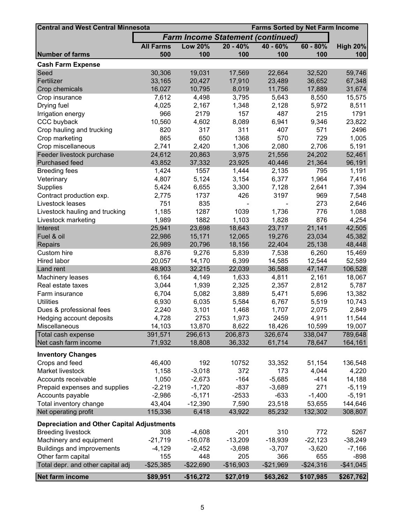| <b>Central and West Central Minnesota</b>         | <b>Farms Sorted by Net Farm Income</b> |                |            |                                          |              |                 |
|---------------------------------------------------|----------------------------------------|----------------|------------|------------------------------------------|--------------|-----------------|
|                                                   |                                        |                |            | <b>Farm Income Statement (continued)</b> |              |                 |
|                                                   | <b>All Farms</b>                       | <b>Low 20%</b> | $20 - 40%$ | $40 - 60%$                               | $60 - 80%$   | <b>High 20%</b> |
| <b>Number of farms</b>                            | 500                                    | 100            | 100        | 100                                      | 100          | 100             |
| <b>Cash Farm Expense</b>                          |                                        |                |            |                                          |              |                 |
| Seed                                              | 30,306                                 | 19,031         | 17,569     | 22,664                                   | 32,520       | 59,746          |
| Fertilizer                                        | 33,165                                 | 20,427         | 17,910     | 23,489                                   | 36,652       | 67,348          |
| Crop chemicals                                    | 16,027                                 | 10,795         | 8,019      | 11,756                                   | 17,889       | 31,674          |
| Crop insurance                                    | 7,612                                  | 4,498          | 3,795      | 5,643                                    | 8,550        | 15,575          |
| Drying fuel                                       | 4,025                                  | 2,167          | 1,348      | 2,128                                    | 5,972        | 8,511           |
| Irrigation energy                                 | 966                                    | 2179           | 157        | 487                                      | 215          | 1791            |
| CCC buyback                                       | 10,560                                 | 4,602          | 8,089      | 6,941                                    | 9,346        | 23,822          |
| Crop hauling and trucking                         | 820                                    | 317            | 311        | 407                                      | 571          | 2496            |
| Crop marketing                                    | 865                                    | 650            | 1368       | 570                                      | 729          | 1,005           |
| Crop miscellaneous                                | 2,741                                  | 2,420          | 1,306      | 2,080                                    | 2,706        | 5,191           |
| Feeder livestock purchase                         | 24,612                                 | 20,863         | 3,975      | 21,556                                   | 24,202       | 52,461          |
| Purchased feed                                    | 43,852                                 | 37,332         | 23,925     | 40,446                                   | 21,364       | 96,191          |
| <b>Breeding fees</b>                              | 1,424                                  | 1557           | 1,444      | 2,135                                    | 795          | 1,191           |
| Veterinary                                        | 4,807                                  | 5,124          | 3,154      | 6,377                                    | 1,964        | 7,416           |
| Supplies                                          | 5,424                                  | 6,655          | 3,300      | 7,128                                    | 2,641        | 7,394           |
| Contract production exp.                          | 2,775                                  | 1737           | 426        | 3197                                     | 969          | 7,548           |
| Livestock leases                                  | 751                                    | 835            |            |                                          | 273          | 2,646           |
| Livestock hauling and trucking                    | 1,185                                  | 1287           | 1039       | 1,736                                    | 776          | 1,088           |
| Livestock marketing                               | 1,989                                  | 1882           | 1,103      | 1,828                                    | 876          | 4,254           |
| Interest                                          | 25,941                                 | 23,698         | 18,643     | 23,717                                   | 21,141       | 42,505          |
| Fuel & oil                                        | 22,986                                 | 15,171         | 12,065     | 19,276                                   | 23,034       | 45,382          |
| Repairs                                           | 26,989                                 | 20,796         | 18,156     | 22,404                                   | 25,138       | 48,448          |
| Custom hire                                       | 8,876                                  | 9,276          | 5,839      | 7,538                                    | 6,260        | 15,469          |
| Hired labor                                       | 20,057                                 | 14,170         | 6,399      | 14,585                                   | 12,544       | 52,589          |
| Land rent                                         | 48,903                                 | 32,215         | 22,039     | 36,588                                   | 47,147       | 106,528         |
| Machinery leases                                  | 6,164                                  | 4,149          | 1,633      | 4,811                                    | 2,161        | 18,067          |
| Real estate taxes                                 | 3,044                                  | 1,939          | 2,325      | 2,357                                    | 2,812        | 5,787           |
| Farm insurance                                    | 6,704                                  | 5,082          | 3,889      | 5,471                                    | 5,696        | 13,382          |
| <b>Utilities</b>                                  | 6,930                                  | 6,035          | 5,584      | 6,767                                    | 5,519        | 10,743          |
| Dues & professional fees                          | 2,240                                  | 3,101          | 1,468      | 1,707                                    | 2,075        | 2,849           |
| Hedging account deposits                          | 4,728                                  | 2753           | 1,973      | 2459                                     | 4,911        | 11,544          |
| Miscellaneous                                     | 14,103                                 | 13,870         | 8,622      | 18,426                                   | 10,599       | 19,007          |
| Total cash expense                                | 391,571                                | 296,613        | 206,873    | 326,674                                  | 338,047      | 789,648         |
| Net cash farm income                              | 71,932                                 | 18,808         | 36,332     | 61,714                                   | 78,647       | 164,161         |
| <b>Inventory Changes</b>                          |                                        |                |            |                                          |              |                 |
| Crops and feed                                    | 46,400                                 | 192            | 10752      | 33,352                                   | 51,154       | 136,548         |
| Market livestock                                  | 1,158                                  | $-3,018$       | 372        | 173                                      | 4,044        | 4,220           |
| Accounts receivable                               | 1,050                                  | $-2,673$       | $-164$     | $-5,685$                                 | $-414$       | 14,188          |
| Prepaid expenses and supplies                     | $-2,219$                               | $-1,720$       | $-837$     | $-3,689$                                 | 271          | $-5,119$        |
| Accounts payable                                  | $-2,986$                               | $-5,171$       | $-2533$    | $-633$                                   | $-1,400$     | $-5,191$        |
| Total inventory change                            | 43,404                                 | $-12,390$      | 7,590      | 23,518                                   | 53,655       | 144,646         |
| Net operating profit                              | 115,336                                | 6,418          | 43,922     | 85,232                                   | 132,302      | 308,807         |
| <b>Depreciation and Other Capital Adjustments</b> |                                        |                |            |                                          |              |                 |
| <b>Breeding livestock</b>                         | 308                                    | $-4,608$       | $-201$     | 310                                      | 772          | 5267            |
| Machinery and equipment                           | $-21,719$                              | $-16,078$      | $-13,209$  | $-18,939$                                | $-22,123$    | $-38,249$       |
| Buildings and improvements                        | $-4,129$                               | $-2,452$       | $-3,698$   | $-3,707$                                 | $-3,620$     | $-7,166$        |
| Other farm capital                                | 155                                    | 448            | 205        | 366                                      | 655          | -898            |
| Total depr. and other capital adj                 | $-$ \$25,385                           | $-$22,690$     | $-$16,903$ | $-$21,969$                               | $-$ \$24,316 | $-$41,045$      |
| Net farm income                                   | \$89,951                               | $-$16,272$     | \$27,019   | \$63,262                                 | \$107,985    | \$267,762       |
|                                                   |                                        |                |            |                                          |              |                 |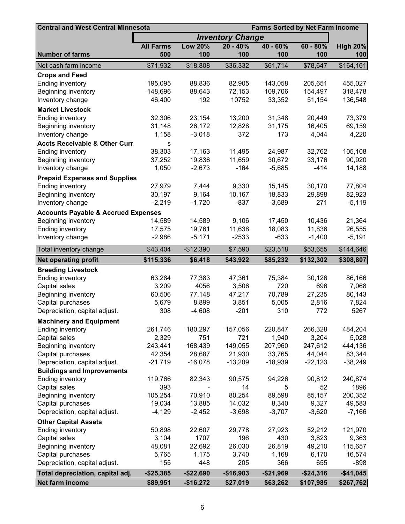| <b>Central and West Central Minnesota</b>      | <b>Farms Sorted by Net Farm Income</b> |                |                         |            |            |                 |
|------------------------------------------------|----------------------------------------|----------------|-------------------------|------------|------------|-----------------|
|                                                |                                        |                | <b>Inventory Change</b> |            |            |                 |
|                                                | <b>All Farms</b>                       | <b>Low 20%</b> | $20 - 40%$              | $40 - 60%$ | $60 - 80%$ | <b>High 20%</b> |
| <b>Number of farms</b>                         | 500                                    | 100            | 100                     | 100        | 100        | 100             |
| Net cash farm income                           | \$71,932                               | \$18,808       | \$36,332                | \$61,714   | \$78,647   | \$164,161       |
| <b>Crops and Feed</b>                          |                                        |                |                         |            |            |                 |
| Ending inventory                               | 195,095                                | 88,836         | 82,905                  | 143,058    | 205,651    | 455,027         |
| Beginning inventory                            | 148,696                                | 88,643         | 72,153                  | 109,706    | 154,497    | 318,478         |
| Inventory change                               | 46,400                                 | 192            | 10752                   | 33,352     | 51,154     | 136,548         |
| <b>Market Livestock</b>                        |                                        |                |                         |            |            |                 |
| <b>Ending inventory</b>                        | 32,306                                 | 23,154         | 13,200                  | 31,348     | 20,449     | 73,379          |
| Beginning inventory                            | 31,148                                 | 26,172         | 12,828                  | 31,175     | 16,405     | 69,159          |
| Inventory change                               | 1,158                                  | $-3,018$       | 372                     | 173        | 4,044      | 4,220           |
| <b>Accts Receivable &amp; Other Curr</b>       | s                                      |                |                         |            |            |                 |
| <b>Ending inventory</b>                        | 38,303                                 | 17,163         | 11,495                  | 24,987     | 32,762     | 105,108         |
| Beginning inventory                            | 37,252                                 | 19,836         | 11,659                  | 30,672     | 33,176     | 90,920          |
| Inventory change                               | 1,050                                  | $-2,673$       | $-164$                  | $-5,685$   | $-414$     | 14,188          |
| <b>Prepaid Expenses and Supplies</b>           |                                        |                |                         |            |            |                 |
| Ending inventory                               | 27,979                                 | 7,444          | 9,330                   | 15,145     | 30,170     | 77,804          |
| Beginning inventory                            | 30,197                                 | 9,164          | 10,167                  | 18,833     | 29,898     | 82,923          |
| Inventory change                               | $-2,219$                               | $-1,720$       | $-837$                  | $-3,689$   | 271        | $-5,119$        |
| <b>Accounts Payable &amp; Accrued Expenses</b> |                                        |                |                         |            |            |                 |
| <b>Beginning inventory</b>                     | 14,589                                 | 14,589         | 9,106                   | 17,450     | 10,436     | 21,364          |
| Ending inventory                               | 17,575                                 | 19,761         | 11,638                  | 18,083     | 11,836     | 26,555          |
| Inventory change                               | $-2,986$                               | $-5,171$       | $-2533$                 | $-633$     | $-1,400$   | $-5,191$        |
| Total inventory change                         | \$43,404                               | $-$12,390$     | \$7,590                 | \$23,518   | \$53,655   | \$144,646       |
| <b>Net operating profit</b>                    | \$115,336                              | \$6,418        | \$43,922                | \$85,232   | \$132,302  | \$308,807       |
| <b>Breeding Livestock</b>                      |                                        |                |                         |            |            |                 |
| Ending inventory                               | 63,284                                 | 77,383         | 47,361                  | 75,384     | 30,126     | 86,166          |
| Capital sales                                  | 3,209                                  | 4056           | 3,506                   | 720        | 696        | 7,068           |
| Beginning inventory                            | 60,506                                 | 77,148         | 47,217                  | 70,789     | 27,235     | 80,143          |
| Capital purchases                              | 5,679                                  | 8,899          | 3,851                   | 5,005      | 2,816      | 7,824           |
| Depreciation, capital adjust.                  | 308                                    | $-4,608$       | $-201$                  | 310        | 772        | 5267            |
| <b>Machinery and Equipment</b>                 |                                        |                |                         |            |            |                 |
| <b>Ending inventory</b>                        | 261,746                                | 180,297        | 157,056                 | 220,847    | 266,328    | 484,204         |
| Capital sales                                  | 2,329                                  | 751            | 721                     | 1,940      | 3,204      | 5,028           |
| Beginning inventory                            | 243,441                                | 168,439        | 149,055                 | 207,960    | 247,612    | 444,136         |
| Capital purchases                              | 42,354                                 | 28,687         | 21,930                  | 33,765     | 44,044     | 83,344          |
| Depreciation, capital adjust.                  | $-21,719$                              | $-16,078$      | $-13,209$               | $-18,939$  | $-22,123$  | $-38,249$       |
| <b>Buildings and Improvements</b>              |                                        |                |                         |            |            |                 |
| Ending inventory                               | 119,766                                | 82,343         | 90,575                  | 94,226     | 90,812     | 240,874         |
| Capital sales                                  | 393                                    |                | 14                      | 5          | 52         | 1896            |
| Beginning inventory                            | 105,254                                | 70,910         | 80,254                  | 89,598     | 85,157     | 200,352         |
| Capital purchases                              | 19,034                                 | 13,885         | 14,032                  | 8,340      | 9,327      | 49,583          |
| Depreciation, capital adjust.                  | $-4,129$                               | $-2,452$       | $-3,698$                | $-3,707$   | $-3,620$   | $-7,166$        |
| <b>Other Capital Assets</b>                    |                                        |                |                         |            |            |                 |
| <b>Ending inventory</b>                        | 50,898                                 | 22,607         | 29,778                  | 27,923     | 52,212     | 121,970         |
| Capital sales                                  | 3,104                                  | 1707           | 196                     | 430        | 3,823      | 9,363           |
| Beginning inventory                            | 48,081                                 | 22,692         | 26,030                  | 26,819     | 49,210     | 115,657         |
| Capital purchases                              | 5,765                                  | 1,175          | 3,740                   | 1,168      | 6,170      | 16,574          |
| Depreciation, capital adjust.                  | 155                                    | 448            | 205                     | 366        | 655        | $-898$          |
| Total depreciation, capital adj.               | $-$25,385$                             | $-$22,690$     | $-$16,903$              | $-$21,969$ | $-$24,316$ | $-$41,045$      |
| Net farm income                                | \$89,951                               | $-$16,272$     | \$27,019                | \$63,262   | \$107,985  | \$267,762       |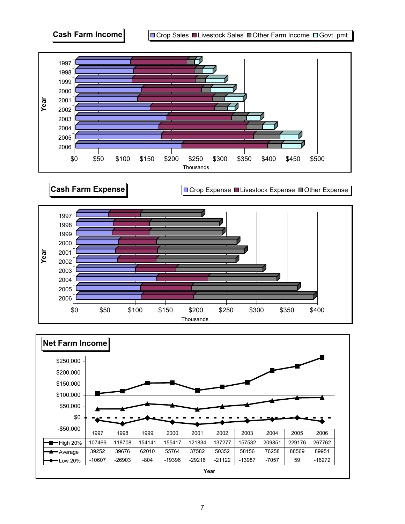

**Cash Farm Expense Cash Farm Expense** 



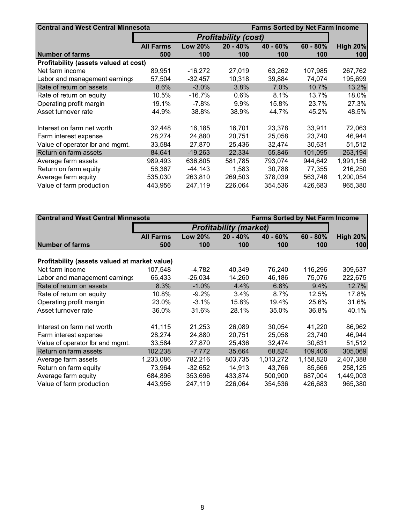| <b>Central and West Central Minnesota</b> |                  |                | <b>Farms Sorted by Net Farm Income</b> |            |            |                 |
|-------------------------------------------|------------------|----------------|----------------------------------------|------------|------------|-----------------|
|                                           |                  |                |                                        |            |            |                 |
|                                           | <b>All Farms</b> | <b>Low 20%</b> | $20 - 40%$                             | $40 - 60%$ | $60 - 80%$ | <b>High 20%</b> |
| <b>INumber of farms</b>                   | 500              | 100            | 100                                    | 100        | 100        | 100             |
| Profitability (assets valued at cost)     |                  |                |                                        |            |            |                 |
| Net farm income                           | 89,951           | $-16,272$      | 27,019                                 | 63,262     | 107,985    | 267,762         |
| Labor and management earnings             | 57,504           | $-32,457$      | 10,318                                 | 39,884     | 74,074     | 195,699         |
| Rate of return on assets                  | 8.6%             | $-3.0\%$       | 3.8%                                   | 7.0%       | 10.7%      | 13.2%           |
| Rate of return on equity                  | 10.5%            | $-16.7%$       | 0.6%                                   | 8.1%       | 13.7%      | 18.0%           |
| Operating profit margin                   | 19.1%            | $-7.8%$        | 9.9%                                   | 15.8%      | 23.7%      | 27.3%           |
| Asset turnover rate                       | 44.9%            | 38.8%          | 38.9%                                  | 44.7%      | 45.2%      | 48.5%           |
| Interest on farm net worth                | 32,448           | 16,185         | 16,701                                 | 23,378     | 33,911     | 72,063          |
| Farm interest expense                     | 28,274           | 24,880         | 20,751                                 | 25,058     | 23,740     | 46,944          |
| Value of operator Ibr and mgmt.           | 33,584           | 27,870         | 25,436                                 | 32,474     | 30,631     | 51,512          |
| Return on farm assets                     | 84,641           | $-19,263$      | 22,334                                 | 55,846     | 101,095    | 263,194         |
| Average farm assets                       | 989,493          | 636,805        | 581,785                                | 793.074    | 944,642    | 1,991,156       |
| Return on farm equity                     | 56.367           | $-44,143$      | 1,583                                  | 30,788     | 77,355     | 216,250         |
| Average farm equity                       | 535,030          | 263,810        | 269,503                                | 378,039    | 563,746    | 1,200,054       |
| Value of farm production                  | 443,956          | 247,119        | 226,064                                | 354,536    | 426,683    | 965,380         |

| <b>Central and West Central Minnesota</b>     |                  |                               |            | <b>Farms Sorted by Net Farm Income</b> |            |                 |  |  |
|-----------------------------------------------|------------------|-------------------------------|------------|----------------------------------------|------------|-----------------|--|--|
|                                               |                  | <b>Profitability (market)</b> |            |                                        |            |                 |  |  |
|                                               | <b>All Farms</b> | <b>Low 20%</b>                | $20 - 40%$ | $40 - 60%$                             | $60 - 80%$ | <b>High 20%</b> |  |  |
| <b>Number of farms</b>                        | 500              | 100                           | 100        | 100                                    | 100        | 100             |  |  |
|                                               |                  |                               |            |                                        |            |                 |  |  |
| Profitability (assets valued at market value) |                  |                               |            |                                        |            |                 |  |  |
| Net farm income                               | 107,548          | -4,782                        | 40,349     | 76,240                                 | 116,296    | 309,637         |  |  |
| Labor and management earnings                 | 66,433           | $-26,034$                     | 14,260     | 46,186                                 | 75,076     | 222,675         |  |  |
| Rate of return on assets                      | 8.3%             | $-1.0%$                       | 4.4%       | 6.8%                                   | 9.4%       | 12.7%           |  |  |
| Rate of return on equity                      | 10.8%            | $-9.2\%$                      | 3.4%       | 8.7%                                   | 12.5%      | 17.8%           |  |  |
| Operating profit margin                       | 23.0%            | $-3.1%$                       | 15.8%      | 19.4%                                  | 25.6%      | 31.6%           |  |  |
| Asset turnover rate                           | 36.0%            | 31.6%                         | 28.1%      | 35.0%                                  | 36.8%      | 40.1%           |  |  |
| Interest on farm net worth                    | 41,115           | 21,253                        | 26,089     | 30,054                                 | 41,220     | 86,962          |  |  |
| Farm interest expense                         | 28,274           | 24,880                        | 20,751     | 25,058                                 | 23,740     | 46,944          |  |  |
| Value of operator Ibr and mgmt.               | 33,584           | 27,870                        | 25,436     | 32,474                                 | 30,631     | 51,512          |  |  |
| Return on farm assets                         | 102,238          | $-7,772$                      | 35,664     | 68,824                                 | 109,406    | 305,069         |  |  |
| Average farm assets                           | 1,233,086        | 782,216                       | 803,735    | 1,013,272                              | 1,158,820  | 2,407,388       |  |  |
| Return on farm equity                         | 73,964           | $-32,652$                     | 14,913     | 43,766                                 | 85,666     | 258,125         |  |  |
| Average farm equity                           | 684,896          | 353,696                       | 433,874    | 500,900                                | 687,004    | 1,449,003       |  |  |
| Value of farm production                      | 443,956          | 247,119                       | 226,064    | 354,536                                | 426,683    | 965,380         |  |  |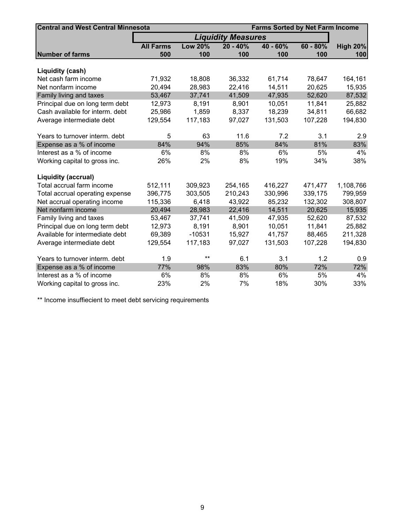| <b>Central and West Central Minnesota</b> | <b>Farms Sorted by Net Farm Income</b> |                           |            |            |            |                 |
|-------------------------------------------|----------------------------------------|---------------------------|------------|------------|------------|-----------------|
|                                           |                                        | <b>Liquidity Measures</b> |            |            |            |                 |
|                                           | <b>All Farms</b>                       | <b>Low 20%</b>            | $20 - 40%$ | $40 - 60%$ | $60 - 80%$ | <b>High 20%</b> |
| <b>Number of farms</b>                    | 500                                    | 100                       | 100        | 100        | 100        | 100             |
|                                           |                                        |                           |            |            |            |                 |
| Liquidity (cash)                          |                                        |                           |            |            |            |                 |
| Net cash farm income                      | 71,932                                 | 18,808                    | 36,332     | 61,714     | 78,647     | 164,161         |
| Net nonfarm income                        | 20,494                                 | 28,983                    | 22,416     | 14,511     | 20,625     | 15,935          |
| Family living and taxes                   | 53,467                                 | 37,741                    | 41,509     | 47,935     | 52,620     | 87,532          |
| Principal due on long term debt           | 12,973                                 | 8,191                     | 8,901      | 10,051     | 11,841     | 25,882          |
| Cash available for interm. debt           | 25,986                                 | 1,859                     | 8,337      | 18,239     | 34,811     | 66,682          |
| Average intermediate debt                 | 129,554                                | 117,183                   | 97,027     | 131,503    | 107,228    | 194,830         |
|                                           |                                        |                           |            |            |            |                 |
| Years to turnover interm. debt            | 5                                      | 63                        | 11.6       | 7.2        | 3.1        | 2.9             |
| Expense as a % of income                  | 84%                                    | 94%                       | 85%        | 84%        | 81%        | 83%             |
| Interest as a % of income                 | 6%                                     | 8%                        | 8%         | 6%         | 5%         | 4%              |
| Working capital to gross inc.             | 26%                                    | 2%                        | 8%         | 19%        | 34%        | 38%             |
|                                           |                                        |                           |            |            |            |                 |
| <b>Liquidity (accrual)</b>                |                                        |                           |            |            |            |                 |
| Total accrual farm income                 | 512,111                                | 309,923                   | 254,165    | 416,227    | 471,477    | 1,108,766       |
| Total accrual operating expense           | 396,775                                | 303,505                   | 210,243    | 330,996    | 339,175    | 799,959         |
| Net accrual operating income              | 115,336                                | 6,418                     | 43,922     | 85,232     | 132,302    | 308,807         |
| Net nonfarm income                        | 20,494                                 | 28,983                    | 22,416     | 14,511     | 20,625     | 15,935          |
| Family living and taxes                   | 53,467                                 | 37,741                    | 41,509     | 47,935     | 52,620     | 87,532          |
| Principal due on long term debt           | 12,973                                 | 8,191                     | 8,901      | 10,051     | 11,841     | 25,882          |
| Available for intermediate debt           | 69,389                                 | $-10531$                  | 15,927     | 41,757     | 88,465     | 211,328         |
| Average intermediate debt                 | 129,554                                | 117,183                   | 97,027     | 131,503    | 107,228    | 194,830         |
|                                           |                                        |                           |            |            |            |                 |
| Years to turnover interm. debt            | 1.9                                    | $***$                     | 6.1        | 3.1        | 1.2        | 0.9             |
| Expense as a % of income                  | 77%                                    | 98%                       | 83%        | 80%        | 72%        | 72%             |
| Interest as a % of income                 | 6%                                     | 8%                        | 8%         | 6%         | 5%         | 4%              |
| Working capital to gross inc.             | 23%                                    | 2%                        | 7%         | 18%        | 30%        | 33%             |

\*\* Income insuffiecient to meet debt servicing requirements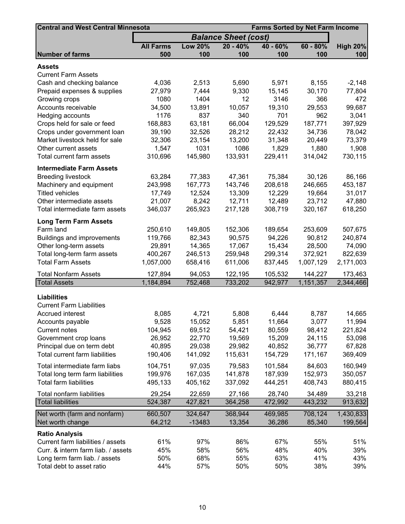| <b>Central and West Central Minnesota</b> |                  |                | <b>Farms Sorted by Net Farm Income</b> |          |            |                 |
|-------------------------------------------|------------------|----------------|----------------------------------------|----------|------------|-----------------|
|                                           |                  |                | <b>Balance Sheet (cost)</b>            |          |            |                 |
|                                           | <b>All Farms</b> | <b>Low 20%</b> | $20 - 40%$                             | 40 - 60% | $60 - 80%$ | <b>High 20%</b> |
| <b>Number of farms</b>                    | 500              | 100            | 100                                    | 100      | 100        | 100             |
| <b>Assets</b>                             |                  |                |                                        |          |            |                 |
| <b>Current Farm Assets</b>                |                  |                |                                        |          |            |                 |
| Cash and checking balance                 | 4,036            | 2,513          | 5,690                                  | 5,971    | 8,155      | $-2,148$        |
| Prepaid expenses & supplies               | 27,979           | 7,444          | 9,330                                  | 15,145   | 30,170     | 77,804          |
| Growing crops                             | 1080             | 1404           | 12                                     | 3146     | 366        | 472             |
| Accounts receivable                       | 34,500           | 13,891         | 10,057                                 | 19,310   | 29,553     | 99,687          |
| Hedging accounts                          | 1176             | 837            | 340                                    | 701      | 962        | 3,041           |
| Crops held for sale or feed               | 168,883          | 63,181         | 66,004                                 | 129,529  | 187,771    | 397,929         |
| Crops under government loan               | 39,190           | 32,526         | 28,212                                 | 22,432   | 34,736     | 78,042          |
| Market livestock held for sale            | 32,306           | 23,154         | 13,200                                 | 31,348   | 20,449     | 73,379          |
| Other current assets                      | 1,547            | 1031           | 1086                                   | 1,829    | 1,880      | 1,908           |
| Total current farm assets                 | 310,696          | 145,980        | 133,931                                | 229,411  | 314,042    | 730,115         |
| <b>Intermediate Farm Assets</b>           |                  |                |                                        |          |            |                 |
| <b>Breeding livestock</b>                 | 63,284           | 77,383         | 47,361                                 | 75,384   | 30,126     | 86,166          |
| Machinery and equipment                   | 243,998          | 167,773        | 143,746                                | 208,618  | 246,665    | 453,187         |
| <b>Titled vehicles</b>                    | 17,749           | 12,524         | 13,309                                 | 12,229   | 19,664     | 31,017          |
| Other intermediate assets                 | 21,007           | 8,242          | 12,711                                 | 12,489   | 23,712     | 47,880          |
| Total intermediate farm assets            | 346,037          | 265,923        | 217,128                                | 308,719  | 320,167    | 618,250         |
| <b>Long Term Farm Assets</b>              |                  |                |                                        |          |            |                 |
| Farm land                                 | 250,610          | 149,805        | 152,306                                | 189,654  | 253,609    | 507,675         |
| Buildings and improvements                | 119,766          | 82,343         | 90,575                                 | 94,226   | 90,812     | 240,874         |
| Other long-term assets                    | 29,891           | 14,365         | 17,067                                 | 15,434   | 28,500     | 74,090          |
| Total long-term farm assets               | 400,267          | 246,513        | 259,948                                | 299,314  | 372,921    | 822,639         |
| <b>Total Farm Assets</b>                  | 1,057,000        | 658,416        | 611,006                                | 837,445  | 1,007,129  | 2,171,003       |
| <b>Total Nonfarm Assets</b>               | 127,894          | 94,053         | 122,195                                | 105,532  | 144,227    | 173,463         |
| <b>Total Assets</b>                       | 1,184,894        | 752,468        | 733,202                                | 942,977  | 1,151,357  | 2,344,466       |
|                                           |                  |                |                                        |          |            |                 |
| <b>Liabilities</b>                        |                  |                |                                        |          |            |                 |
| <b>Current Farm Liabilities</b>           |                  |                |                                        |          |            |                 |
| Accrued interest                          | 8,085            | 4,721          | 5,808                                  | 6,444    | 8,787      | 14,665          |
| Accounts payable                          | 9,528            | 15,052         | 5,851                                  | 11,664   | 3,077      | 11,994          |
| <b>Current notes</b>                      | 104,945          | 69,512         | 54,421                                 | 80,559   | 98,412     | 221,824         |
| Government crop loans                     | 26,952           | 22,770         | 19,569                                 | 15,209   | 24,115     | 53,098          |
| Principal due on term debt                | 40,895           | 29,038         | 29,982                                 | 40,852   | 36,777     | 67,828          |
| Total current farm liabilities            | 190,406          | 141,092        | 115,631                                | 154,729  | 171,167    | 369,409         |
| Total intermediate farm liabs             | 104,751          | 97,035         | 79,583                                 | 101,584  | 84,603     | 160,949         |
| Total long term farm liabilities          | 199,976          | 167,035        | 141,878                                | 187,939  | 152,973    | 350,057         |
| <b>Total farm liabilities</b>             | 495,133          | 405,162        | 337,092                                | 444,251  | 408,743    | 880,415         |
| Total nonfarm liabilities                 | 29,254           | 22,659         | 27,166                                 | 28,740   | 34,489     | 33,218          |
| <b>Total liabilities</b>                  | 524,387          | 427,821        | 364,258                                | 472,992  | 443,232    | 913,632         |
| Net worth (farm and nonfarm)              | 660,507          | 324,647        | 368,944                                | 469,985  | 708,124    | 1,430,833       |
| Net worth change                          | 64,212           | $-13483$       | 13,354                                 | 36,286   | 85,340     | 199,564         |
| <b>Ratio Analysis</b>                     |                  |                |                                        |          |            |                 |
| Current farm liabilities / assets         | 61%              | 97%            | 86%                                    | 67%      | 55%        | 51%             |
| Curr. & interm farm liab. / assets        | 45%              | 58%            | 56%                                    | 48%      | 40%        | 39%             |
| Long term farm liab. / assets             | 50%              | 68%            | 55%                                    | 63%      | 41%        | 43%             |
| Total debt to asset ratio                 | 44%              | 57%            | 50%                                    | 50%      | 38%        | 39%             |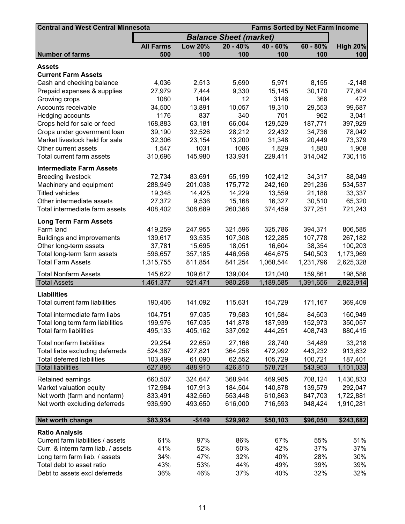| <b>Central and West Central Minnesota</b>                         |                  | <b>Farms Sorted by Net Farm Income</b> |                               |            |            |                 |
|-------------------------------------------------------------------|------------------|----------------------------------------|-------------------------------|------------|------------|-----------------|
|                                                                   |                  |                                        | <b>Balance Sheet (market)</b> |            |            |                 |
|                                                                   | <b>All Farms</b> | <b>Low 20%</b>                         | $20 - 40%$                    | $40 - 60%$ | $60 - 80%$ | <b>High 20%</b> |
| <b>Number of farms</b>                                            | 500              | 100                                    | 100                           | 100        | 100        | 100             |
| Assets                                                            |                  |                                        |                               |            |            |                 |
| <b>Current Farm Assets</b>                                        |                  |                                        |                               |            |            |                 |
| Cash and checking balance                                         | 4,036            | 2,513                                  | 5,690                         | 5,971      | 8,155      | $-2,148$        |
| Prepaid expenses & supplies                                       | 27,979           | 7,444                                  | 9,330                         | 15,145     | 30,170     | 77,804          |
| Growing crops                                                     | 1080             | 1404                                   | 12                            | 3146       | 366        | 472             |
| Accounts receivable                                               | 34,500           | 13,891                                 | 10,057                        | 19,310     | 29,553     | 99,687          |
| Hedging accounts                                                  | 1176             | 837                                    | 340                           | 701        | 962        | 3,041           |
| Crops held for sale or feed                                       | 168,883          | 63,181                                 | 66,004                        | 129,529    | 187,771    | 397,929         |
| Crops under government loan                                       | 39,190           | 32,526                                 | 28,212                        | 22,432     | 34,736     | 78,042          |
| Market livestock held for sale                                    | 32,306           | 23,154                                 | 13,200                        | 31,348     | 20,449     | 73,379          |
| Other current assets                                              | 1,547            | 1031                                   | 1086                          | 1,829      | 1,880      | 1,908           |
| Total current farm assets                                         | 310,696          | 145,980                                | 133,931                       | 229,411    | 314,042    | 730,115         |
| <b>Intermediate Farm Assets</b>                                   |                  |                                        |                               |            |            |                 |
| <b>Breeding livestock</b>                                         | 72,734           | 83,691                                 | 55,199                        | 102,412    | 34,317     | 88,049          |
| Machinery and equipment                                           | 288,949          | 201,038                                | 175,772                       | 242,160    | 291,236    | 534,537         |
| <b>Titled vehicles</b>                                            | 19,348           | 14,425                                 | 14,229                        | 13,559     | 21,188     | 33,337          |
| Other intermediate assets                                         | 27,372           | 9,536                                  | 15,168                        | 16,327     | 30,510     | 65,320          |
| Total intermediate farm assets                                    | 408,402          | 308,689                                | 260,368                       | 374,459    | 377,251    | 721,243         |
| <b>Long Term Farm Assets</b>                                      |                  |                                        |                               |            |            |                 |
| Farm land                                                         | 419,259          | 247,955                                | 321,596                       | 325,786    | 394,371    | 806,585         |
| Buildings and improvements                                        | 139,617          | 93,535                                 | 107,308                       | 122,285    | 107,778    | 267,182         |
| Other long-term assets                                            | 37,781           | 15,695                                 | 18,051                        | 16,604     | 38,354     | 100,203         |
| Total long-term farm assets                                       | 596,657          | 357,185                                | 446,956                       | 464,675    | 540,503    | 1,173,969       |
| <b>Total Farm Assets</b>                                          | 1,315,755        | 811,854                                | 841,254                       | 1,068,544  | 1,231,796  | 2,625,328       |
| <b>Total Nonfarm Assets</b>                                       | 145,622          | 109,617                                | 139,004                       | 121,040    | 159,861    | 198,586         |
| <b>Total Assets</b>                                               | 1,461,377        | 921,471                                | 980,258                       | 1,189,585  | 1,391,656  | 2,823,914       |
| <b>Liabilities</b>                                                |                  |                                        |                               |            |            |                 |
| Total current farm liabilities                                    | 190,406          | 141,092                                | 115,631                       | 154,729    | 171,167    | 369,409         |
| Total intermediate farm liabs                                     | 104,751          | 97,035                                 | 79,583                        | 101,584    | 84,603     | 160,949         |
|                                                                   | 199,976          |                                        | 141,878                       | 187,939    | 152,973    |                 |
| Total long term farm liabilities<br><b>Total farm liabilities</b> | 495,133          | 167,035<br>405,162                     | 337,092                       | 444,251    | 408,743    | 350,057         |
|                                                                   |                  |                                        |                               |            |            | 880,415         |
| Total nonfarm liabilities                                         | 29,254           | 22,659                                 | 27,166                        | 28,740     | 34,489     | 33,218          |
| Total liabs excluding deferreds                                   | 524,387          | 427,821                                | 364,258                       | 472,992    | 443,232    | 913,632         |
| <b>Total deferred liabilities</b>                                 | 103,499          | 61,090                                 | 62,552                        | 105,729    | 100,721    | 187,401         |
| <b>Total liabilities</b>                                          | 627,886          | 488,910                                | 426,810                       | 578,721    | 543,953    | 1,101,033       |
| Retained earnings                                                 | 660,507          | 324,647                                | 368,944                       | 469,985    | 708,124    | 1,430,833       |
| Market valuation equity                                           | 172,984          | 107,913                                | 184,504                       | 140,878    | 139,579    | 292,047         |
| Net worth (farm and nonfarm)                                      | 833,491          | 432,560                                | 553,448                       | 610,863    | 847,703    | 1,722,881       |
| Net worth excluding deferreds                                     | 936,990          | 493,650                                | 616,000                       | 716,593    | 948,424    | 1,910,281       |
| Net worth change                                                  | \$83,934         | $-$149$                                | \$29,982                      | \$50,103   | \$96,050   | \$243,682       |
| <b>Ratio Analysis</b>                                             |                  |                                        |                               |            |            |                 |
| Current farm liabilities / assets                                 | 61%              | 97%                                    | 86%                           | 67%        | 55%        | 51%             |
| Curr. & interm farm liab. / assets                                | 41%              | 52%                                    | 50%                           | 42%        | 37%        | 37%             |
| Long term farm liab. / assets                                     | 34%              | 47%                                    | 32%                           | 40%        | 28%        | 30%             |
| Total debt to asset ratio                                         | 43%              | 53%                                    | 44%                           | 49%        | 39%        | 39%             |
| Debt to assets excl deferreds                                     | 36%              | 46%                                    | 37%                           | 40%        | 32%        | 32%             |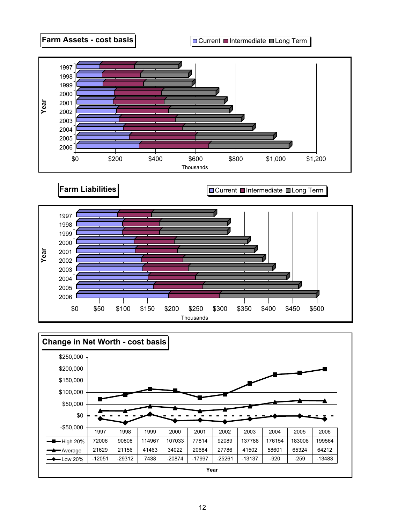

**Farm Liabilities Current Intermediate III Long Term** 



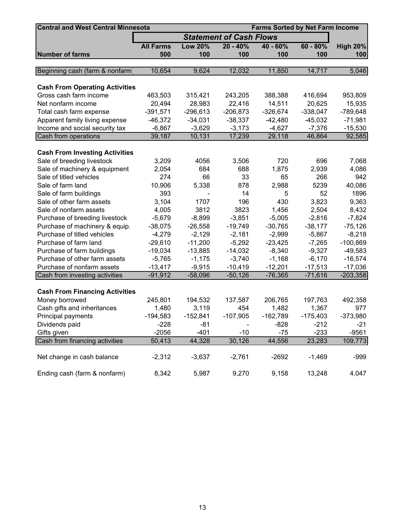| <b>Central and West Central Minnesota</b> |                  | <b>Farms Sorted by Net Farm Income</b> |                                |            |            |                 |  |  |
|-------------------------------------------|------------------|----------------------------------------|--------------------------------|------------|------------|-----------------|--|--|
|                                           |                  |                                        | <b>Statement of Cash Flows</b> |            |            |                 |  |  |
|                                           | <b>All Farms</b> | <b>Low 20%</b>                         | $20 - 40%$                     | $40 - 60%$ | $60 - 80%$ | <b>High 20%</b> |  |  |
| <b>Number of farms</b>                    | 500              | 100                                    | 100                            | 100        | 100        | 100             |  |  |
|                                           |                  |                                        |                                |            |            |                 |  |  |
| Beginning cash (farm & nonfarm)           | 10,654           | 9,624                                  | 12,032                         | 11,850     | 14,717     | 5,046           |  |  |
| <b>Cash From Operating Activities</b>     |                  |                                        |                                |            |            |                 |  |  |
| Gross cash farm income                    | 463,503          | 315,421                                | 243,205                        | 388,388    | 416,694    | 953,809         |  |  |
| Net nonfarm income                        | 20,494           | 28,983                                 | 22,416                         | 14,511     | 20,625     | 15,935          |  |  |
| Total cash farm expense                   | $-391,571$       | $-296,613$                             | $-206,873$                     | $-326,674$ | $-338,047$ | $-789,648$      |  |  |
| Apparent family living expense            | $-46,372$        | $-34,031$                              | $-38,337$                      | $-42,480$  | $-45,032$  | $-71,981$       |  |  |
| Income and social security tax            | $-6,867$         | $-3,629$                               | $-3,173$                       | $-4,627$   | $-7,376$   | $-15,530$       |  |  |
| Cash from operations                      | 39,187           | 10,131                                 | 17,239                         | 29,118     | 46,864     | 92,585          |  |  |
|                                           |                  |                                        |                                |            |            |                 |  |  |
| <b>Cash From Investing Activities</b>     |                  |                                        |                                |            |            |                 |  |  |
| Sale of breeding livestock                | 3,209            | 4056                                   | 3,506                          | 720        | 696        | 7,068           |  |  |
| Sale of machinery & equipment             | 2,054            | 684                                    | 688                            | 1,875      | 2,939      | 4,086           |  |  |
| Sale of titled vehicles                   | 274              | 66                                     | 33                             | 65         | 266        | 942             |  |  |
| Sale of farm land                         | 10,906           | 5,338                                  | 878                            | 2,988      | 5239       | 40,086          |  |  |
| Sale of farm buildings                    | 393              |                                        | 14                             | 5          | 52         | 1896            |  |  |
| Sale of other farm assets                 | 3,104            | 1707                                   | 196                            | 430        | 3,823      | 9,363           |  |  |
| Sale of nonfarm assets                    | 4,005            | 3812                                   | 3823                           | 1,456      | 2,504      | 8,432           |  |  |
| Purchase of breeding livestock            | $-5,679$         | $-8,899$                               | $-3,851$                       | $-5,005$   | $-2,816$   | $-7,824$        |  |  |
| Purchase of machinery & equip.            | $-38,075$        | $-26,558$                              | $-19,749$                      | $-30,765$  | $-38,177$  | $-75,126$       |  |  |
| Purchase of titled vehicles               | $-4,279$         | $-2,129$                               | $-2,181$                       | $-2,999$   | $-5,867$   | $-8,218$        |  |  |
| Purchase of farm land                     | $-29,610$        | $-11,200$                              | $-5,292$                       | $-23,425$  | $-7,265$   | $-100,869$      |  |  |
| Purchase of farm buildings                | $-19,034$        | $-13,885$                              | $-14,032$                      | $-8,340$   | $-9,327$   | $-49,583$       |  |  |
| Purchase of other farm assets             | $-5,765$         | $-1,175$                               | $-3,740$                       | $-1,168$   | $-6,170$   | $-16,574$       |  |  |
| Purchase of nonfarm assets                | $-13,417$        | $-9,915$                               | $-10,419$                      | $-12,201$  | $-17,513$  | $-17,036$       |  |  |
| Cash from investing activities            | $-91,912$        | $-58,096$                              | $-50,126$                      | $-76,365$  | $-71,616$  | $-203,358$      |  |  |
|                                           |                  |                                        |                                |            |            |                 |  |  |
| <b>Cash From Financing Activities</b>     |                  |                                        |                                |            |            |                 |  |  |
| Money borrowed                            | 245,801          | 194,532                                | 137,587                        | 206,765    | 197,763    | 492,358         |  |  |
| Cash gifts and inheritances               | 1,480            | 3,119                                  | 454                            | 1,482      | 1,367      | 977             |  |  |
| Principal payments                        | $-194,583$       | $-152,841$                             | $-107,905$                     | $-162,789$ | $-175,403$ | $-373,980$      |  |  |
| Dividends paid                            | $-228$           | $-81$                                  |                                | $-828$     | $-212$     | $-21$           |  |  |
| Gifts given                               | $-2056$          | $-401$                                 | $-10$                          | $-75$      | $-233$     | $-9561$         |  |  |
| Cash from financing activities            | 50,413           | 44,328                                 | 30,126                         | 44,556     | 23,283     | 109,773         |  |  |
|                                           |                  |                                        |                                |            |            |                 |  |  |
| Net change in cash balance                | $-2,312$         | $-3,637$                               | $-2,761$                       | $-2692$    | $-1,469$   | -999            |  |  |
| Ending cash (farm & nonfarm)              | 8,342            | 5,987                                  | 9,270                          | 9,158      | 13,248     | 4,047           |  |  |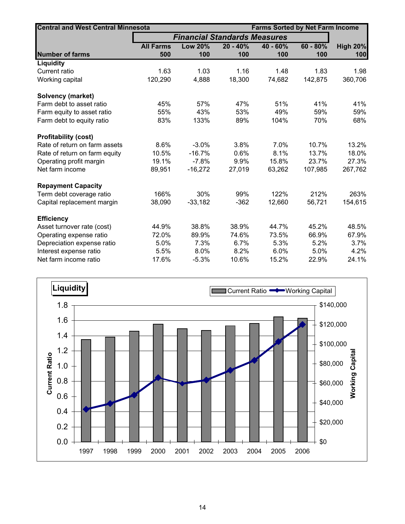| <b>Central and West Central Minnesota</b> |                  | <b>Farms Sorted by Net Farm Income</b> |            |            |            |                 |  |
|-------------------------------------------|------------------|----------------------------------------|------------|------------|------------|-----------------|--|
|                                           |                  | <b>Financial Standards Measures</b>    |            |            |            |                 |  |
|                                           | <b>All Farms</b> | <b>Low 20%</b>                         | $20 - 40%$ | $40 - 60%$ | $60 - 80%$ | <b>High 20%</b> |  |
| <b>Number of farms</b>                    | 500              | 100                                    | 100        | 100        | 100        | 100             |  |
| <b>Liquidity</b>                          |                  |                                        |            |            |            |                 |  |
| Current ratio                             | 1.63             | 1.03                                   | 1.16       | 1.48       | 1.83       | 1.98            |  |
| Working capital                           | 120,290          | 4,888                                  | 18,300     | 74,682     | 142,875    | 360,706         |  |
| <b>Solvency (market)</b>                  |                  |                                        |            |            |            |                 |  |
| Farm debt to asset ratio                  | 45%              | 57%                                    | 47%        | 51%        | 41%        | 41%             |  |
| Farm equity to asset ratio                | 55%              | 43%                                    | 53%        | 49%        | 59%        | 59%             |  |
| Farm debt to equity ratio                 | 83%              | 133%                                   | 89%        | 104%       | 70%        | 68%             |  |
| <b>Profitability (cost)</b>               |                  |                                        |            |            |            |                 |  |
| Rate of return on farm assets             | 8.6%             | $-3.0%$                                | 3.8%       | 7.0%       | 10.7%      | 13.2%           |  |
| Rate of return on farm equity             | 10.5%            | $-16.7%$                               | 0.6%       | 8.1%       | 13.7%      | 18.0%           |  |
| Operating profit margin                   | 19.1%            | $-7.8%$                                | 9.9%       | 15.8%      | 23.7%      | 27.3%           |  |
| Net farm income                           | 89,951           | $-16,272$                              | 27,019     | 63,262     | 107,985    | 267,762         |  |
| <b>Repayment Capacity</b>                 |                  |                                        |            |            |            |                 |  |
| Term debt coverage ratio                  | 166%             | 30%                                    | 99%        | 122%       | 212%       | 263%            |  |
| Capital replacement margin                | 38,090           | $-33,182$                              | $-362$     | 12,660     | 56,721     | 154,615         |  |
| <b>Efficiency</b>                         |                  |                                        |            |            |            |                 |  |
| Asset turnover rate (cost)                | 44.9%            | 38.8%                                  | 38.9%      | 44.7%      | 45.2%      | 48.5%           |  |
| Operating expense ratio                   | 72.0%            | 89.9%                                  | 74.6%      | 73.5%      | 66.9%      | 67.9%           |  |
| Depreciation expense ratio                | 5.0%             | 7.3%                                   | 6.7%       | 5.3%       | 5.2%       | 3.7%            |  |
| Interest expense ratio                    | 5.5%             | 8.0%                                   | 8.2%       | 6.0%       | 5.0%       | 4.2%            |  |
| Net farm income ratio                     | 17.6%            | $-5.3%$                                | 10.6%      | 15.2%      | 22.9%      | 24.1%           |  |

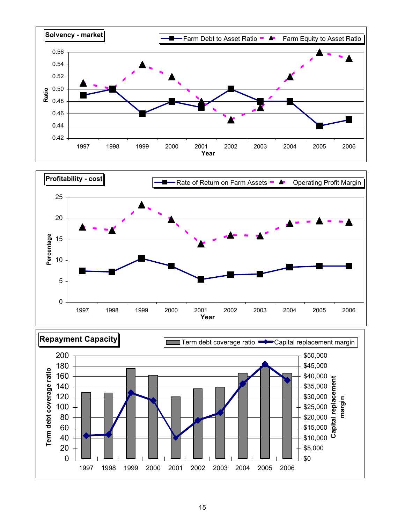



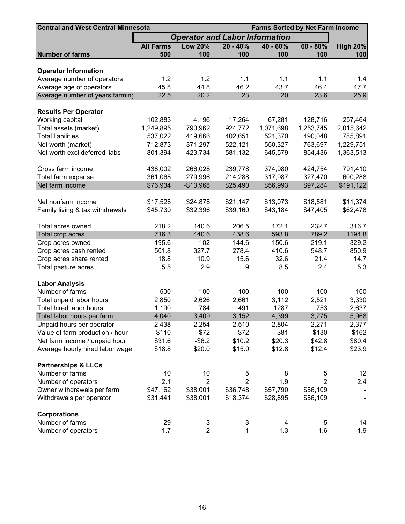| <b>Central and West Central Minnesota</b><br><b>Farms Sorted by Net Farm Income</b> |                                       |                |                |           |                |                 |  |  |  |  |
|-------------------------------------------------------------------------------------|---------------------------------------|----------------|----------------|-----------|----------------|-----------------|--|--|--|--|
|                                                                                     | <b>Operator and Labor Information</b> |                |                |           |                |                 |  |  |  |  |
|                                                                                     | <b>All Farms</b>                      | <b>Low 20%</b> | $20 - 40%$     | 40 - 60%  | $60 - 80%$     | <b>High 20%</b> |  |  |  |  |
| <b>Number of farms</b>                                                              | 500                                   | 100            | 100            | 100       | 100            | 100             |  |  |  |  |
|                                                                                     |                                       |                |                |           |                |                 |  |  |  |  |
| <b>Operator Information</b>                                                         |                                       |                |                |           |                |                 |  |  |  |  |
| Average number of operators                                                         | 1.2                                   | 1.2            | 1.1            | 1.1       | 1.1            | 1.4             |  |  |  |  |
| Average age of operators                                                            | 45.8                                  | 44.8           | 46.2           | 43.7      | 46.4           | 47.7            |  |  |  |  |
| Average number of years farming                                                     | 22.5                                  | 20.2           | 23             | 20        | 23.6           | 25.9            |  |  |  |  |
| <b>Results Per Operator</b>                                                         |                                       |                |                |           |                |                 |  |  |  |  |
| Working capital                                                                     | 102,883                               | 4,196          | 17,264         | 67,281    | 128,716        | 257,464         |  |  |  |  |
| Total assets (market)                                                               | 1,249,895                             | 790,962        | 924,772        | 1,071,698 | 1,253,745      | 2,015,642       |  |  |  |  |
| <b>Total liabilities</b>                                                            | 537,022                               | 419,666        | 402,651        | 521,370   | 490,048        | 785,891         |  |  |  |  |
|                                                                                     | 712,873                               |                | 522,121        |           | 763,697        | 1,229,751       |  |  |  |  |
| Net worth (market)                                                                  |                                       | 371,297        |                | 550,327   |                |                 |  |  |  |  |
| Net worth excl deferred liabs                                                       | 801,394                               | 423,734        | 581,132        | 645,579   | 854,436        | 1,363,513       |  |  |  |  |
| Gross farm income                                                                   | 438,002                               | 266,028        | 239,778        | 374,980   | 424,754        | 791,410         |  |  |  |  |
| Total farm expense                                                                  | 361,068                               | 279,996        | 214,288        | 317,987   | 327,470        | 600,288         |  |  |  |  |
| Net farm income                                                                     | \$76,934                              | $-$13,968$     | \$25,490       | \$56,993  | \$97,284       | \$191,122       |  |  |  |  |
|                                                                                     |                                       |                |                |           |                |                 |  |  |  |  |
| Net nonfarm income                                                                  | \$17,528                              | \$24,878       | \$21,147       | \$13,073  | \$18,581       | \$11,374        |  |  |  |  |
| Family living & tax withdrawals                                                     | \$45,730                              | \$32,396       | \$39,160       | \$43,184  | \$47,405       | \$62,478        |  |  |  |  |
| Total acres owned                                                                   | 218.2                                 | 140.6          | 206.5          | 172.1     | 232.7          | 316.7           |  |  |  |  |
| Total crop acres                                                                    | 716.3                                 | 440.6          | 438.6          | 593.8     | 789.2          | 1194.8          |  |  |  |  |
| Crop acres owned                                                                    | 195.6                                 | 102            | 144.6          | 150.6     | 219.1          | 329.2           |  |  |  |  |
| Crop acres cash rented                                                              | 501.8                                 | 327.7          | 278.4          | 410.6     | 548.7          | 850.9           |  |  |  |  |
| Crop acres share rented                                                             | 18.8                                  | 10.9           | 15.6           | 32.6      | 21.4           | 14.7            |  |  |  |  |
| Total pasture acres                                                                 | 5.5                                   | 2.9            | 9              | 8.5       | 2.4            | 5.3             |  |  |  |  |
|                                                                                     |                                       |                |                |           |                |                 |  |  |  |  |
| <b>Labor Analysis</b>                                                               |                                       |                |                |           |                |                 |  |  |  |  |
| Number of farms                                                                     | 500                                   | 100            | 100            | 100       | 100            | 100             |  |  |  |  |
| Total unpaid labor hours                                                            | 2,850                                 | 2,626          | 2,661          | 3,112     | 2,521          | 3,330           |  |  |  |  |
| Total hired labor hours                                                             | 1,190                                 | 784            | 491            | 1287      | 753            | 2,637           |  |  |  |  |
| Total labor hours per farm                                                          | 4,040                                 | 3,409          | 3,152          | 4,399     | 3,275          | 5,968           |  |  |  |  |
| Unpaid hours per operator                                                           | 2,438                                 | 2,254          | 2,510          | 2,804     | 2,271          | 2,377           |  |  |  |  |
| Value of farm production / hour                                                     | \$110                                 | \$72           | \$72           | \$81      | \$130          | \$162           |  |  |  |  |
| Net farm income / unpaid hour                                                       | \$31.6                                | $-$ \$6.2      | \$10.2         | \$20.3    | \$42.8         | \$80.4          |  |  |  |  |
| Average hourly hired labor wage                                                     | \$18.8                                | \$20.0         | \$15.0         | \$12.8    | \$12.4         | \$23.9          |  |  |  |  |
|                                                                                     |                                       |                |                |           |                |                 |  |  |  |  |
| <b>Partnerships &amp; LLCs</b>                                                      |                                       |                |                |           |                |                 |  |  |  |  |
| Number of farms                                                                     | 40                                    | 10             | 5              | 8         | 5              | 12              |  |  |  |  |
| Number of operators                                                                 | 2.1                                   | $\overline{2}$ | $\overline{2}$ | 1.9       | $\overline{2}$ | 2.4             |  |  |  |  |
| Owner withdrawals per farm                                                          | \$47,162                              | \$38,001       | \$36,748       | \$57,790  | \$56,109       |                 |  |  |  |  |
| Withdrawals per operator                                                            | \$31,441                              | \$38,001       | \$18,374       | \$28,895  | \$56,109       |                 |  |  |  |  |
| <b>Corporations</b>                                                                 |                                       |                |                |           |                |                 |  |  |  |  |
| Number of farms                                                                     | 29                                    | $\mathfrak{S}$ | 3              | 4         | 5              | 14              |  |  |  |  |
| Number of operators                                                                 | 1.7                                   | $\overline{2}$ | 1              | 1.3       | 1.6            | 1.9             |  |  |  |  |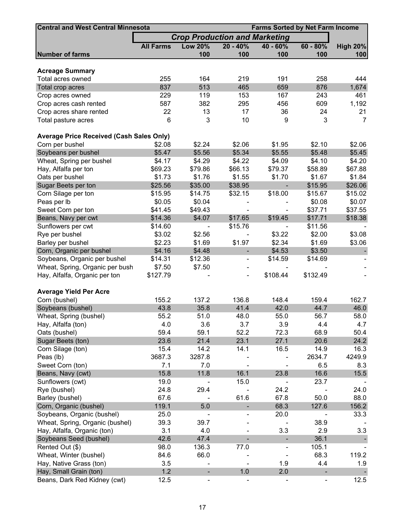| <b>Central and West Central Minnesota</b><br><b>Farms Sorted by Net Farm Income</b> |                  |                              |                                      |                              |                              |                 |  |  |  |  |
|-------------------------------------------------------------------------------------|------------------|------------------------------|--------------------------------------|------------------------------|------------------------------|-----------------|--|--|--|--|
|                                                                                     |                  |                              | <b>Crop Production and Marketing</b> |                              |                              |                 |  |  |  |  |
|                                                                                     | <b>All Farms</b> | <b>Low 20%</b>               | $20 - 40%$                           | 40 - 60%                     | $60 - 80%$                   | <b>High 20%</b> |  |  |  |  |
| <b>Number of farms</b>                                                              |                  | 100                          | 100                                  | 100                          | 100                          | 100             |  |  |  |  |
|                                                                                     |                  |                              |                                      |                              |                              |                 |  |  |  |  |
| <b>Acreage Summary</b>                                                              |                  |                              |                                      |                              |                              |                 |  |  |  |  |
| Total acres owned                                                                   | 255              | 164                          | 219                                  | 191                          | 258                          | 444             |  |  |  |  |
| Total crop acres                                                                    | 837              | 513                          | 465                                  | 659                          | 876                          | 1,674           |  |  |  |  |
| Crop acres owned                                                                    | 229              | 119                          | 153                                  | 167                          | 243                          | 461             |  |  |  |  |
| Crop acres cash rented                                                              | 587              | 382                          | 295                                  | 456                          | 609                          | 1,192           |  |  |  |  |
| Crop acres share rented                                                             | 22               | 13                           | 17                                   | 36                           | 24                           | 21              |  |  |  |  |
| Total pasture acres                                                                 | 6                | 3                            | 10                                   | 9                            | 3                            | $\overline{7}$  |  |  |  |  |
| <b>Average Price Received (Cash Sales Only)</b>                                     |                  |                              |                                      |                              |                              |                 |  |  |  |  |
| Corn per bushel                                                                     | \$2.08           | \$2.24                       | \$2.06                               | \$1.95                       | \$2.10                       | \$2.06          |  |  |  |  |
| Soybeans per bushel                                                                 | \$5.47           | \$5.56                       | \$5.34                               | \$5.55                       | \$5.48                       | \$5.45          |  |  |  |  |
| Wheat, Spring per bushel                                                            | \$4.17           | \$4.29                       | \$4.22                               | \$4.09                       | \$4.10                       | \$4.20          |  |  |  |  |
|                                                                                     |                  |                              |                                      |                              | \$58.89                      |                 |  |  |  |  |
| Hay, Alfalfa per ton                                                                | \$69.23          | \$79.86                      | \$66.13                              | \$79.37                      |                              | \$67.88         |  |  |  |  |
| Oats per bushel                                                                     | \$1.73           | \$1.76                       | \$1.55                               | \$1.70                       | \$1.67                       | \$1.84          |  |  |  |  |
| Sugar Beets per ton                                                                 | \$25.56          | \$35.00                      | \$38.95                              |                              | \$15.95                      | \$26.06         |  |  |  |  |
| Corn Silage per ton                                                                 | \$15.95          | \$14.75                      | \$32.15                              | \$18.00                      | \$15.67                      | \$15.02         |  |  |  |  |
| Peas per lb                                                                         | \$0.05           | \$0.04                       |                                      |                              | \$0.08                       | \$0.07          |  |  |  |  |
| Sweet Corn per ton                                                                  | \$41.45          | \$49.43                      |                                      |                              | \$37.71                      | \$37.55         |  |  |  |  |
| Beans, Navy per cwt                                                                 | \$14.36          | \$4.07                       | \$17.65                              | \$19.45                      | \$17.71                      | \$18.38         |  |  |  |  |
| Sunflowers per cwt                                                                  | \$14.60          |                              | \$15.76                              |                              | \$11.56                      |                 |  |  |  |  |
| Rye per bushel                                                                      | \$3.02           | \$2.56                       |                                      | \$3.22                       | \$2.00                       | \$3.08          |  |  |  |  |
| Barley per bushel                                                                   | \$2.23           | \$1.69                       | \$1.97                               | \$2.34                       | \$1.69                       | \$3.06          |  |  |  |  |
| Corn, Organic per bushel                                                            | \$4.16           | \$4.48                       | $\overline{\phantom{a}}$             | \$4.53                       | \$3.50                       |                 |  |  |  |  |
| Soybeans, Organic per bushel                                                        | \$14.31          | \$12.36                      | $\overline{\phantom{a}}$             | \$14.59                      | \$14.69                      |                 |  |  |  |  |
| Wheat, Spring, Organic per bush                                                     | \$7.50           | \$7.50                       |                                      |                              |                              |                 |  |  |  |  |
| Hay, Alfalfa, Organic per ton                                                       | \$127.79         |                              | $\overline{\phantom{a}}$             | \$108.44                     | \$132.49                     |                 |  |  |  |  |
| <b>Average Yield Per Acre</b>                                                       |                  |                              |                                      |                              |                              |                 |  |  |  |  |
| Corn (bushel)                                                                       | 155.2            | 137.2                        | 136.8                                | 148.4                        | 159.4                        | 162.7           |  |  |  |  |
| Soybeans (bushel)                                                                   | 43.8             | 35.8                         | 41.4                                 | 42.0                         | 44.7                         | 46.0            |  |  |  |  |
|                                                                                     |                  |                              |                                      |                              |                              |                 |  |  |  |  |
| Wheat, Spring (bushel)                                                              | 55.2             | 51.0                         | 48.0                                 | 55.0                         | 56.7                         | 58.0            |  |  |  |  |
| Hay, Alfalfa (ton)                                                                  | 4.0              | 3.6                          | 3.7                                  | 3.9                          | 4.4                          | 4.7             |  |  |  |  |
| Oats (bushel)                                                                       | 59.4             | 59.1                         | 52.2                                 | 72.3                         | 68.9                         | 50.4            |  |  |  |  |
| Sugar Beets (ton)                                                                   | 23.6             | 21.4                         | 23.1                                 | 27.1                         | 20.6                         | 24.2            |  |  |  |  |
| Corn Silage (ton)                                                                   | 15.4             | 14.2                         | 14.1                                 | 16.5                         | 14.9                         | 16.3            |  |  |  |  |
| Peas (lb)                                                                           | 3687.3           | 3287.8                       |                                      |                              | 2634.7                       | 4249.9          |  |  |  |  |
| Sweet Corn (ton)                                                                    | 7.1              | 7.0                          |                                      |                              | 6.5                          | 8.3             |  |  |  |  |
| Beans, Navy (cwt)                                                                   | 15.8             | 11.8                         | 16.1                                 | 23.8                         | 16.6                         | 15.5            |  |  |  |  |
| Sunflowers (cwt)                                                                    | 19.0             |                              | 15.0                                 |                              | 23.7                         |                 |  |  |  |  |
| Rye (bushel)                                                                        | 24.8             | 29.4                         |                                      | 24.2                         |                              | 24.0            |  |  |  |  |
| Barley (bushel)                                                                     | 67.6             |                              | 61.6                                 | 67.8                         | 50.0                         | 88.0            |  |  |  |  |
| Corn, Organic (bushel)                                                              | 119.1            | 5.0                          |                                      | 68.3                         | 127.6                        | 156.2           |  |  |  |  |
| Soybeans, Organic (bushel)                                                          | 25.0             |                              |                                      | 20.0                         |                              | 33.3            |  |  |  |  |
| Wheat, Spring, Organic (bushel)                                                     | 39.3             | 39.7                         |                                      |                              | 38.9                         |                 |  |  |  |  |
| Hay, Alfalfa, Organic (ton)                                                         | 3.1              | 4.0                          |                                      | 3.3                          | 2.9                          | 3.3             |  |  |  |  |
| Soybeans Seed (bushel)                                                              | 42.6             | 47.4                         |                                      | $\blacksquare$               | 36.1                         |                 |  |  |  |  |
| Rented Out (\$)                                                                     | 98.0             | 136.3                        | 77.0                                 | $\qquad \qquad \blacksquare$ | 105.1                        |                 |  |  |  |  |
| Wheat, Winter (bushel)                                                              | 84.6             | 66.0                         |                                      |                              | 68.3                         | 119.2           |  |  |  |  |
| Hay, Native Grass (ton)                                                             | 3.5              |                              |                                      | 1.9                          | 4.4                          | 1.9             |  |  |  |  |
| Hay, Small Grain (ton)                                                              | 1.2              |                              | 1.0                                  | 2.0                          |                              |                 |  |  |  |  |
| Beans, Dark Red Kidney (cwt)                                                        | 12.5             | $\qquad \qquad \blacksquare$ |                                      | $\overline{\phantom{0}}$     | $\qquad \qquad \blacksquare$ | 12.5            |  |  |  |  |
|                                                                                     |                  |                              |                                      |                              |                              |                 |  |  |  |  |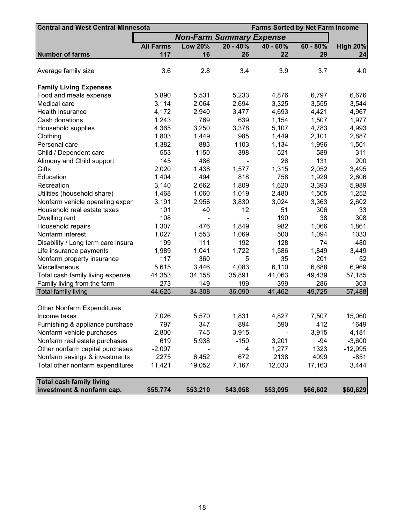| <b>Central and West Central Minnesota</b> | <b>Farms Sorted by Net Farm Income</b> |                                 |            |            |            |                 |  |  |
|-------------------------------------------|----------------------------------------|---------------------------------|------------|------------|------------|-----------------|--|--|
|                                           |                                        | <b>Non-Farm Summary Expense</b> |            |            |            |                 |  |  |
|                                           | <b>All Farms</b>                       | <b>Low 20%</b>                  | $20 - 40%$ | $40 - 60%$ | $60 - 80%$ | <b>High 20%</b> |  |  |
| <b>Number of farms</b>                    | 117                                    | 16                              | 26         | 22         | 29         | 24              |  |  |
|                                           |                                        |                                 |            |            |            |                 |  |  |
| Average family size                       | 3.6                                    | 2.8                             | 3.4        | 3.9        | 3.7        | 4.0             |  |  |
|                                           |                                        |                                 |            |            |            |                 |  |  |
| <b>Family Living Expenses</b>             |                                        |                                 |            |            |            |                 |  |  |
| Food and meals expense                    | 5,890                                  | 5,531                           | 5,233      | 4,876      | 6,797      | 6,676           |  |  |
| Medical care                              | 3,114                                  | 2,064                           | 2,694      | 3,325      | 3,555      | 3,544           |  |  |
| Health insurance                          | 4,172                                  | 2,940                           | 3,477      | 4,693      | 4,421      | 4,967           |  |  |
| Cash donations                            | 1,243                                  | 769                             | 639        | 1,154      | 1,507      | 1,977           |  |  |
| Household supplies                        | 4,365                                  | 3,250                           | 3,378      | 5,107      | 4,783      | 4,993           |  |  |
| Clothing                                  | 1,803                                  | 1,449                           | 985        | 1,449      | 2,101      | 2,887           |  |  |
| Personal care                             | 1,382                                  | 883                             | 1103       | 1,134      | 1,996      | 1,501           |  |  |
| Child / Dependent care                    | 553                                    | 1150                            | 398        | 521        | 589        | 311             |  |  |
| Alimony and Child support                 | 145                                    | 486                             |            | 26         | 131        | 200             |  |  |
| Gifts                                     | 2,020                                  | 1,438                           | 1,577      | 1,315      | 2,052      | 3,495           |  |  |
| Education                                 | 1,404                                  | 494                             | 818        | 758        | 1,929      | 2,606           |  |  |
| Recreation                                | 3,140                                  | 2,662                           | 1,809      | 1,620      | 3,393      | 5,989           |  |  |
| Utilities (household share)               | 1,468                                  | 1,060                           | 1,019      | 2,480      | 1,505      | 1,252           |  |  |
| Nonfarm vehicle operating expen           | 3,191                                  | 2,956                           | 3,830      | 3,024      | 3,363      | 2,602           |  |  |
| Household real estate taxes               | 101                                    | 40                              | 12         | 51         | 306        | 33              |  |  |
| Dwelling rent                             | 108                                    |                                 |            | 190        | 38         | 308             |  |  |
| Household repairs                         | 1,307                                  | 476                             | 1,849      | 982        | 1,066      | 1,861           |  |  |
| Nonfarm interest                          | 1,027                                  | 1,553                           | 1,069      | 500        | 1,094      | 1033            |  |  |
| Disability / Long term care insura        | 199                                    | 111                             | 192        | 128        | 74         | 480             |  |  |
| Life insurance payments                   | 1,989                                  | 1,041                           | 1,722      | 1,586      | 1,849      | 3,449           |  |  |
| Nonfarm property insurance                | 117                                    | 360                             | 5          | 35         | 201        | 52              |  |  |
| Miscellaneous                             | 5,615                                  | 3,446                           | 4,083      | 6,110      | 6,688      | 6,969           |  |  |
| Total cash family living expense          | 44,353                                 | 34,158                          | 35,891     | 41,063     | 49,439     | 57,185          |  |  |
| Family living from the farm               | 273                                    | 149                             | 199        | 399        | 286        | 303             |  |  |
| <b>Total family living</b>                | 44,625                                 | 34,308                          | 36,090     | 41,462     | 49,725     | 57,488          |  |  |
|                                           |                                        |                                 |            |            |            |                 |  |  |
| <b>Other Nonfarm Expenditures</b>         |                                        |                                 |            |            |            |                 |  |  |
| Income taxes                              | 7,026                                  | 5,570                           | 1,831      | 4,827      | 7,507      | 15,060          |  |  |
| Furnishing & appliance purchase           | 797                                    | 347                             | 894        | 590        | 412        | 1649            |  |  |
| Nonfarm vehicle purchases                 | 2,800                                  | 745                             | 3,915      |            | 3,915      | 4,181           |  |  |
| Nonfarm real estate purchases             | 619                                    | 5,938                           | $-150$     | 3,201      | $-94$      | $-3,600$        |  |  |
| Other nonfarm capital purchases           | $-2,097$                               |                                 | 4          | 1,277      | 1323       | $-12,995$       |  |  |
| Nonfarm savings & investments             | 2275                                   | 6,452                           | 672        | 2138       | 4099       | $-851$          |  |  |
| Total other nonfarm expenditures          | 11,421                                 | 19,052                          | 7,167      | 12,033     | 17,163     | 3,444           |  |  |
|                                           |                                        |                                 |            |            |            |                 |  |  |
| <b>Total cash family living</b>           |                                        |                                 |            |            |            |                 |  |  |
| investment & nonfarm cap.                 | \$55,774                               | \$53,210                        | \$43,058   | \$53,095   | \$66,602   | \$60,629        |  |  |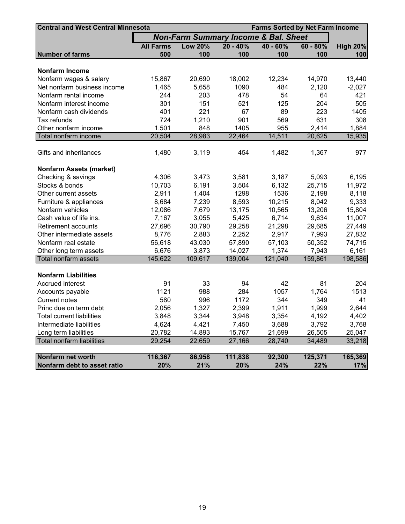| <b>Central and West Central Minnesota</b> |                  |                                                 | <b>Farms Sorted by Net Farm Income</b> |          |            |                 |  |  |
|-------------------------------------------|------------------|-------------------------------------------------|----------------------------------------|----------|------------|-----------------|--|--|
|                                           |                  | <b>Non-Farm Summary Income &amp; Bal. Sheet</b> |                                        |          |            |                 |  |  |
|                                           | <b>All Farms</b> | <b>Low 20%</b>                                  | $20 - 40%$                             | 40 - 60% | $60 - 80%$ | <b>High 20%</b> |  |  |
| <b>Number of farms</b>                    | 500              | 100                                             | 100                                    | 100      | 100        | 100             |  |  |
|                                           |                  |                                                 |                                        |          |            |                 |  |  |
| <b>Nonfarm Income</b>                     |                  |                                                 |                                        |          |            |                 |  |  |
| Nonfarm wages & salary                    | 15,867           | 20,690                                          | 18,002                                 | 12,234   | 14,970     | 13,440          |  |  |
| Net nonfarm business income               | 1,465            | 5,658                                           | 1090                                   | 484      | 2,120      | $-2,027$        |  |  |
| Nonfarm rental income                     | 244              | 203                                             | 478                                    | 54       | 64         | 421             |  |  |
| Nonfarm interest income                   | 301              | 151                                             | 521                                    | 125      | 204        | 505             |  |  |
| Nonfarm cash dividends                    | 401              | 221                                             | 67                                     | 89       | 223        | 1405            |  |  |
| Tax refunds                               | 724              | 1,210                                           | 901                                    | 569      | 631        | 308             |  |  |
| Other nonfarm income                      | 1,501            | 848                                             | 1405                                   | 955      | 2,414      | 1,884           |  |  |
| Total nonfarm income                      | 20,504           | 28,983                                          | 22,464                                 | 14,511   | 20,625     | 15,935          |  |  |
| Gifts and inheritances                    | 1,480            | 3,119                                           | 454                                    | 1,482    | 1,367      | 977             |  |  |
|                                           |                  |                                                 |                                        |          |            |                 |  |  |
| <b>Nonfarm Assets (market)</b>            |                  |                                                 |                                        |          |            |                 |  |  |
| Checking & savings                        | 4,306            | 3,473                                           | 3,581                                  | 3,187    | 5,093      | 6,195           |  |  |
| Stocks & bonds                            | 10,703           | 6,191                                           | 3,504                                  | 6,132    | 25,715     | 11,972          |  |  |
| Other current assets                      | 2,911            | 1,404                                           | 1298                                   | 1536     | 2,198      | 8,118           |  |  |
| Furniture & appliances                    | 8,684            | 7,239                                           | 8,593                                  | 10,215   | 8,042      | 9,333           |  |  |
| Nonfarm vehicles                          | 12,086           | 7,679                                           | 13,175                                 | 10,565   | 13,206     | 15,804          |  |  |
| Cash value of life ins.                   | 7,167            | 3,055                                           | 5,425                                  | 6,714    | 9,634      | 11,007          |  |  |
| Retirement accounts                       | 27,696           | 30,790                                          | 29,258                                 | 21,298   | 29,685     | 27,449          |  |  |
| Other intermediate assets                 | 8,776            | 2,883                                           | 2,252                                  | 2,917    | 7,993      | 27,832          |  |  |
| Nonfarm real estate                       | 56,618           | 43,030                                          | 57,890                                 | 57,103   | 50,352     | 74,715          |  |  |
| Other long term assets                    | 6,676            | 3,873                                           | 14,027                                 | 1,374    | 7,943      | 6,161           |  |  |
| Total nonfarm assets                      | 145,622          | 109,617                                         | 139,004                                | 121,040  | 159,861    | 198,586         |  |  |
|                                           |                  |                                                 |                                        |          |            |                 |  |  |
| <b>Nonfarm Liabilities</b>                |                  |                                                 |                                        |          |            |                 |  |  |
| <b>Accrued interest</b>                   | 91               | 33                                              | 94                                     | 42       | 81         | 204             |  |  |
| Accounts payable                          | 1121             | 988                                             | 284                                    | 1057     | 1,764      | 1513            |  |  |
| <b>Current notes</b>                      | 580              | 996                                             | 1172                                   | 344      | 349        | 41              |  |  |
| Princ due on term debt                    | 2,056            | 1,327                                           | 2,399                                  | 1,911    | 1,999      | 2,644           |  |  |
| <b>Total current liabilities</b>          | 3,848            | 3,344                                           | 3,948                                  | 3,354    | 4,192      | 4,402           |  |  |
| Intermediate liabilities                  | 4,624            | 4,421                                           | 7,450                                  | 3,688    | 3,792      | 3,768           |  |  |
| Long term liabilities                     | 20,782           | 14,893                                          | 15,767                                 | 21,699   | 26,505     | 25,047          |  |  |
| Total nonfarm liabilities                 | 29,254           | 22,659                                          | 27,166                                 | 28,740   | 34,489     | 33,218          |  |  |
| Nonfarm net worth                         | 116,367          | 86,958                                          | 111,838                                | 92,300   | 125,371    | 165,369         |  |  |
| Nonfarm debt to asset ratio               | 20%              | 21%                                             | 20%                                    | 24%      | 22%        | 17%             |  |  |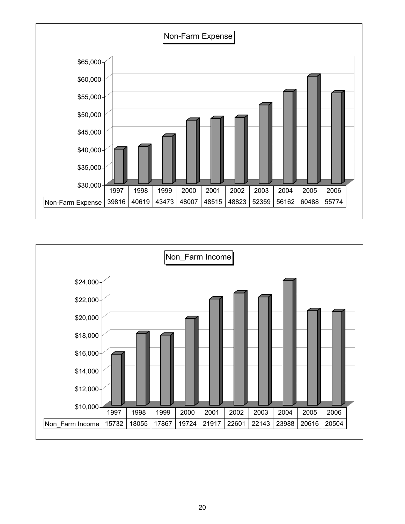

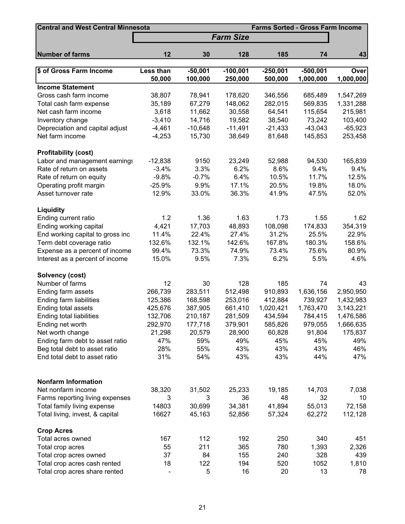| <b>Central and West Central Minnesota</b><br><b>Farms Sorted - Gross Farm Income</b> |                     |                      |                       |                       |                         |                          |  |  |
|--------------------------------------------------------------------------------------|---------------------|----------------------|-----------------------|-----------------------|-------------------------|--------------------------|--|--|
|                                                                                      |                     |                      | <b>Farm Size</b>      |                       |                         |                          |  |  |
| <b>Number of farms</b>                                                               | 12                  | 30                   | 128                   | 185                   | 74                      | 43                       |  |  |
|                                                                                      |                     |                      |                       |                       |                         |                          |  |  |
| \$ of Gross Farm Income                                                              | Less than<br>50,000 | $-50,001$<br>100,000 | $-100,001$<br>250,000 | $-250,001$<br>500,000 | $-500,001$<br>1,000,000 | <b>Over</b><br>1,000,000 |  |  |
| <b>Income Statement</b>                                                              |                     |                      |                       |                       |                         |                          |  |  |
| Gross cash farm income                                                               | 38,807              | 78,941               | 178,620               | 346,556               | 685,489                 | 1,547,269                |  |  |
| Total cash farm expense                                                              | 35,189              | 67,279               | 148,062               | 282,015               | 569,835                 | 1,331,288                |  |  |
| Net cash farm income                                                                 | 3,618               | 11,662               | 30,558                | 64,541                | 115,654                 | 215,981                  |  |  |
| Inventory change                                                                     | $-3,410$            | 14,716               | 19,582                | 38,540                | 73,242                  | 103,400                  |  |  |
| Depreciation and capital adjust                                                      | $-4,461$            | $-10,648$            | $-11,491$             | $-21,433$             | $-43,043$               | $-65,923$                |  |  |
| Net farm income                                                                      | $-4,253$            | 15,730               | 38,649                | 81,648                | 145,853                 | 253,458                  |  |  |
| <b>Profitability (cost)</b>                                                          |                     |                      |                       |                       |                         |                          |  |  |
| Labor and management earnings                                                        | $-12,838$           | 9150                 | 23,249                | 52,988                | 94,530                  | 165,839                  |  |  |
| Rate of return on assets                                                             | $-3.4%$             | 3.3%                 | 6.2%                  | 8.6%                  | 9.4%                    | 9.4%                     |  |  |
| Rate of return on equity                                                             | $-9.8%$             | $-0.7%$              | 6.4%                  | 10.5%                 | 11.7%                   | 12.5%                    |  |  |
| Operating profit margin                                                              | $-25.9%$            | 9.9%                 | 17.1%                 | 20.5%                 | 19.8%                   | 18.0%                    |  |  |
| Asset turnover rate                                                                  | 12.9%               | 33.0%                | 36.3%                 | 41.9%                 | 47.5%                   | 52.0%                    |  |  |
| <b>Liquidity</b>                                                                     |                     |                      |                       |                       |                         |                          |  |  |
| Ending current ratio                                                                 | 1.2                 | 1.36                 | 1.63                  | 1.73                  | 1.55                    | 1.62                     |  |  |
| Ending working capital                                                               | 4,421               | 17,703               | 48,893                | 108,098               | 174,833                 | 354,319                  |  |  |
| End working capital to gross inc                                                     | 11.4%               | 22.4%                | 27.4%                 | 31.2%                 | 25.5%                   | 22.9%                    |  |  |
| Term debt coverage ratio                                                             | 132.6%              | 132.1%               | 142.6%                | 167.8%                | 180.3%                  | 158.6%                   |  |  |
| Expense as a percent of income                                                       | 99.4%               | 73.3%                | 74.9%                 | 73.4%                 | 75.6%                   | 80.9%                    |  |  |
| Interest as a percent of income                                                      | 15.0%               | 9.5%                 | 7.3%                  | 6.2%                  | 5.5%                    | 4.6%                     |  |  |
| Solvency (cost)                                                                      |                     |                      |                       |                       |                         |                          |  |  |
| Number of farms                                                                      | 12                  | 30                   | 128                   | 185                   | 74                      | 43                       |  |  |
| Ending farm assets                                                                   | 266,739             | 283,511              | 512,498               | 910,893               | 1,636,156               | 2,950,950                |  |  |
| Ending farm liabilities                                                              | 125,386             | 168,598              | 253,016               | 412,884               | 739,927                 | 1,432,983                |  |  |
| Ending total assets                                                                  | 425,676             | 387,905              | 661,410               | 1,020,421             | 1,763,470               | 3,143,221                |  |  |
| Ending total liabilities                                                             | 132,706             | 210,187              | 281,509               | 434,594               | 784,415                 | 1,476,586                |  |  |
| Ending net worth                                                                     | 292,970             | 177,718              | 379,901               | 585,826               | 979,055                 | 1,666,635                |  |  |
| Net worth change                                                                     | 21,298              | 20,579               | 28,900                | 60,828                | 91,804                  | 175,837                  |  |  |
| Ending farm debt to asset ratio                                                      | 47%                 | 59%                  | 49%                   | 45%                   | 45%                     | 49%                      |  |  |
| Beg total debt to asset ratio                                                        | 28%                 | 55%                  | 43%                   | 43%                   | 43%                     | 46%                      |  |  |
| End total debt to asset ratio                                                        | 31%                 | 54%                  | 43%                   | 43%                   | 44%                     | 47%                      |  |  |
|                                                                                      |                     |                      |                       |                       |                         |                          |  |  |
| <b>Nonfarm Information</b>                                                           |                     |                      |                       |                       |                         |                          |  |  |
| Net nonfarm income                                                                   | 38,320              | 31,502               | 25,233                | 19,185                | 14,703                  | 7,038                    |  |  |
| Farms reporting living expenses                                                      | 3                   | 3                    | 36                    | 48                    | 32                      | 10                       |  |  |
| Total family living expense                                                          | 14803               | 30,699               | 34,381                | 41,894                | 55,013                  | 72,158                   |  |  |
| Total living, invest, & capital                                                      | 16627               | 45,163               | 52,856                | 57,324                | 62,272                  | 112,128                  |  |  |
| <b>Crop Acres</b>                                                                    |                     |                      |                       |                       |                         |                          |  |  |
| Total acres owned                                                                    | 167                 | 112                  | 192                   | 250                   | 340                     | 451                      |  |  |
| Total crop acres                                                                     | 55                  | 211                  | 365                   | 780                   | 1,393                   | 2,326                    |  |  |
| Total crop acres owned                                                               | 37                  | 84                   | 155                   | 240                   | 328                     | 439                      |  |  |
| Total crop acres cash rented                                                         | 18                  | 122                  | 194                   | 520                   | 1052                    | 1,810                    |  |  |
| Total crop acres share rented                                                        |                     | 5                    | 16                    | 20                    | 13                      | 78                       |  |  |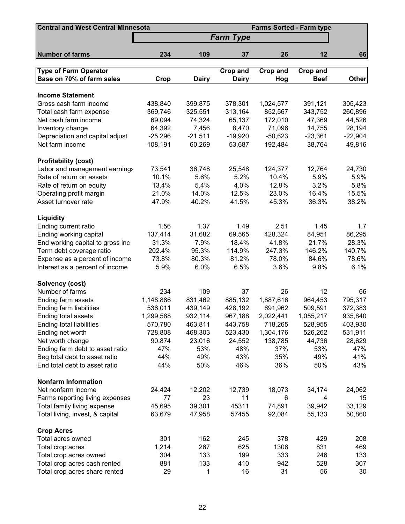| <b>Central and West Central Minnesota</b> |           |              |                  | <b>Farms Sorted - Farm type</b> |             |              |
|-------------------------------------------|-----------|--------------|------------------|---------------------------------|-------------|--------------|
|                                           |           |              | <b>Farm Type</b> |                                 |             |              |
| <b>Number of farms</b>                    | 234       | 109          | 37               | 26                              | 12          | 66           |
| <b>Type of Farm Operator</b>              |           |              | Crop and         | Crop and                        | Crop and    |              |
| Base on 70% of farm sales                 | Crop      | <b>Dairy</b> | <b>Dairy</b>     | Hog                             | <b>Beef</b> | <b>Other</b> |
|                                           |           |              |                  |                                 |             |              |
| <b>Income Statement</b>                   |           |              |                  |                                 |             |              |
| Gross cash farm income                    | 438,840   | 399,875      | 378,301          | 1,024,577                       | 391,121     | 305,423      |
| Total cash farm expense                   | 369,746   | 325,551      | 313,164          | 852,567                         | 343,752     | 260,896      |
| Net cash farm income                      | 69,094    | 74,324       | 65,137           | 172,010                         | 47,369      | 44,526       |
| Inventory change                          | 64,392    | 7,456        | 8,470            | 71,096                          | 14,755      | 28,194       |
| Depreciation and capital adjust           | $-25,296$ | $-21,511$    | $-19,920$        | $-50,623$                       | $-23,361$   | $-22,904$    |
| Net farm income                           | 108,191   | 60,269       | 53,687           | 192,484                         | 38,764      | 49,816       |
| <b>Profitability (cost)</b>               |           |              |                  |                                 |             |              |
| Labor and management earnings             | 73,541    | 36,748       | 25,548           | 124,377                         | 12,764      | 24,730       |
| Rate of return on assets                  | 10.1%     | 5.6%         | 5.2%             | 10.4%                           | 5.9%        | 5.9%         |
| Rate of return on equity                  | 13.4%     | 5.4%         | 4.0%             | 12.8%                           | 3.2%        | 5.8%         |
| Operating profit margin                   | 21.0%     | 14.0%        | 12.5%            | 23.0%                           | 16.4%       | 15.5%        |
| Asset turnover rate                       | 47.9%     | 40.2%        | 41.5%            | 45.3%                           | 36.3%       | 38.2%        |
| <b>Liquidity</b>                          |           |              |                  |                                 |             |              |
| Ending current ratio                      | 1.56      | 1.37         | 1.49             | 2.51                            | 1.45        | 1.7          |
| Ending working capital                    | 137,414   | 31,682       | 69,565           | 428,324                         | 84,951      | 86,295       |
| End working capital to gross inc          | 31.3%     | 7.9%         | 18.4%            | 41.8%                           | 21.7%       | 28.3%        |
| Term debt coverage ratio                  | 202.4%    | 95.3%        | 114.9%           | 247.3%                          | 146.2%      | 140.7%       |
| Expense as a percent of income            | 73.8%     | 80.3%        | 81.2%            | 78.0%                           | 84.6%       | 78.6%        |
| Interest as a percent of income           | 5.9%      | 6.0%         | 6.5%             | 3.6%                            | 9.8%        | 6.1%         |
| Solvency (cost)                           |           |              |                  |                                 |             |              |
| Number of farms                           | 234       | 109          | 37               | 26                              | 12          | 66           |
| Ending farm assets                        | 1,148,886 | 831,462      | 885,132          | 1,887,616                       | 964,453     | 795,317      |
| Ending farm liabilities                   | 536,011   | 439,149      | 428,192          | 691,962                         | 509,591     | 372,383      |
| Ending total assets                       | 1,299,588 | 932,114      | 967,188          | 2,022,441                       | 1,055,217   | 935,840      |
| Ending total liabilities                  | 570,780   | 463,811      | 443,758          | 718,265                         | 528,955     | 403,930      |
| Ending net worth                          | 728,808   | 468,303      | 523,430          | 1,304,176                       | 526,262     | 531,911      |
| Net worth change                          | 90,874    | 23,016       | 24,552           | 138,785                         | 44,736      | 28,629       |
| Ending farm debt to asset ratio           | 47%       | 53%          | 48%              | 37%                             | 53%         | 47%          |
| Beg total debt to asset ratio             | 44%       | 49%          | 43%              | 35%                             | 49%         | 41%          |
| End total debt to asset ratio             | 44%       | 50%          | 46%              | 36%                             | 50%         | 43%          |
| <b>Nonfarm Information</b>                |           |              |                  |                                 |             |              |
| Net nonfarm income                        | 24,424    | 12,202       | 12,739           | 18,073                          | 34,174      | 24,062       |
| Farms reporting living expenses           | 77        | 23           | 11               | 6                               | 4           | 15           |
| Total family living expense               | 45,695    | 39,301       | 45311            | 74,891                          | 39,942      | 33,129       |
| Total living, invest, & capital           | 63,679    | 47,958       | 57455            | 92,084                          | 55,133      | 50,860       |
| <b>Crop Acres</b>                         |           |              |                  |                                 |             |              |
| Total acres owned                         | 301       | 162          | 245              | 378                             | 429         | 208          |
| Total crop acres                          | 1,214     | 267          | 625              | 1306                            | 831         | 469          |
| Total crop acres owned                    | 304       | 133          | 199              | 333                             | 246         | 133          |
| Total crop acres cash rented              | 881       | 133          | 410              | 942                             | 528         | 307          |
| Total crop acres share rented             | 29        | 1            | 16               | 31                              | 56          | 30           |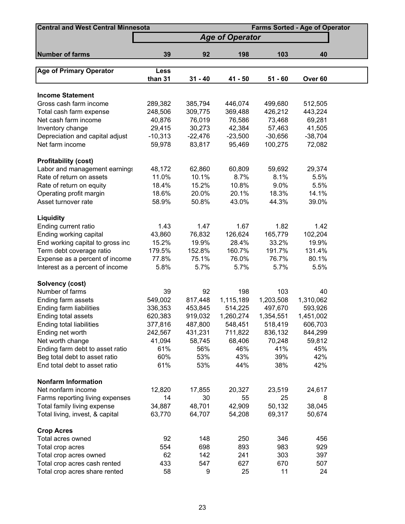| <b>Central and West Central Minnesota</b><br><b>Farms Sorted - Age of Operator</b> |           |           |                        |           |           |  |  |
|------------------------------------------------------------------------------------|-----------|-----------|------------------------|-----------|-----------|--|--|
|                                                                                    |           |           | <b>Age of Operator</b> |           |           |  |  |
| <b>Number of farms</b>                                                             | 39        | 92        | 198                    | 103       | 40        |  |  |
|                                                                                    |           |           |                        |           |           |  |  |
| <b>Age of Primary Operator</b>                                                     | Less      |           |                        |           |           |  |  |
|                                                                                    | than 31   | $31 - 40$ | 41 - 50                | $51 - 60$ | Over 60   |  |  |
|                                                                                    |           |           |                        |           |           |  |  |
| <b>Income Statement</b><br>Gross cash farm income                                  | 289,382   | 385,794   | 446,074                | 499,680   | 512,505   |  |  |
| Total cash farm expense                                                            | 248,506   | 309,775   | 369,488                | 426,212   | 443,224   |  |  |
| Net cash farm income                                                               | 40,876    | 76,019    | 76,586                 | 73,468    | 69,281    |  |  |
| Inventory change                                                                   | 29,415    | 30,273    | 42,384                 | 57,463    | 41,505    |  |  |
| Depreciation and capital adjust                                                    | $-10,313$ | $-22,476$ | $-23,500$              | $-30,656$ | $-38,704$ |  |  |
| Net farm income                                                                    | 59,978    | 83,817    | 95,469                 | 100,275   | 72,082    |  |  |
|                                                                                    |           |           |                        |           |           |  |  |
| <b>Profitability (cost)</b>                                                        |           |           |                        |           |           |  |  |
| Labor and management earnings                                                      | 48,172    | 62,860    | 60,809                 | 59,692    | 29,374    |  |  |
| Rate of return on assets                                                           | 11.0%     | 10.1%     | 8.7%                   | 8.1%      | 5.5%      |  |  |
| Rate of return on equity                                                           | 18.4%     | 15.2%     | 10.8%                  | 9.0%      | 5.5%      |  |  |
| Operating profit margin                                                            | 18.6%     | 20.0%     | 20.1%                  | 18.3%     | 14.1%     |  |  |
| Asset turnover rate                                                                | 58.9%     | 50.8%     | 43.0%                  | 44.3%     | 39.0%     |  |  |
|                                                                                    |           |           |                        |           |           |  |  |
| <b>Liquidity</b>                                                                   |           |           |                        |           |           |  |  |
| Ending current ratio                                                               | 1.43      | 1.47      | 1.67                   | 1.82      | 1.42      |  |  |
| Ending working capital                                                             | 43,860    | 76,832    | 126,624                | 165,779   | 102,204   |  |  |
| End working capital to gross inc                                                   | 15.2%     | 19.9%     | 28.4%                  | 33.2%     | 19.9%     |  |  |
| Term debt coverage ratio                                                           | 179.5%    | 152.8%    | 160.7%                 | 191.7%    | 131.4%    |  |  |
| Expense as a percent of income                                                     | 77.8%     | 75.1%     | 76.0%                  | 76.7%     | 80.1%     |  |  |
| Interest as a percent of income                                                    | 5.8%      | 5.7%      | 5.7%                   | 5.7%      | 5.5%      |  |  |
| Solvency (cost)                                                                    |           |           |                        |           |           |  |  |
| Number of farms                                                                    | 39        | 92        | 198                    | 103       | 40        |  |  |
| Ending farm assets                                                                 | 549,002   | 817,448   | 1,115,189              | 1,203,508 | 1,310,062 |  |  |
| Ending farm liabilities                                                            | 336,353   | 453,845   | 514,225                | 497,670   | 593,926   |  |  |
| Ending total assets                                                                | 620,383   | 919,032   | 1,260,274              | 1,354,551 | 1,451,002 |  |  |
| Ending total liabilities                                                           | 377,816   | 487,800   | 548,451                | 518,419   | 606,703   |  |  |
| Ending net worth                                                                   | 242,567   | 431,231   | 711,822                | 836,132   | 844,299   |  |  |
| Net worth change                                                                   | 41,094    | 58,745    | 68,406                 | 70,248    | 59,812    |  |  |
| Ending farm debt to asset ratio                                                    | 61%       | 56%       | 46%                    | 41%       | 45%       |  |  |
| Beg total debt to asset ratio                                                      | 60%       | 53%       | 43%                    | 39%       | 42%       |  |  |
| End total debt to asset ratio                                                      | 61%       | 53%       | 44%                    | 38%       | 42%       |  |  |
|                                                                                    |           |           |                        |           |           |  |  |
| <b>Nonfarm Information</b>                                                         |           |           |                        |           |           |  |  |
| Net nonfarm income                                                                 | 12,820    | 17,855    | 20,327                 | 23,519    | 24,617    |  |  |
| Farms reporting living expenses                                                    | 14        | 30        | 55                     | 25        | 8         |  |  |
| Total family living expense                                                        | 34,887    | 48,701    | 42,909                 | 50,132    | 38,045    |  |  |
| Total living, invest, & capital                                                    | 63,770    | 64,707    | 54,208                 | 69,317    | 50,674    |  |  |
| <b>Crop Acres</b>                                                                  |           |           |                        |           |           |  |  |
| Total acres owned                                                                  | 92        | 148       | 250                    | 346       | 456       |  |  |
| Total crop acres                                                                   | 554       | 698       | 893                    | 983       | 929       |  |  |
| Total crop acres owned                                                             | 62        | 142       | 241                    | 303       | 397       |  |  |
| Total crop acres cash rented                                                       | 433       | 547       | 627                    | 670       | 507       |  |  |
| Total crop acres share rented                                                      | 58        | 9         | 25                     | 11        | 24        |  |  |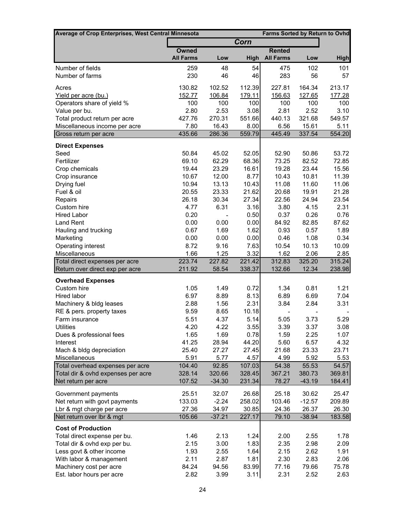| Average of Crop Enterprises, West Central Minnesota               |                  |                |                | Farms Sorted by Return to Ovhd |                 |                  |
|-------------------------------------------------------------------|------------------|----------------|----------------|--------------------------------|-----------------|------------------|
|                                                                   |                  |                | Corn           |                                |                 |                  |
|                                                                   | <b>Owned</b>     |                |                | <b>Rented</b>                  |                 |                  |
|                                                                   | <b>All Farms</b> | Low            | <b>High</b>    | <b>All Farms</b>               | Low             | <b>High</b>      |
| Number of fields                                                  | 259              | 48             | 54             | 475                            | 102             | 101              |
| Number of farms                                                   | 230              | 46             | 46             | 283                            | 56              | 57               |
| Acres                                                             | 130.82           | 102.52         | 112.39         | 227.81                         | 164.34          | 213.17           |
| Yield per acre (bu.)                                              | 152.77           | 106.84         | 179.11         | 156.63                         | 127.65          | 177.28           |
| Operators share of yield %                                        | 100              | 100            | 100            | 100                            | 100             | 100              |
| Value per bu.                                                     | 2.80             | 2.53           | 3.08           | 2.81                           | 2.52            | 3.10             |
| Total product return per acre                                     | 427.76           | 270.31         | 551.66         | 440.13                         | 321.68          | 549.57           |
| Miscellaneous income per acre                                     | 7.80             | 16.43          | 8.00           | 6.56                           | 15.61           | 5.11             |
| Gross return per acre                                             | 435.66           | 286.36         | 559.79         | 445.49                         | 337.54          | 554.20           |
| <b>Direct Expenses</b>                                            |                  |                |                |                                |                 |                  |
| Seed                                                              | 50.84            | 45.02          | 52.05          | 52.90                          | 50.86           | 53.72            |
| Fertilizer                                                        | 69.10            | 62.29          | 68.36          | 73.25                          | 82.52           | 72.85            |
| Crop chemicals                                                    | 19.44            | 23.29          | 16.61          | 19.28                          | 23.44           | 15.56            |
| Crop insurance                                                    | 10.67            | 12.00          | 8.77           | 10.43                          | 10.81           | 11.39            |
| Drying fuel                                                       | 10.94            | 13.13          | 10.43          | 11.08                          | 11.60           | 11.06            |
| Fuel & oil                                                        | 20.55            | 23.33          | 21.62          | 20.68                          | 19.91           | 21.28            |
| Repairs                                                           | 26.18            | 30.34          | 27.34          | 22.56                          | 24.94           | 23.54            |
| Custom hire                                                       | 4.77             | 6.31           | 3.16           | 3.80                           | 4.15            | 2.31             |
| <b>Hired Labor</b>                                                | 0.20             |                | 0.50           | 0.37                           | 0.26            | 0.76             |
| Land Rent                                                         | 0.00             | 0.00           | 0.00           | 84.92                          | 82.85           | 87.62            |
| Hauling and trucking                                              | 0.67             | 1.69           | 1.62           | 0.93                           | 0.57            | 1.89             |
| Marketing                                                         | 0.00             | 0.00           | 0.00           | 0.46                           | 1.08            | 0.34             |
| Operating interest                                                | 8.72             | 9.16           | 7.63           | 10.54                          | 10.13           | 10.09            |
| Miscellaneous                                                     | 1.66<br>223.74   | 1.25<br>227.82 | 3.32<br>221.42 | 1.62                           | 2.06            | 2.85             |
| Total direct expenses per acre<br>Return over direct exp per acre | 211.92           | 58.54          | 338.37         | 312.83<br>132.66               | 325.20<br>12.34 | 315.24<br>238.98 |
| <b>Overhead Expenses</b>                                          |                  |                |                |                                |                 |                  |
| Custom hire                                                       | 1.05             | 1.49           | 0.72           | 1.34                           | 0.81            | 1.21             |
| Hired labor                                                       | 6.97             | 8.89           | 8.13           | 6.89                           | 6.69            | 7.04             |
| Machinery & bldg leases                                           | 2.88             | 1.56           | 2.31           | 3.84                           | 2.84            | 3.31             |
| RE & pers. property taxes                                         | 9.59             | 8.65           | 10.18          |                                |                 |                  |
| Farm insurance                                                    | 5.51             | 4.37           | 5.14           | 5.05                           | 3.73            | 5.29             |
| <b>Utilities</b>                                                  | 4.20             | 4.22           | 3.55           | 3.39                           | 3.37            | 3.08             |
| Dues & professional fees                                          | 1.65             | 1.69           | 0.78           | 1.59                           | 2.25            | 1.07             |
| Interest                                                          | 41.25            | 28.94          | 44.20          | 5.60                           | 6.57            | 4.32             |
| Mach & bldg depreciation                                          | 25.40            | 27.27          | 27.45          | 21.68                          | 23.33           | 23.71            |
| Miscellaneous                                                     | 5.91             | 5.77           | 4.57           | 4.99                           | 5.92            | 5.53             |
| Total overhead expenses per acre                                  | 104.40           | 92.85          | 107.03         | 54.38                          | 55.53           | 54.57            |
| Total dir & ovhd expenses per acre                                | 328.14           | 320.66         | 328.45         | 367.21                         | 380.73          | 369.81           |
| Net return per acre                                               | 107.52           | $-34.30$       | 231.34         | 78.27                          | $-43.19$        | 184.41           |
| Government payments                                               | 25.51            | 32.07          | 26.68          | 25.18                          | 30.62           | 25.47            |
| Net return with govt payments                                     | 133.03           | $-2.24$        | 258.02         | 103.46                         | $-12.57$        | 209.89           |
| Lbr & mgt charge per acre                                         | 27.36            | 34.97          | 30.85          | 24.36                          | 26.37           | 26.30            |
| Net return over Ibr & mgt                                         | 105.66           | $-37.21$       | 227.17         | 79.10                          | $-38.94$        | 183.58           |
| <b>Cost of Production</b>                                         |                  |                |                |                                |                 |                  |
| Total direct expense per bu.                                      | 1.46             | 2.13           | 1.24           | 2.00                           | 2.55            | 1.78             |
| Total dir & ovhd exp per bu.                                      | 2.15             | 3.00           | 1.83           | 2.35                           | 2.98            | 2.09             |
| Less govt & other income                                          | 1.93             | 2.55           | 1.64           | 2.15                           | 2.62            | 1.91             |
| With labor & management                                           | 2.11             | 2.87           | 1.81           | 2.30                           | 2.83            | 2.06             |
| Machinery cost per acre                                           | 84.24            | 94.56          | 83.99          | 77.16                          | 79.66           | 75.78            |
| Est. labor hours per acre                                         | 2.82             | 3.99           | 3.11           | 2.31                           | 2.52            | 2.63             |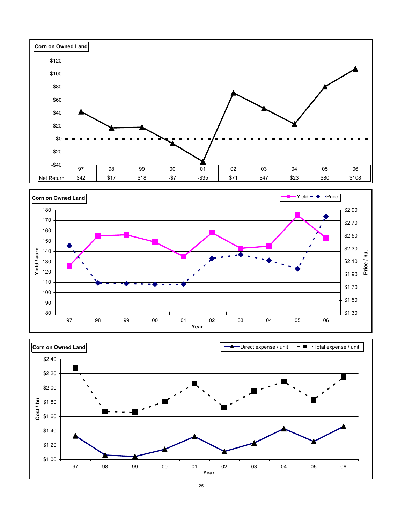



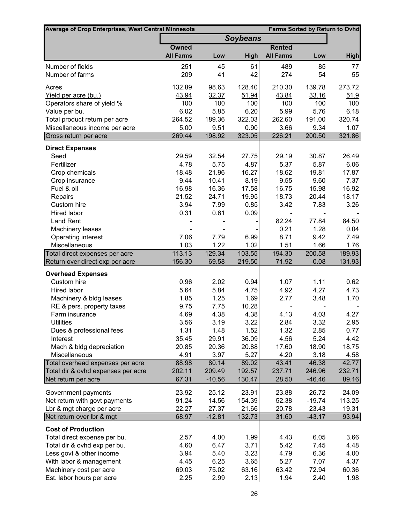| Average of Crop Enterprises, West Central Minnesota       |                  |                    |                  |                  | <b>Farms Sorted by Return to Ovhd</b> |                 |
|-----------------------------------------------------------|------------------|--------------------|------------------|------------------|---------------------------------------|-----------------|
|                                                           |                  |                    | <b>Soybeans</b>  |                  |                                       |                 |
|                                                           | <b>Owned</b>     |                    |                  | <b>Rented</b>    |                                       |                 |
|                                                           | <b>All Farms</b> | Low                | <b>High</b>      | <b>All Farms</b> | Low                                   | <b>High</b>     |
| Number of fields                                          | 251              | 45                 | 61               | 489              | 85                                    | 77              |
| Number of farms                                           | 209              | 41                 | 42               | 274              | 54                                    | 55              |
| Acres                                                     | 132.89           | 98.63              | 128.40           | 210.30           | 139.78                                | 273.72          |
| Yield per acre (bu.)                                      | 43.94            | 32.37              | 51.94            | 43.84            | 33.16                                 | 51.9            |
| Operators share of yield %                                | 100              | 100                | 100              | 100              | 100                                   | 100             |
| Value per bu.                                             | 6.02             | 5.85               | 6.20             | 5.99             | 5.76                                  | 6.18            |
| Total product return per acre                             | 264.52           | 189.36             | 322.03           | 262.60           | 191.00                                | 320.74          |
| Miscellaneous income per acre                             | 5.00             | 9.51               | 0.90             | 3.66             | 9.34                                  | 1.07            |
| Gross return per acre                                     | 269.44           | 198.92             | 323.05           | 226.21           | 200.50                                | 321.86          |
| <b>Direct Expenses</b>                                    |                  |                    |                  |                  |                                       |                 |
| Seed                                                      | 29.59            | 32.54              | 27.75            | 29.19            | 30.87                                 | 26.49           |
| Fertilizer                                                | 4.78             | 5.75               | 4.87             | 5.37             | 5.87                                  | 6.06            |
| Crop chemicals                                            | 18.48            | 21.96              | 16.27            | 18.62            | 19.81                                 | 17.87           |
| Crop insurance                                            | 9.44             | 10.41              | 8.19             | 9.55             | 9.60                                  | 7.37            |
| Fuel & oil                                                | 16.98            | 16.36              | 17.58            | 16.75            | 15.98                                 | 16.92           |
| Repairs                                                   | 21.52            | 24.71              | 19.95            | 18.73            | 20.44                                 | 18.17           |
| Custom hire                                               | 3.94             | 7.99               | 0.85             | 3.42             | 7.83                                  | 3.26            |
| Hired labor                                               | 0.31             | 0.61               | 0.09             |                  |                                       |                 |
| <b>Land Rent</b>                                          |                  |                    |                  | 82.24            | 77.84                                 | 84.50           |
| Machinery leases                                          |                  |                    |                  | 0.21             | 1.28                                  | 0.04            |
| Operating interest                                        | 7.06             | 7.79               | 6.99             | 8.71             | 9.42                                  | 7.49            |
| Miscellaneous                                             | 1.03             | 1.22               | 1.02             | 1.51             | 1.66                                  | 1.76            |
| Total direct expenses per acre                            | 113.13           | 129.34             | 103.55           | 194.30           | 200.58                                | 189.93          |
| Return over direct exp per acre                           | 156.30           | 69.58              | 219.50           | 71.92            | $-0.08$                               | 131.93          |
| <b>Overhead Expenses</b>                                  |                  |                    |                  |                  |                                       |                 |
| Custom hire                                               | 0.96             | 2.02               | 0.94             | 1.07             | 1.11                                  | 0.62            |
| Hired labor                                               | 5.64             | 5.84               | 4.75             | 4.92             | 4.27                                  | 4.73            |
| Machinery & bldg leases                                   | 1.85             | 1.25               | 1.69             | 2.77             | 3.48                                  | 1.70            |
| RE & pers. property taxes                                 | 9.75             | 7.75               | 10.28            |                  |                                       |                 |
| Farm insurance                                            | 4.69             | 4.38               | 4.38             | 4.13             | 4.03                                  | 4.27            |
| <b>Utilities</b>                                          | 3.56             | 3.19               | 3.22             | 2.84             | 3.32                                  | 2.95            |
| Dues & professional fees                                  | 1.31             | 1.48               | 1.52             | 1.32             | 2.85                                  | 0.77            |
| Interest                                                  | 35.45            | 29.91              | 36.09            | 4.56             | 5.24                                  | 4.42            |
| Mach & bldg depreciation                                  | 20.85            | 20.36              | 20.88            | 17.60            | 18.90                                 | 18.75           |
| Miscellaneous                                             | 4.91             | 3.97               | 5.27             | 4.20             | 3.18                                  | 4.58            |
| Total overhead expenses per acre                          | 88.98            | 80.14              | 89.02            | 43.41            | 46.38                                 | 42.77           |
| Total dir & ovhd expenses per acre<br>Net return per acre | 202.11<br>67.31  | 209.49<br>$-10.56$ | 192.57<br>130.47 | 237.71<br>28.50  | 246.96<br>$-46.46$                    | 232.71<br>89.16 |
|                                                           |                  |                    |                  |                  |                                       |                 |
| Government payments                                       | 23.92            | 25.12              | 23.91            | 23.88            | 26.72                                 | 24.09           |
| Net return with govt payments                             | 91.24            | 14.56              | 154.39           | 52.38            | $-19.74$                              | 113.25          |
| Lbr & mgt charge per acre                                 | 22.27            | 27.37              | 21.66            | 20.78            | 23.43                                 | 19.31           |
| Net return over Ibr & mgt                                 | 68.97            | $-12.81$           | 132.73           | 31.60            | $-43.17$                              | 93.94           |
| <b>Cost of Production</b>                                 |                  |                    |                  |                  |                                       |                 |
| Total direct expense per bu.                              | 2.57             | 4.00               | 1.99             | 4.43             | 6.05                                  | 3.66            |
| Total dir & ovhd exp per bu.                              | 4.60             | 6.47               | 3.71             | 5.42             | 7.45                                  | 4.48            |
| Less govt & other income                                  | 3.94             | 5.40               | 3.23             | 4.79             | 6.36                                  | 4.00            |
| With labor & management                                   | 4.45             | 6.25               | 3.65             | 5.27             | 7.07                                  | 4.37            |
| Machinery cost per acre                                   | 69.03            | 75.02              | 63.16            | 63.42            | 72.94                                 | 60.36           |
| Est. labor hours per acre                                 | 2.25             | 2.99               | 2.13             | 1.94             | 2.40                                  | 1.98            |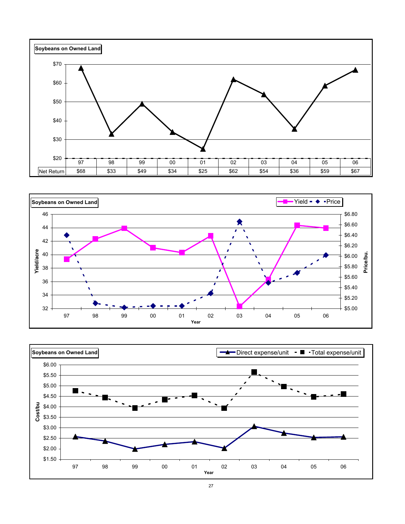



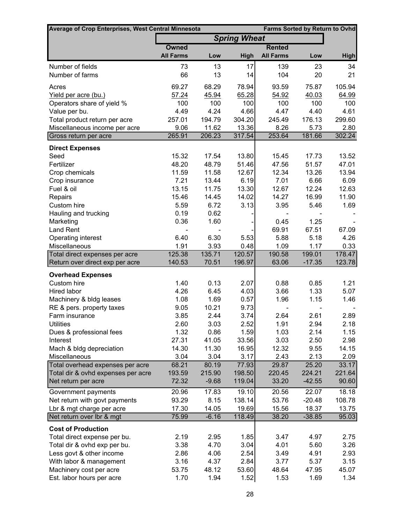| <b>Average of Crop Enterprises, West Central Minnesota</b> |                  |         |                     |                  | <b>Farms Sorted by Return to Ovhd</b> |               |  |
|------------------------------------------------------------|------------------|---------|---------------------|------------------|---------------------------------------|---------------|--|
|                                                            |                  |         | <b>Spring Wheat</b> |                  |                                       |               |  |
|                                                            | <b>Owned</b>     |         |                     | <b>Rented</b>    |                                       |               |  |
|                                                            | <b>All Farms</b> | Low     | High                | <b>All Farms</b> | Low                                   | <b>High</b>   |  |
| Number of fields                                           | 73               | 13      | 17                  | 139              | 23                                    | 34            |  |
| Number of farms                                            | 66               | 13      | 14                  | 104              | 20                                    | 21            |  |
| Acres                                                      | 69.27            | 68.29   | 78.94               | 93.59            | 75.87                                 | 105.94        |  |
| Yield per acre (bu.)                                       | 57.24            | 45.94   | 65.28               | 54.92            | 40.03                                 | 64.99         |  |
| Operators share of yield %                                 | 100              | 100     | 100                 | 100              | 100                                   | 100           |  |
| Value per bu.                                              | 4.49             | 4.24    | 4.66                | 4.47             | 4.40                                  | 4.61          |  |
| Total product return per acre                              | 257.01           | 194.79  | 304.20              | 245.49           | 176.13                                | 299.60        |  |
| Miscellaneous income per acre                              | 9.06             | 11.62   | 13.36               | 8.26             | 5.73                                  | 2.80          |  |
| Gross return per acre                                      | 265.91           | 206.23  | 317.54              | 253.64           | 181.66                                | 302.24        |  |
| <b>Direct Expenses</b>                                     |                  |         |                     |                  |                                       |               |  |
| Seed                                                       | 15.32            | 17.54   | 13.80               | 15.45            | 17.73                                 | 13.52         |  |
| Fertilizer                                                 | 48.20            | 48.79   | 51.46               | 47.56            | 51.57                                 | 47.01         |  |
| Crop chemicals                                             | 11.59            | 11.58   | 12.67               | 12.34            | 13.26                                 | 13.94         |  |
| Crop insurance                                             | 7.21             | 13.44   | 6.19                | 7.01             | 6.66                                  | 6.09          |  |
| Fuel & oil                                                 | 13.15            | 11.75   | 13.30               | 12.67            | 12.24                                 | 12.63         |  |
| Repairs                                                    | 15.46            | 14.45   | 14.02               | 14.27            | 16.99                                 | 11.90         |  |
| Custom hire                                                | 5.59             | 6.72    | 3.13                | 3.95             | 5.46                                  | 1.69          |  |
| Hauling and trucking                                       | 0.19             | 0.62    |                     |                  |                                       |               |  |
| Marketing                                                  | 0.36             | 1.60    |                     | 0.45<br>69.91    | 1.25<br>67.51                         |               |  |
| Land Rent<br>Operating interest                            | 6.40             | 6.30    | 5.53                | 5.88             | 5.18                                  | 67.09<br>4.26 |  |
| Miscellaneous                                              | 1.91             | 3.93    | 0.48                | 1.09             | 1.17                                  | 0.33          |  |
| Total direct expenses per acre                             | 125.38           | 135.71  | 120.57              | 190.58           | 199.01                                | 178.47        |  |
| Return over direct exp per acre                            | 140.53           | 70.51   | 196.97              | 63.06            | $-17.35$                              | 123.78        |  |
| <b>Overhead Expenses</b>                                   |                  |         |                     |                  |                                       |               |  |
| Custom hire                                                | 1.40             | 0.13    | 2.07                | 0.88             | 0.85                                  | 1.21          |  |
| Hired labor                                                | 4.26             | 6.45    | 4.03                | 3.66             | 1.33                                  | 5.07          |  |
| Machinery & bldg leases                                    | 1.08             | 1.69    | 0.57                | 1.96             | 1.15                                  | 1.46          |  |
| RE & pers. property taxes                                  | 9.05             | 10.21   | 9.73                |                  |                                       |               |  |
| Farm insurance                                             | 3.85             | 2.44    | 3.74                | 2.64             | 2.61                                  | 2.89          |  |
| <b>Utilities</b>                                           | 2.60             | 3.03    | 2.52                | 1.91             | 2.94                                  | 2.18          |  |
| Dues & professional fees                                   | 1.32             | 0.86    | 1.59                | 1.03             | 2.14                                  | 1.15          |  |
| Interest                                                   | 27.31            | 41.05   | 33.56               | 3.03             | 2.50                                  | 2.98          |  |
| Mach & bldg depreciation                                   | 14.30            | 11.30   | 16.95               | 12.32            | 9.55                                  | 14.15         |  |
| Miscellaneous                                              | 3.04             | 3.04    | 3.17                | 2.43             | 2.13                                  | 2.09          |  |
| Total overhead expenses per acre                           | 68.21            | 80.19   | 77.93               | 29.87            | 25.20                                 | 33.17         |  |
| Total dir & ovhd expenses per acre                         | 193.59           | 215.90  | 198.50              | 220.45           | 224.21                                | 221.64        |  |
| Net return per acre                                        | 72.32            | $-9.68$ | 119.04              | 33.20            | $-42.55$                              | 90.60         |  |
| Government payments                                        | 20.96            | 17.83   | 19.10               | 20.56            | 22.07                                 | 18.18         |  |
| Net return with govt payments                              | 93.29            | 8.15    | 138.14              | 53.76            | $-20.48$                              | 108.78        |  |
| Lbr & mgt charge per acre                                  | 17.30            | 14.05   | 19.69               | 15.56            | 18.37                                 | 13.75         |  |
| Net return over Ibr & mgt                                  | 75.99            | $-6.16$ | 118.49              | 38.20            | $-38.85$                              | 95.03         |  |
| <b>Cost of Production</b>                                  |                  |         |                     |                  |                                       |               |  |
| Total direct expense per bu.                               | 2.19             | 2.95    | 1.85                | 3.47             | 4.97                                  | 2.75          |  |
| Total dir & ovhd exp per bu.                               | 3.38             | 4.70    | 3.04                | 4.01             | 5.60                                  | 3.26          |  |
| Less govt & other income                                   | 2.86             | 4.06    | 2.54                | 3.49             | 4.91                                  | 2.93          |  |
| With labor & management                                    | 3.16             | 4.37    | 2.84                | 3.77             | 5.37                                  | 3.15          |  |
| Machinery cost per acre                                    | 53.75            | 48.12   | 53.60               | 48.64            | 47.95                                 | 45.07         |  |
| Est. labor hours per acre                                  | 1.70             | 1.94    | 1.52                | 1.53             | 1.69                                  | 1.34          |  |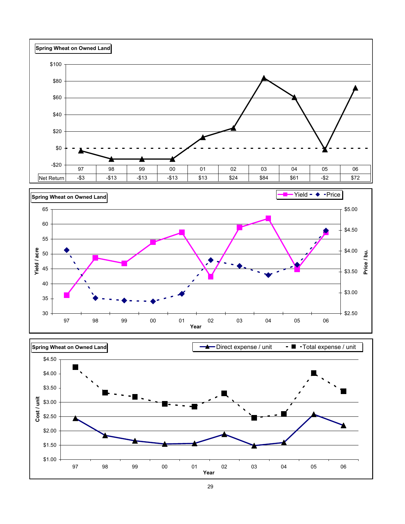



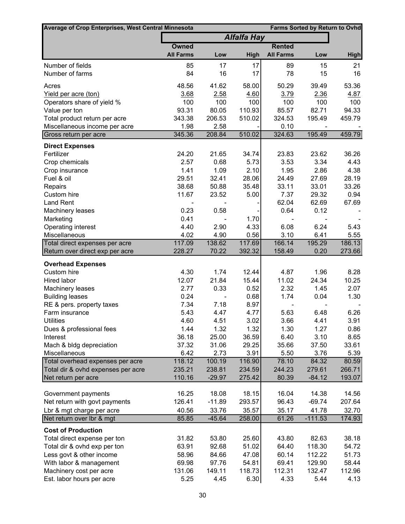| <b>Average of Crop Enterprises, West Central Minnesota</b> |                  |          |                    |                  |                | <b>Farms Sorted by Return to Ovhd</b> |
|------------------------------------------------------------|------------------|----------|--------------------|------------------|----------------|---------------------------------------|
|                                                            |                  |          | <b>Alfalfa Hay</b> |                  |                |                                       |
|                                                            | <b>Owned</b>     |          |                    | <b>Rented</b>    |                |                                       |
|                                                            | <b>All Farms</b> | Low      | <b>High</b>        | <b>All Farms</b> | Low            | <b>High</b>                           |
| Number of fields                                           | 85               | 17       | 17                 | 89               | 15             | 21                                    |
| Number of farms                                            | 84               | 16       | 17                 | 78               | 15             | 16                                    |
| Acres                                                      | 48.56            | 41.62    | 58.00              | 50.29            | 39.49          | 53.36                                 |
| Yield per acre (ton)                                       | 3.68             | 2.58     | 4.60               | 3.79             | 2.36           | 4.87                                  |
| Operators share of yield %                                 | 100              | 100      | 100                | 100              | 100            | 100                                   |
| Value per ton                                              | 93.31            | 80.05    | 110.93             | 85.57            | 82.71          | 94.33                                 |
| Total product return per acre                              | 343.38           | 206.53   | 510.02             | 324.53           | 195.49         | 459.79                                |
| Miscellaneous income per acre                              | 1.98             | 2.58     |                    | 0.10             |                |                                       |
| Gross return per acre                                      | 345.36           | 208.84   | 510.02             | 324.63           | 195.49         | 459.79                                |
| <b>Direct Expenses</b>                                     |                  |          |                    |                  |                |                                       |
| Fertilizer                                                 | 24.20            | 21.65    | 34.74              | 23.83            | 23.62          | 36.26                                 |
| Crop chemicals                                             | 2.57             | 0.68     | 5.73               | 3.53             | 3.34           | 4.43                                  |
| Crop insurance                                             | 1.41             | 1.09     | 2.10               | 1.95             | 2.86           | 4.38                                  |
| Fuel & oil                                                 | 29.51            | 32.41    | 28.06              | 24.49            | 27.69          | 28.19                                 |
| Repairs                                                    | 38.68            | 50.88    | 35.48              | 33.11            | 33.01          | 33.26                                 |
| Custom hire                                                | 11.67            | 23.52    | 5.00               | 7.37             | 29.32          | 0.94                                  |
| <b>Land Rent</b>                                           |                  |          |                    | 62.04            | 62.69          | 67.69                                 |
| Machinery leases                                           | 0.23             | 0.58     |                    | 0.64             | 0.12           |                                       |
| Marketing                                                  | 0.41             |          | 1.70               |                  |                |                                       |
| Operating interest                                         | 4.40             | 2.90     | 4.33               | 6.08             | 6.24           | 5.43                                  |
| Miscellaneous                                              | 4.02             | 4.90     | 0.56               | 3.10             | 6.41           | 5.55                                  |
| Total direct expenses per acre                             | 117.09           | 138.62   | 117.69             | 166.14           | 195.29         | 186.13                                |
| Return over direct exp per acre                            | 228.27           | 70.22    | 392.32             | 158.49           | 0.20           | 273.66                                |
| <b>Overhead Expenses</b>                                   |                  |          |                    |                  |                |                                       |
| Custom hire                                                | 4.30             | 1.74     | 12.44              | 4.87             | 1.96           | 8.28                                  |
| Hired labor                                                | 12.07            | 21.84    | 15.44              | 11.02            | 24.34          | 10.25                                 |
| Machinery leases                                           | 2.77             | 0.33     | 0.52               | 2.32             | 1.45           | 2.07                                  |
| <b>Building leases</b>                                     | 0.24             |          | 0.68               | 1.74             | 0.04           | 1.30                                  |
| RE & pers. property taxes                                  | 7.34             | 7.18     | 8.97               |                  |                |                                       |
| Farm insurance                                             | 5.43             | 4.47     | 4.77               | 5.63             | 6.48           | 6.26                                  |
| <b>Utilities</b>                                           | 4.60             | 4.51     | 3.02               | 3.66             | 4.41           | 3.91                                  |
| Dues & professional fees                                   | 1.44             | 1.32     | 1.32               | 1.30             | 1.27           | 0.86                                  |
| Interest                                                   | 36.18            | 25.00    | 36.59              | 6.40             | 3.10           | 8.65                                  |
| Mach & bldg depreciation                                   | 37.32            | 31.06    | 29.25              | 35.66            | 37.50          | 33.61                                 |
| Miscellaneous                                              | 6.42             | 2.73     | 3.91               | 5.50             | 3.76           | 5.39                                  |
| Total overhead expenses per acre                           | 118.12           | 100.19   | 116.90             | 78.10            | 84.32          | 80.59                                 |
| Total dir & ovhd expenses per acre                         | 235.21           | 238.81   | 234.59             | 244.23           | 279.61         | 266.71                                |
| Net return per acre                                        | 110.16           | $-29.97$ | 275.42             | 80.39            | $-84.12$       | 193.07                                |
| Government payments                                        | 16.25            | 18.08    | 18.15              | 16.04            | 14.38          | 14.56                                 |
| Net return with govt payments                              | 126.41           | $-11.89$ | 293.57             | 96.43            | $-69.74$       | 207.64                                |
| Lbr & mgt charge per acre                                  | 40.56            | 33.76    | 35.57              | 35.17            | 41.78          | 32.70                                 |
| Net return over Ibr & mgt                                  | 85.85            | $-45.64$ | 258.00             | 61.26            | $-111.53$      | 174.93                                |
|                                                            |                  |          |                    |                  |                |                                       |
| <b>Cost of Production</b>                                  |                  |          |                    |                  |                |                                       |
| Total direct expense per ton                               | 31.82            | 53.80    | 25.60              | 43.80            | 82.63          | 38.18                                 |
| Total dir & ovhd exp per ton                               | 63.91            | 92.68    | 51.02              | 64.40            | 118.30         | 54.72                                 |
| Less govt & other income                                   | 58.96            | 84.66    | 47.08              | 60.14            | 112.22         | 51.73                                 |
| With labor & management                                    | 69.98            | 97.76    | 54.81              | 69.41            | 129.90         | 58.44                                 |
| Machinery cost per acre                                    | 131.06           | 149.11   | 118.73             | 112.31           | 132.47<br>5.44 | 112.96                                |
| Est. labor hours per acre                                  | 5.25             | 4.45     | 6.30               | 4.33             |                | 4.13                                  |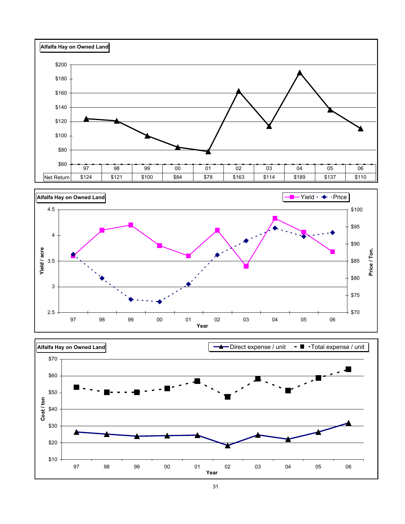





31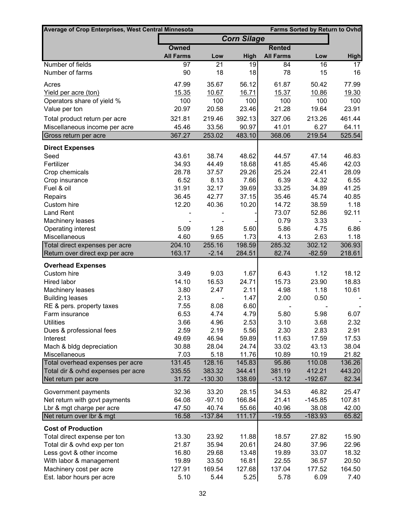| Average of Crop Enterprises, West Central Minnesota |                  | <b>Farms Sorted by Return to Ovhd</b> |                    |                  |                 |             |
|-----------------------------------------------------|------------------|---------------------------------------|--------------------|------------------|-----------------|-------------|
|                                                     |                  |                                       | <b>Corn Silage</b> |                  |                 |             |
|                                                     | Owned            |                                       |                    | <b>Rented</b>    |                 |             |
|                                                     | <b>All Farms</b> | Low                                   | High               | <b>All Farms</b> | Low             | <b>High</b> |
| Number of fields                                    | 97               | $\overline{21}$                       | 19                 | 84               | $\overline{16}$ | 17          |
| Number of farms                                     | 90               | 18                                    | 18                 | 78               | 15              | 16          |
| Acres                                               | 47.99            | 35.67                                 | 56.12              | 61.87            | 50.42           | 77.99       |
| Yield per acre (ton)                                | 15.35            | 10.67                                 | 16.71              | 15.37            | 10.86           | 19.30       |
| Operators share of yield %                          | 100              | 100                                   | 100                | 100              | 100             | 100         |
| Value per ton                                       | 20.97            | 20.58                                 | 23.46              | 21.28            | 19.64           | 23.91       |
| Total product return per acre                       | 321.81           | 219.46                                | 392.13             | 327.06           | 213.26          | 461.44      |
| Miscellaneous income per acre                       | 45.46            | 33.56                                 | 90.97              | 41.01            | 6.27            | 64.11       |
| Gross return per acre                               | 367.27           | 253.02                                | 483.10             | 368.06           | 219.54          | 525.54      |
| <b>Direct Expenses</b>                              |                  |                                       |                    |                  |                 |             |
| Seed                                                | 43.61            | 38.74                                 | 48.62              | 44.57            | 47.14           | 46.83       |
| Fertilizer                                          | 34.93            | 44.49                                 | 18.68              | 41.85            | 45.46           | 42.03       |
| Crop chemicals                                      | 28.78            | 37.57                                 | 29.26              | 25.24            | 22.41           | 28.09       |
| Crop insurance                                      | 6.52             | 8.13                                  | 7.66               | 6.39             | 4.32            | 6.55        |
| Fuel & oil                                          | 31.91            | 32.17                                 | 39.69              | 33.25            | 34.89           | 41.25       |
| Repairs                                             | 36.45            | 42.77                                 | 37.15              | 35.46            | 45.74           | 40.85       |
| Custom hire                                         | 12.20            | 40.36                                 | 10.20              | 14.72            | 38.59           | 1.18        |
| <b>Land Rent</b>                                    |                  |                                       |                    | 73.07            | 52.86           | 92.11       |
| Machinery leases                                    |                  |                                       |                    | 0.79             | 3.33            |             |
| Operating interest                                  | 5.09             | 1.28                                  | 5.60               | 5.86             | 4.75            | 6.86        |
| Miscellaneous                                       | 4.60             | 9.65                                  | 1.73               | 4.13             | 2.63            | 1.18        |
| Total direct expenses per acre                      | 204.10           | 255.16                                | 198.59             | 285.32           | 302.12          | 306.93      |
| Return over direct exp per acre                     | 163.17           | $-2.14$                               | 284.51             | 82.74            | $-82.59$        | 218.61      |
| <b>Overhead Expenses</b>                            |                  |                                       |                    |                  |                 |             |
| Custom hire                                         | 3.49             | 9.03                                  | 1.67               | 6.43             | 1.12            | 18.12       |
| Hired labor                                         | 14.10            | 16.53                                 | 24.71              | 15.73            | 23.90           | 18.83       |
| Machinery leases                                    | 3.80             | 2.47                                  | 2.11               | 4.98             | 1.18            | 10.61       |
| <b>Building leases</b>                              | 2.13             |                                       | 1.47               | 2.00             | 0.50            |             |
| RE & pers. property taxes                           | 7.55             | 8.08                                  | 6.60               |                  |                 |             |
| Farm insurance                                      | 6.53             | 4.74                                  | 4.79               | 5.80             | 5.98            | 6.07        |
| <b>Utilities</b>                                    | 3.66             | 4.96                                  | 2.53               | 3.10             | 3.68            | 2.32        |
| Dues & professional fees                            | 2.59             | 2.19                                  | 5.56               | 2.30             | 2.83            | 2.91        |
| Interest                                            | 49.69            | 46.94                                 | 59.89              | 11.63            | 17.59           | 17.53       |
| Mach & bldg depreciation                            | 30.88            | 28.04                                 | 24.74              | 33.02            | 43.13           | 38.04       |
| Miscellaneous                                       | 7.03             | 5.18                                  | 11.76              | 10.89            | 10.19           | 21.82       |
| Total overhead expenses per acre                    | 131.45           | 128.16                                | 145.83             | 95.86            | 110.08          | 136.26      |
| Total dir & ovhd expenses per acre                  | 335.55           | 383.32                                | 344.41             | 381.19           | 412.21          | 443.20      |
| Net return per acre                                 | 31.72            | $-130.30$                             | 138.69             | $-13.12$         | $-192.67$       | 82.34       |
| Government payments                                 | 32.36            | 33.20                                 | 28.15              | 34.53            | 46.82           | 25.47       |
| Net return with govt payments                       | 64.08            | $-97.10$                              | 166.84             | 21.41            | $-145.85$       | 107.81      |
| Lbr & mgt charge per acre                           | 47.50            | 40.74                                 | 55.66              | 40.96            | 38.08           | 42.00       |
| Net return over Ibr & mgt                           | 16.58            | $-137.84$                             | 111.17             | $-19.55$         | $-183.93$       | 65.82       |
| <b>Cost of Production</b>                           |                  |                                       |                    |                  |                 |             |
| Total direct expense per ton                        | 13.30            | 23.92                                 | 11.88              | 18.57            | 27.82           | 15.90       |
| Total dir & ovhd exp per ton                        | 21.87            | 35.94                                 | 20.61              | 24.80            | 37.96           | 22.96       |
| Less govt & other income                            | 16.80            | 29.68                                 | 13.48              | 19.89            | 33.07           | 18.32       |
|                                                     | 19.89            | 33.50                                 | 16.81              | 22.55            | 36.57           | 20.50       |
| With labor & management<br>Machinery cost per acre  | 127.91           | 169.54                                | 127.68             | 137.04           | 177.52          | 164.50      |
| Est. labor hours per acre                           | 5.10             | 5.44                                  | 5.25               | 5.78             | 6.09            | 7.40        |
|                                                     |                  |                                       |                    |                  |                 |             |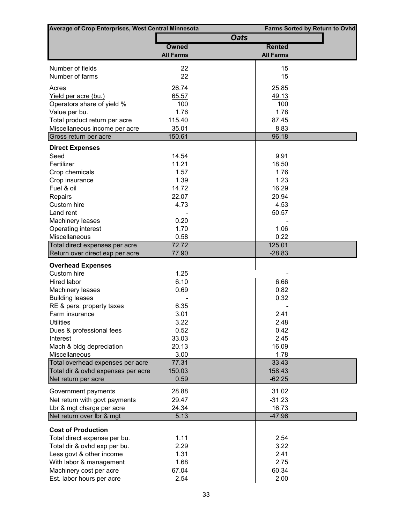| <b>Average of Crop Enterprises, West Central Minnesota</b> |                  |                  | <b>Farms Sorted by Return to Ovhd</b> |  |  |  |
|------------------------------------------------------------|------------------|------------------|---------------------------------------|--|--|--|
|                                                            |                  | <b>Oats</b>      |                                       |  |  |  |
|                                                            | <b>Owned</b>     | <b>Rented</b>    |                                       |  |  |  |
|                                                            | <b>All Farms</b> | <b>All Farms</b> |                                       |  |  |  |
| Number of fields                                           | 22               | 15               |                                       |  |  |  |
| Number of farms                                            | 22               | 15               |                                       |  |  |  |
|                                                            |                  |                  |                                       |  |  |  |
| Acres                                                      | 26.74            | 25.85            |                                       |  |  |  |
| Yield per acre (bu.)<br>Operators share of yield %         | 65.57<br>100     | 49.13<br>100     |                                       |  |  |  |
| Value per bu.                                              | 1.76             | 1.78             |                                       |  |  |  |
| Total product return per acre                              | 115.40           | 87.45            |                                       |  |  |  |
| Miscellaneous income per acre                              | 35.01            | 8.83             |                                       |  |  |  |
| Gross return per acre                                      | 150.61           | 96.18            |                                       |  |  |  |
|                                                            |                  |                  |                                       |  |  |  |
| <b>Direct Expenses</b><br>Seed                             | 14.54            | 9.91             |                                       |  |  |  |
| Fertilizer                                                 | 11.21            | 18.50            |                                       |  |  |  |
| Crop chemicals                                             | 1.57             | 1.76             |                                       |  |  |  |
| Crop insurance                                             | 1.39             | 1.23             |                                       |  |  |  |
| Fuel & oil                                                 | 14.72            | 16.29            |                                       |  |  |  |
| Repairs                                                    | 22.07            | 20.94            |                                       |  |  |  |
| Custom hire                                                | 4.73             | 4.53             |                                       |  |  |  |
| Land rent                                                  |                  | 50.57            |                                       |  |  |  |
| <b>Machinery leases</b>                                    | 0.20             |                  |                                       |  |  |  |
| Operating interest                                         | 1.70             | 1.06             |                                       |  |  |  |
| Miscellaneous                                              | 0.58             | 0.22             |                                       |  |  |  |
| Total direct expenses per acre                             | 72.72            | 125.01           |                                       |  |  |  |
| Return over direct exp per acre                            | 77.90            | $-28.83$         |                                       |  |  |  |
| <b>Overhead Expenses</b>                                   |                  |                  |                                       |  |  |  |
| Custom hire                                                | 1.25             |                  |                                       |  |  |  |
| <b>Hired labor</b>                                         | 6.10             | 6.66             |                                       |  |  |  |
| Machinery leases                                           | 0.69             | 0.82             |                                       |  |  |  |
| <b>Building leases</b>                                     |                  | 0.32             |                                       |  |  |  |
| RE & pers. property taxes                                  | 6.35             |                  |                                       |  |  |  |
| Farm insurance                                             | 3.01             | 2.41             |                                       |  |  |  |
| <b>Utilities</b>                                           | 3.22             | 2.48             |                                       |  |  |  |
| Dues & professional fees                                   | 0.52             | 0.42             |                                       |  |  |  |
| Interest                                                   | 33.03            | 2.45             |                                       |  |  |  |
| Mach & bldg depreciation                                   | 20.13            | 16.09            |                                       |  |  |  |
| <b>Miscellaneous</b>                                       | 3.00             | 1.78             |                                       |  |  |  |
| Total overhead expenses per acre                           | 77.31            | 33.43            |                                       |  |  |  |
| Total dir & ovhd expenses per acre                         | 150.03           | 158.43           |                                       |  |  |  |
| Net return per acre                                        | 0.59             | $-62.25$         |                                       |  |  |  |
| Government payments                                        | 28.88            | 31.02            |                                       |  |  |  |
| Net return with govt payments                              | 29.47            | $-31.23$         |                                       |  |  |  |
| Lbr & mgt charge per acre                                  | 24.34            | 16.73            |                                       |  |  |  |
| Net return over Ibr & mgt                                  | 5.13             | $-47.96$         |                                       |  |  |  |
|                                                            |                  |                  |                                       |  |  |  |
| <b>Cost of Production</b>                                  |                  |                  |                                       |  |  |  |
| Total direct expense per bu.                               | 1.11             | 2.54             |                                       |  |  |  |
| Total dir & ovhd exp per bu.                               | 2.29             | 3.22             |                                       |  |  |  |
| Less govt & other income                                   | 1.31             | 2.41             |                                       |  |  |  |
| With labor & management                                    | 1.68<br>67.04    | 2.75<br>60.34    |                                       |  |  |  |
| Machinery cost per acre                                    | 2.54             | 2.00             |                                       |  |  |  |
| Est. labor hours per acre                                  |                  |                  |                                       |  |  |  |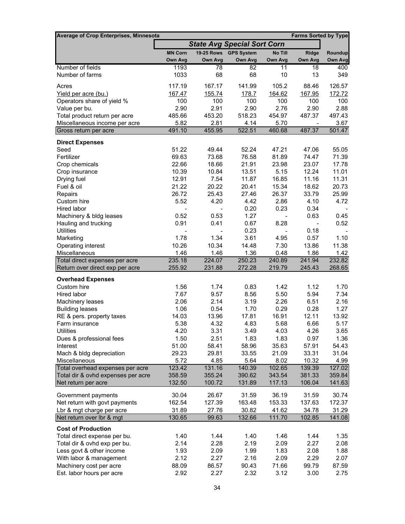| Average of Crop Enterprises, Minnesota                     |                                    |                   |                   |                  | <b>Farms Sorted by Type</b> |                  |
|------------------------------------------------------------|------------------------------------|-------------------|-------------------|------------------|-----------------------------|------------------|
|                                                            | <b>State Avg Special Sort Corn</b> |                   |                   |                  |                             |                  |
|                                                            | <b>MN Corn</b>                     | <b>19-25 Rows</b> | <b>GPS System</b> | No Till          | <b>Ridge</b>                | Roundup          |
|                                                            | Own Avg                            | Own Avg           | <b>Own Avg</b>    | Own Avg          | Own Avg                     | <b>Own Avg</b>   |
| Number of fields                                           | 1193                               | 78                | 82                | 11               | 18                          | 400              |
| Number of farms                                            | 1033                               | 68                | 68                | 10               | 13                          | 349              |
| Acres                                                      | 117.19                             | 167.17            | 141.99            | 105.2            | 88.46                       | 126.57           |
| Yield per acre (bu.)                                       | 167.47                             | 155.74            | <u>178.7</u>      | 164.62           | 167.95                      | 172.72           |
| Operators share of yield %                                 | 100                                | 100               | 100               | 100              | 100                         | 100              |
| Value per bu.                                              | 2.90                               | 2.91              | 2.90              | 2.76             | 2.90                        | 2.88             |
| Total product return per acre                              | 485.66                             | 453.20            | 518.23            | 454.97           | 487.37                      | 497.43           |
| Miscellaneous income per acre                              | 5.82                               | 2.81              | 4.14              | 5.70             | $\overline{\phantom{a}}$    | 3.67             |
| Gross return per acre                                      | 491.10                             | 455.95            | 522.51            | 460.68           | 487.37                      | 501.47           |
| <b>Direct Expenses</b>                                     |                                    |                   |                   |                  |                             |                  |
| Seed                                                       | 51.22                              | 49.44             | 52.24             | 47.21            | 47.06                       | 55.05            |
| Fertilizer                                                 | 69.63                              | 73.68             | 76.58             | 81.89            | 74.47                       | 71.39            |
| Crop chemicals                                             | 22.66                              | 18.66             | 21.91             | 23.98            | 23.07                       | 17.78            |
| Crop insurance                                             | 10.39                              | 10.84             | 13.51             | 5.15             | 12.24                       | 11.01            |
| Drying fuel                                                | 12.91                              | 7.54              | 11.87             | 16.85            | 11.16                       | 11.31            |
| Fuel & oil                                                 | 21.22                              | 20.22             | 20.41             | 15.34            | 18.62                       | 20.73            |
| Repairs                                                    | 26.72                              | 25.43             | 27.46             | 26.37            | 33.79                       | 25.99            |
| Custom hire                                                | 5.52                               | 4.20              | 4.42              | 2.86             | 4.10                        | 4.72             |
| Hired labor                                                |                                    |                   | 0.20              | 0.23             | 0.34                        |                  |
| Machinery & bldg leases                                    | 0.52                               | 0.53              | 1.27              |                  | 0.63                        | 0.45             |
| Hauling and trucking                                       | 0.91                               | 0.41              | 0.67              | 8.28             | $\overline{\phantom{a}}$    | 0.52             |
| <b>Utilities</b>                                           |                                    |                   | 0.23              |                  | 0.18                        |                  |
| Marketing<br>Operating interest                            | 1.78<br>10.26                      | 1.34<br>10.34     | 3.61              | 4.95<br>7.30     | 0.57<br>13.86               | 1.10<br>11.38    |
| Miscellaneous                                              | 1.46                               | 1.46              | 14.48<br>1.36     | 0.48             | 1.86                        | 1.42             |
| Total direct expenses per acre                             | 235.18                             | 224.07            | 250.23            | 240.89           | 241.94                      | 232.82           |
| Return over direct exp per acre                            | 255.92                             | 231.88            | 272.28            | 219.79           | 245.43                      | 268.65           |
| <b>Overhead Expenses</b>                                   |                                    |                   |                   |                  |                             |                  |
| Custom hire                                                | 1.56                               | 1.74              | 0.83              | 1.42             | 1.12                        | 1.70             |
| Hired labor                                                | 7.67                               | 9.57              | 8.56              | 5.50             | 5.94                        | 7.34             |
| Machinery leases                                           | 2.06                               | 2.14              | 3.19              | 2.26             | 6.51                        | 2.16             |
| <b>Building leases</b>                                     | 1.06                               | 0.54              | 1.70              | 0.29             | 0.28                        | 1.27             |
| RE & pers. property taxes                                  | 14.03                              | 13.96             | 17.81             | 16.91            | 12.11                       | 13.92            |
| Farm insurance                                             | 5.38                               | 4.32              | 4.83              | 5.68             | 6.66                        | 5.17             |
| <b>Utilities</b>                                           | 4.20                               | 3.31              | 3.49              | 4.03             | 4.26                        | 3.65             |
| Dues & professional fees                                   | 1.50                               | 2.51              | 1.83              | 1.83             | 0.97                        | 1.36             |
| Interest                                                   | 51.00                              | 58.41             | 58.96             | 35.63            | 57.91                       | 54.43            |
| Mach & bldg depreciation                                   | 29.23                              | 29.81             | 33.55             | 21.09            | 33.31                       | 31.04            |
| Miscellaneous                                              | 5.72                               | 4.85              | 5.64              | 8.02             | 10.32                       | 4.99             |
| Total overhead expenses per acre                           | 123.42<br>358.59                   | 131.16<br>355.24  | 140.39<br>390.62  | 102.65<br>343.54 | 139.39<br>381.33            | 127.02<br>359.84 |
| Total dir & ovhd expenses per acre<br>Net return per acre  | 132.50                             | 100.72            | 131.89            | 117.13           | 106.04                      | 141.63           |
|                                                            |                                    |                   |                   |                  |                             |                  |
| Government payments                                        | 30.04<br>162.54                    | 26.67<br>127.39   | 31.59<br>163.48   | 36.19<br>153.33  | 31.59<br>137.63             | 30.74<br>172.37  |
| Net return with govt payments<br>Lbr & mgt charge per acre | 31.89                              | 27.76             | 30.82             | 41.62            | 34.78                       | 31.29            |
| Net return over Ibr & mgt                                  | 130.65                             | 99.63             | 132.66            | 111.70           | 102.85                      | 141.08           |
|                                                            |                                    |                   |                   |                  |                             |                  |
| <b>Cost of Production</b>                                  |                                    |                   |                   |                  |                             |                  |
| Total direct expense per bu.                               | 1.40                               | 1.44              | 1.40              | 1.46             | 1.44                        | 1.35             |
| Total dir & ovhd exp per bu.                               | 2.14                               | 2.28              | 2.19              | 2.09             | 2.27                        | 2.08             |
| Less govt & other income                                   | 1.93<br>2.12                       | 2.09              | 1.99              | 1.83             | 2.08<br>2.29                | 1.88             |
| With labor & management<br>Machinery cost per acre         | 88.09                              | 2.27<br>86.57     | 2.16<br>90.43     | 2.09<br>71.66    | 99.79                       | 2.07<br>87.59    |
| Est. labor hours per acre                                  | 2.92                               | 2.27              | 2.32              | 3.12             | 3.00                        | 2.75             |
|                                                            |                                    |                   |                   |                  |                             |                  |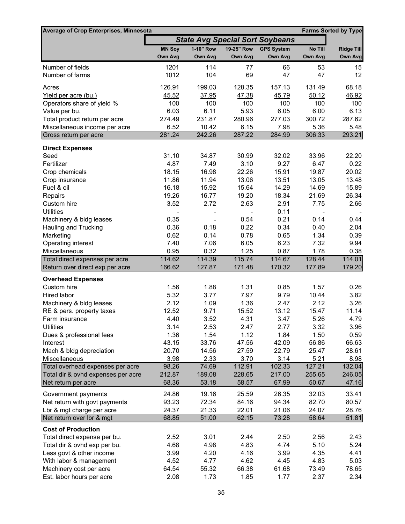| <b>Average of Crop Enterprises, Minnesota</b> |               |           |            |                                        |         | <b>Farms Sorted by Type</b> |
|-----------------------------------------------|---------------|-----------|------------|----------------------------------------|---------|-----------------------------|
|                                               |               |           |            | <b>State Avg Special Sort Soybeans</b> |         |                             |
|                                               | <b>MN Soy</b> | 1-10" Row | 19-25" Row | <b>GPS System</b>                      | No Till | <b>Ridge Till</b>           |
|                                               | Own Avg       | Own Avg   | Own Avg    | Own Avg                                | Own Avg | Own Avg                     |
| Number of fields                              | 1201          | 114       | 77         | 66                                     | 53      | 15                          |
| Number of farms                               | 1012          | 104       | 69         | 47                                     | 47      | 12                          |
| Acres                                         | 126.91        | 199.03    | 128.35     | 157.13                                 | 131.49  | 68.18                       |
| Yield per acre (bu.)                          | 45.52         | 37.95     | 47.38      | 45.79                                  | 50.12   | 46.92                       |
| Operators share of yield %                    | 100           | 100       | 100        | 100                                    | 100     | 100                         |
| Value per bu.                                 | 6.03          | 6.11      | 5.93       | 6.05                                   | 6.00    | 6.13                        |
| Total product return per acre                 | 274.49        | 231.87    | 280.96     | 277.03                                 | 300.72  | 287.62                      |
| Miscellaneous income per acre                 | 6.52          | 10.42     | 6.15       | 7.98                                   | 5.36    | 5.48                        |
| Gross return per acre                         | 281.24        | 242.26    | 287.22     | 284.99                                 | 306.33  | 293.21                      |
|                                               |               |           |            |                                        |         |                             |
| <b>Direct Expenses</b><br>Seed                | 31.10         | 34.87     | 30.99      | 32.02                                  | 33.96   | 22.20                       |
| Fertilizer                                    | 4.87          | 7.49      | 3.10       | 9.27                                   | 6.47    | 0.22                        |
| Crop chemicals                                | 18.15         | 16.98     | 22.26      | 15.91                                  | 19.87   | 20.02                       |
| Crop insurance                                | 11.86         | 11.94     | 13.06      | 13.51                                  | 13.05   | 13.48                       |
| Fuel & oil                                    | 16.18         | 15.92     | 15.64      | 14.29                                  | 14.69   | 15.89                       |
| Repairs                                       | 19.26         | 16.77     | 19.20      | 18.34                                  | 21.69   | 26.34                       |
| Custom hire                                   | 3.52          | 2.72      | 2.63       | 2.91                                   | 7.75    | 2.66                        |
| <b>Utilities</b>                              |               |           |            | 0.11                                   |         |                             |
| Machinery & bldg leases                       | 0.35          |           | 0.54       | 0.21                                   | 0.14    | 0.44                        |
| Hauling and Trucking                          | 0.36          | 0.18      | 0.22       | 0.34                                   | 0.40    | 2.04                        |
| Marketing                                     | 0.62          | 0.14      | 0.78       | 0.65                                   | 1.34    | 0.39                        |
| Operating interest                            | 7.40          | 7.06      | 6.05       | 6.23                                   | 7.32    | 9.94                        |
| Miscellaneous                                 | 0.95          | 0.32      | 1.25       | 0.87                                   | 1.78    | 0.38                        |
| Total direct expenses per acre                | 114.62        | 114.39    | 115.74     | 114.67                                 | 128.44  | 114.01                      |
| Return over direct exp per acre               | 166.62        | 127.87    | 171.48     | 170.32                                 | 177.89  | 179.20                      |
| <b>Overhead Expenses</b>                      |               |           |            |                                        |         |                             |
| Custom hire                                   | 1.56          | 1.88      | 1.31       | 0.85                                   | 1.57    | 0.26                        |
| Hired labor                                   | 5.32          | 3.77      | 7.97       | 9.79                                   | 10.44   | 3.82                        |
| Machinery & bldg leases                       | 2.12          | 1.09      | 1.36       | 2.47                                   | 2.12    | 3.26                        |
| RE & pers. property taxes                     | 12.52         | 9.71      | 15.52      | 13.12                                  | 15.47   | 11.14                       |
| Farm insurance                                | 4.40          | 3.52      | 4.31       | 3.47                                   | 5.26    | 4.79                        |
| <b>Utilities</b>                              | 3.14          | 2.53      | 2.47       | 2.77                                   | 3.32    | 3.96                        |
| Dues & professional fees                      | 1.36          | 1.54      | 1.12       | 1.84                                   | 1.50    | 0.59                        |
| Interest                                      | 43.15         | 33.76     | 47.56      | 42.09                                  | 56.86   | 66.63                       |
| Mach & bldg depreciation                      | 20.70         | 14.56     | 27.59      | 22.79                                  | 25.47   | 28.61                       |
| Miscellaneous                                 | 3.98          | 2.33      | 3.70       | 3.14                                   | 5.21    | 8.98                        |
| Total overhead expenses per acre              | 98.26         | 74.69     | 112.91     | 102.33                                 | 127.21  | 132.04                      |
| Total dir & ovhd expenses per acre            | 212.87        | 189.08    | 228.65     | 217.00                                 | 255.65  | 246.05                      |
| Net return per acre                           | 68.36         | 53.18     | 58.57      | 67.99                                  | 50.67   | 47.16                       |
| Government payments                           | 24.86         | 19.16     | 25.59      | 26.35                                  | 32.03   | 33.41                       |
| Net return with govt payments                 | 93.23         | 72.34     | 84.16      | 94.34                                  | 82.70   | 80.57                       |
| Lbr & mgt charge per acre                     | 24.37         | 21.33     | 22.01      | 21.06                                  | 24.07   | 28.76                       |
| Net return over Ibr & mgt                     | 68.85         | 51.00     | 62.15      | 73.28                                  | 58.64   | 51.81                       |
| <b>Cost of Production</b>                     |               |           |            |                                        |         |                             |
| Total direct expense per bu.                  | 2.52          | 3.01      | 2.44       | 2.50                                   | 2.56    | 2.43                        |
| Total dir & ovhd exp per bu.                  | 4.68          | 4.98      | 4.83       | 4.74                                   | 5.10    | 5.24                        |
| Less govt & other income                      | 3.99          | 4.20      | 4.16       | 3.99                                   | 4.35    | 4.41                        |
| With labor & management                       | 4.52          | 4.77      | 4.62       | 4.45                                   | 4.83    | 5.03                        |
| Machinery cost per acre                       | 64.54         | 55.32     | 66.38      | 61.68                                  | 73.49   | 78.65                       |
| Est. labor hours per acre                     | 2.08          | 1.73      | 1.85       | 1.77                                   | 2.37    | 2.34                        |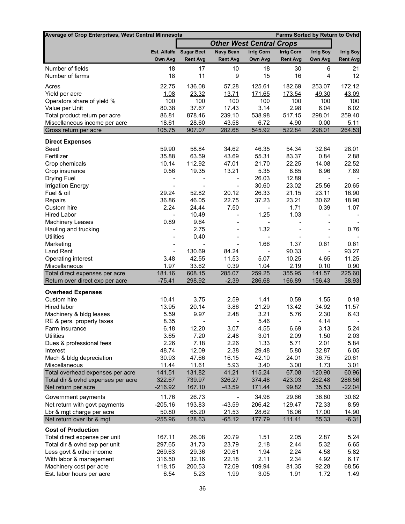| Average of Crop Enterprises, West Central Minnesota    |                    |                         |                                 |                                  | Farms Sorted by Return to Ovhd |                          |                          |
|--------------------------------------------------------|--------------------|-------------------------|---------------------------------|----------------------------------|--------------------------------|--------------------------|--------------------------|
|                                                        |                    |                         | <b>Other West Central Crops</b> |                                  |                                |                          |                          |
|                                                        |                    | Est. Alfalfa Sugar Beet | <b>Navy Bean</b>                | <b>Irrig Corn</b>                | <b>Irrig Corn</b>              | <b>Irrig Soy</b>         | <b>Irrig Soy</b>         |
|                                                        | Own Avg            | <b>Rent Avg</b>         | <b>Rent Avg</b>                 | Own Avg                          | <b>Rent Avg</b>                | Own Avg                  | <b>Rent Avg</b>          |
| Number of fields                                       | 18                 | 17                      | 10                              | 18                               | 30                             | 6                        | 21                       |
| Number of farms                                        | 18                 | 11                      | 9                               | 15                               | 16                             | 4                        | 12                       |
| Acres                                                  | 22.75              | 136.08                  | 57.28                           | 125.61                           | 182.69                         | 253.07                   | 172.12                   |
| Yield per acre                                         | 1.08               | 23.32                   | 13.71                           | 171.65                           | 173.54                         | 49.30                    | 43.09                    |
| Operators share of yield %                             | 100                | 100                     | 100                             | 100                              | 100                            | 100                      | 100                      |
| Value per Unit                                         | 80.38              | 37.67                   | 17.43                           | 3.14                             | 2.98                           | 6.04                     | 6.02                     |
| Total product return per acre                          | 86.81              | 878.46                  | 239.10                          | 538.98                           | 517.15                         | 298.01                   | 259.40                   |
| Miscellaneous income per acre                          | 18.61              | 28.60                   | 43.58                           | 6.72                             | 4.90                           | 0.00                     | 5.11                     |
| Gross return per acre                                  | 105.75             | 907.07                  | 282.68                          | 545.92                           | 522.84                         | 298.01                   | 264.53                   |
| <b>Direct Expenses</b>                                 |                    |                         |                                 |                                  |                                |                          |                          |
| Seed                                                   | 59.90              | 58.84                   | 34.62                           | 46.35                            | 54.34                          | 32.64                    | 28.01                    |
| Fertilizer                                             | 35.88              | 63.59                   | 43.69                           | 55.31                            | 83.37                          | 0.84                     | 2.88                     |
| Crop chemicals                                         | 10.14              | 112.92                  | 47.01                           | 21.70                            | 22.25                          | 14.08                    | 22.52                    |
| Crop insurance                                         | 0.56               | 19.35                   | 13.21                           | 5.35                             | 8.85                           | 8.96                     | 7.89                     |
| Drying Fuel                                            |                    |                         |                                 | 26.03                            | 12.89                          | $\overline{\phantom{a}}$ |                          |
| <b>Irrigation Energy</b>                               |                    |                         |                                 | 30.60                            | 23.02                          | 25.56                    | 20.65                    |
| Fuel & oil                                             | 29.24              | 52.82                   | 20.12                           | 26.33                            | 21.15                          | 23.11                    | 16.90                    |
| Repairs                                                | 36.86              | 46.05                   | 22.75                           | 37.23                            | 23.21                          | 30.62                    | 18.90                    |
| Custom hire                                            | 2.24               | 24.44                   | 7.50                            | $\overline{\phantom{0}}$         | 1.71                           | 0.39                     | 1.07                     |
| <b>Hired Labor</b>                                     | $\overline{a}$     | 10.49                   | $\overline{\phantom{0}}$        | 1.25                             | 1.03                           | $\overline{\phantom{a}}$ | $\overline{\phantom{a}}$ |
| <b>Machinery Leases</b><br>Hauling and trucking        | 0.89               | 9.64<br>2.75            |                                 | $\overline{\phantom{m}}$<br>1.32 | $\overline{\phantom{a}}$       |                          | 0.76                     |
| <b>Utilities</b>                                       | $\qquad \qquad -$  | 0.40                    |                                 | $\overline{\phantom{m}}$         | $\overline{\phantom{a}}$       |                          |                          |
| Marketing                                              | $\qquad \qquad -$  |                         |                                 | 1.66                             | 1.37                           | 0.61                     | 0.61                     |
| <b>Land Rent</b>                                       | $\frac{1}{2}$      | 130.69                  | 84.24                           | $\overline{a}$                   | 90.33                          | $\blacksquare$           | 93.27                    |
| Operating interest                                     | 3.48               | 42.55                   | 11.53                           | 5.07                             | 10.25                          | 4.65                     | 11.25                    |
| Miscellaneous                                          | 1.97               | 33.62                   | 0.39                            | 1.04                             | 2.19                           | 0.10                     | 0.90                     |
| Total direct expenses per acre                         | 181.16             | 608.15                  | 285.07                          | 259.25                           | 355.95                         | 141.57                   | 225.60                   |
| Return over direct exp per acre                        | $-75.41$           | 298.92                  | $-2.39$                         | 286.68                           | 166.89                         | 156.43                   | 38.93                    |
| <b>Overhead Expenses</b>                               |                    |                         |                                 |                                  |                                |                          |                          |
| Custom hire                                            | 10.41              | 3.75                    | 2.59                            | 1.41                             | 0.59                           | 1.55                     | 0.18                     |
| Hired labor                                            | 13.95              | 20.14                   | 3.86                            | 21.29                            | 13.42                          | 34.92                    | 11.57                    |
| Machinery & bldg leases                                | 5.59               | 9.97                    | 2.48                            | 3.21                             | 5.76                           | 2.30                     | 6.43                     |
| RE & pers. property taxes                              | 8.35               | $\qquad \qquad -$       | $\overline{\phantom{a}}$        | 5.46                             | $\overline{\phantom{a}}$       | 4.14                     |                          |
| <b>Farm insurance</b>                                  | 6.18               | 12.20                   | 3.07                            | 4.55                             | 6.69                           | 3.13                     | 5.24                     |
| <b>Utilities</b>                                       | 3.65               | 7.20                    | 2.48                            | 3.01                             | 2.09                           | 1.50                     | 2.03                     |
| Dues & professional fees                               | 2.26               | 7.18                    | 2.26                            | 1.33                             | 5.71                           | 2.01                     | 5.84                     |
| Interest                                               | 48.74              | 12.09                   | 2.38                            | 29.48                            | 5.80                           | 32.87                    | 6.05                     |
| Mach & bldg depreciation                               | 30.93              | 47.66                   | 16.15                           | 42.10                            | 24.01                          | 36.75                    | 20.61                    |
| Miscellaneous<br>Total overhead expenses per acre      | 11.44<br>141.51    | 11.61<br>131.82         | 5.93<br>41.21                   | 3.40<br>115.24                   | 3.00<br>67.08                  | 1.73<br>120.90           | 3.01<br>60.96            |
| Total dir & ovhd expenses per acre                     | 322.67             | 739.97                  | 326.27                          | 374.48                           | 423.03                         | 262.48                   | 286.56                   |
| Net return per acre                                    | $-216.92$          | 167.10                  | $-43.59$                        | 171.44                           | 99.82                          | 35.53                    | $-22.04$                 |
|                                                        |                    |                         |                                 |                                  |                                |                          |                          |
| Government payments                                    | 11.76              | 26.73                   |                                 | 34.98                            | 29.66                          | 36.80                    | 30.62                    |
| Net return with govt payments                          | $-205.16$          | 193.83<br>65.20         | $-43.59$                        | 206.42                           | 129.47                         | 72.33                    | 8.59                     |
| Lbr & mgt charge per acre<br>Net return over Ibr & mgt | 50.80<br>$-255.96$ | 128.63                  | 21.53<br>$-65.12$               | 28.62<br>177.79                  | 18.06<br>111.41                | 17.00<br>55.33           | 14.90<br>$-6.31$         |
|                                                        |                    |                         |                                 |                                  |                                |                          |                          |
| <b>Cost of Production</b>                              |                    |                         |                                 |                                  |                                |                          |                          |
| Total direct expense per unit                          | 167.11             | 26.08                   | 20.79                           | 1.51                             | 2.05                           | 2.87                     | 5.24                     |
| Total dir & ovhd exp per unit                          | 297.65             | 31.73                   | 23.79                           | 2.18                             | 2.44                           | 5.32                     | 6.65                     |
| Less govt & other income<br>With labor & management    | 269.63<br>316.50   | 29.36<br>32.16          | 20.61<br>22.18                  | 1.94<br>2.11                     | 2.24<br>2.34                   | 4.58<br>4.92             | 5.82<br>6.17             |
| Machinery cost per acre                                | 118.15             | 200.53                  | 72.09                           | 109.94                           | 81.35                          | 92.28                    | 68.56                    |
| Est. labor hours per acre                              | 6.54               | 5.23                    | 1.99                            | 3.05                             | 1.91                           | 1.72                     | 1.49                     |
|                                                        |                    |                         |                                 |                                  |                                |                          |                          |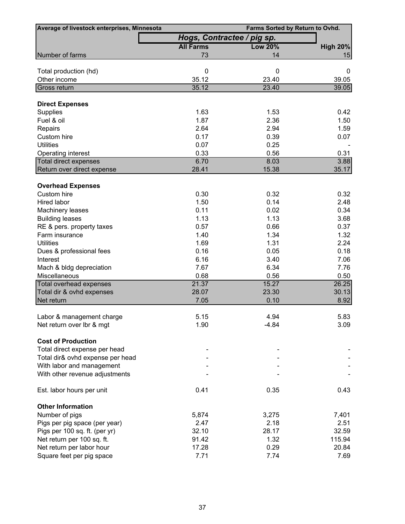| Average of livestock enterprises, Minnesota | Farms Sorted by Return to Ovhd. |                |                 |  |  |  |
|---------------------------------------------|---------------------------------|----------------|-----------------|--|--|--|
|                                             | Hogs, Contractee / pig sp.      |                |                 |  |  |  |
|                                             | <b>All Farms</b>                | <b>Low 20%</b> | <b>High 20%</b> |  |  |  |
| Number of farms                             | 73                              | 14             | 15              |  |  |  |
| Total production (hd)                       | $\mathbf 0$                     | 0              | 0               |  |  |  |
| Other income                                | 35.12                           | 23.40          | 39.05           |  |  |  |
| Gross return                                | 35.12                           | 23.40          | 39.05           |  |  |  |
| <b>Direct Expenses</b>                      |                                 |                |                 |  |  |  |
| Supplies                                    | 1.63                            | 1.53           | 0.42            |  |  |  |
| Fuel & oil                                  | 1.87                            | 2.36           | 1.50            |  |  |  |
| Repairs                                     | 2.64                            | 2.94           | 1.59            |  |  |  |
| Custom hire                                 | 0.17                            | 0.39           | 0.07            |  |  |  |
| <b>Utilities</b>                            | 0.07                            | 0.25           |                 |  |  |  |
| Operating interest                          | 0.33                            | 0.56           | 0.31            |  |  |  |
| Total direct expenses                       | 6.70                            | 8.03           | 3.88            |  |  |  |
| Return over direct expense                  | 28.41                           | 15.38          | 35.17           |  |  |  |
| <b>Overhead Expenses</b>                    |                                 |                |                 |  |  |  |
| Custom hire                                 | 0.30                            | 0.32           | 0.32            |  |  |  |
| Hired labor                                 | 1.50                            | 0.14           | 2.48            |  |  |  |
| Machinery leases                            | 0.11                            | 0.02           | 0.34            |  |  |  |
| <b>Building leases</b>                      | 1.13                            | 1.13           | 3.68            |  |  |  |
| RE & pers. property taxes                   | 0.57                            | 0.66           | 0.37            |  |  |  |
| Farm insurance                              | 1.40                            | 1.34           | 1.32            |  |  |  |
| <b>Utilities</b>                            | 1.69                            | 1.31           | 2.24            |  |  |  |
| Dues & professional fees                    | 0.16                            | 0.05           | 0.18            |  |  |  |
| Interest                                    | 6.16                            | 3.40           | 7.06            |  |  |  |
| Mach & bldg depreciation                    | 7.67                            | 6.34           | 7.76            |  |  |  |
| Miscellaneous                               | 0.68                            | 0.56           | 0.50            |  |  |  |
| Total overhead expenses                     | 21.37                           | 15.27          | 26.25           |  |  |  |
| Total dir & ovhd expenses                   | 28.07                           | 23.30          | 30.13           |  |  |  |
| Net return                                  | 7.05                            | 0.10           | 8.92            |  |  |  |
| Labor & management charge                   | 5.15                            | 4.94           | 5.83            |  |  |  |
| Net return over Ibr & mgt                   | 1.90                            | $-4.84$        | 3.09            |  |  |  |
|                                             |                                 |                |                 |  |  |  |
| <b>Cost of Production</b>                   |                                 |                |                 |  |  |  |
| Total direct expense per head               |                                 |                |                 |  |  |  |
| Total dir& ovhd expense per head            |                                 |                |                 |  |  |  |
| With labor and management                   |                                 |                |                 |  |  |  |
| With other revenue adjustments              |                                 |                |                 |  |  |  |
| Est. labor hours per unit                   | 0.41                            | 0.35           | 0.43            |  |  |  |
| <b>Other Information</b>                    |                                 |                |                 |  |  |  |
| Number of pigs                              | 5,874                           | 3,275          | 7,401           |  |  |  |
| Pigs per pig space (per year)               | 2.47                            | 2.18           | 2.51            |  |  |  |
| Pigs per 100 sq. ft. (per yr)               | 32.10                           | 28.17          | 32.59           |  |  |  |
| Net return per 100 sq. ft.                  | 91.42                           | 1.32           | 115.94          |  |  |  |
| Net return per labor hour                   | 17.28                           | 0.29           | 20.84           |  |  |  |
| Square feet per pig space                   | 7.71                            | 7.74           | 7.69            |  |  |  |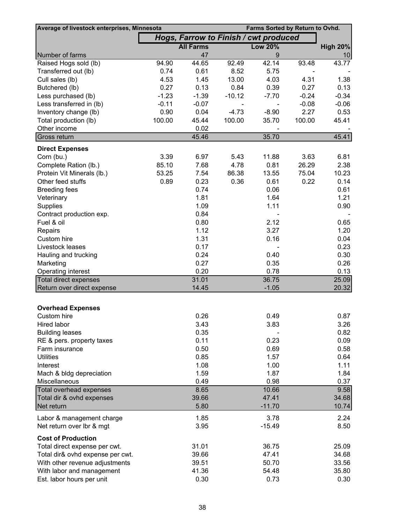| Average of livestock enterprises, Minnesota<br>Farms Sorted by Return to Ovhd. |         |                                       |          |                |         |                 |
|--------------------------------------------------------------------------------|---------|---------------------------------------|----------|----------------|---------|-----------------|
|                                                                                |         | Hogs, Farrow to Finish / cwt produced |          |                |         |                 |
|                                                                                |         | <b>All Farms</b>                      |          | <b>Low 20%</b> |         | <b>High 20%</b> |
| Number of farms                                                                |         | 47                                    |          | $9\,$          |         | 10              |
| Raised Hogs sold (lb)                                                          | 94.90   | 44.65                                 | 92.49    | 42.14          | 93.48   | 43.77           |
| Transferred out (lb)                                                           | 0.74    | 0.61                                  | 8.52     | 5.75           |         |                 |
| Cull sales (lb)                                                                | 4.53    | 1.45                                  | 13.00    | 4.03           | 4.31    | 1.38            |
| Butchered (lb)                                                                 | 0.27    | 0.13                                  | 0.84     | 0.39           | 0.27    | 0.13            |
| Less purchased (lb)                                                            | $-1.23$ | $-1.39$                               | $-10.12$ | $-7.70$        | $-0.24$ | $-0.34$         |
| Less transferred in (lb)                                                       | $-0.11$ | $-0.07$                               |          |                | $-0.08$ | $-0.06$         |
| Inventory change (lb)                                                          | 0.90    | 0.04                                  | $-4.73$  | $-8.90$        | 2.27    | 0.53            |
| Total production (lb)                                                          | 100.00  | 45.44                                 | 100.00   | 35.70          | 100.00  | 45.41           |
| Other income                                                                   |         | 0.02                                  |          |                |         |                 |
| Gross return                                                                   |         | 45.46                                 |          | 35.70          |         | 45.41           |
| <b>Direct Expenses</b>                                                         |         |                                       |          |                |         |                 |
| Corn (bu.)                                                                     | 3.39    | 6.97                                  | 5.43     | 11.88          | 3.63    | 6.81            |
| Complete Ration (lb.)                                                          | 85.10   | 7.68                                  | 4.78     | 0.81           | 26.29   | 2.38            |
| Protein Vit Minerals (lb.)                                                     | 53.25   | 7.54                                  | 86.38    | 13.55          | 75.04   | 10.23           |
| Other feed stuffs                                                              | 0.89    | 0.23                                  | 0.36     | 0.61           | 0.22    | 0.14            |
| <b>Breeding fees</b>                                                           |         | 0.74                                  |          | 0.06           |         | 0.61            |
| Veterinary                                                                     |         | 1.81                                  |          | 1.64           |         | 1.21            |
| Supplies                                                                       |         | 1.09                                  |          | 1.11           |         | 0.90            |
| Contract production exp.                                                       |         | 0.84                                  |          |                |         |                 |
| Fuel & oil                                                                     |         | 0.80                                  |          | 2.12           |         | 0.65            |
| Repairs                                                                        |         | 1.12                                  |          | 3.27           |         | 1.20            |
| Custom hire                                                                    |         | 1.31                                  |          | 0.16           |         | 0.04            |
| Livestock leases                                                               |         | 0.17                                  |          |                |         | 0.23            |
| Hauling and trucking                                                           |         | 0.24                                  |          | 0.40           |         | 0.30            |
| Marketing                                                                      |         | 0.27                                  |          | 0.35           |         | 0.26            |
| Operating interest                                                             |         | 0.20                                  |          | 0.78           |         | 0.13            |
| <b>Total direct expenses</b>                                                   |         | 31.01                                 |          | 36.75          |         | 25.09           |
| Return over direct expense                                                     |         | 14.45                                 |          | $-1.05$        |         | 20.32           |
|                                                                                |         |                                       |          |                |         |                 |
| <b>Overhead Expenses</b>                                                       |         |                                       |          |                |         |                 |
| Custom hire                                                                    |         | 0.26                                  |          | 0.49           |         | 0.87            |
| Hired labor                                                                    |         | 3.43                                  |          | 3.83           |         | 3.26            |
| <b>Building leases</b>                                                         |         | 0.35                                  |          |                |         | 0.82            |
| RE & pers. property taxes                                                      |         | 0.11                                  |          | 0.23           |         | 0.09            |
| Farm insurance                                                                 |         | 0.50                                  |          | 0.69           |         | 0.58            |
| <b>Utilities</b>                                                               |         | 0.85                                  |          | 1.57           |         | 0.64            |
| Interest                                                                       |         | 1.08                                  |          | 1.00           |         | 1.11            |
| Mach & bldg depreciation                                                       |         | 1.59                                  |          | 1.87           |         | 1.84            |
| Miscellaneous                                                                  |         | 0.49                                  |          | 0.98           |         | 0.37            |
| Total overhead expenses                                                        |         | 8.65                                  |          | 10.66          |         | 9.58            |
| Total dir & ovhd expenses                                                      |         | 39.66                                 |          | 47.41          |         | 34.68           |
| Net return                                                                     |         | 5.80                                  |          | $-11.70$       |         | 10.74           |
| Labor & management charge                                                      |         | 1.85                                  |          | 3.78           |         | 2.24            |
| Net return over Ibr & mgt                                                      |         | 3.95                                  |          | $-15.49$       |         | 8.50            |
| <b>Cost of Production</b>                                                      |         |                                       |          |                |         |                 |
| Total direct expense per cwt.                                                  |         | 31.01                                 |          | 36.75          |         | 25.09           |
| Total dir& ovhd expense per cwt.                                               |         | 39.66                                 |          | 47.41          |         | 34.68           |
| With other revenue adjustments                                                 |         | 39.51                                 |          | 50.70          |         | 33.56           |
| With labor and management                                                      |         | 41.36                                 |          | 54.48          |         | 35.80           |
| Est. labor hours per unit                                                      |         | 0.30                                  |          | 0.73           |         | 0.30            |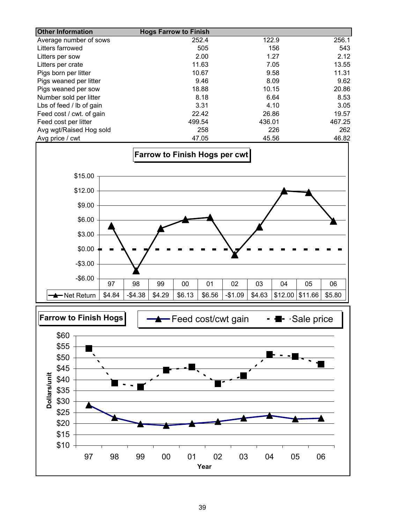| <b>Other Information</b> | <b>Hogs Farrow to Finish</b> |        |        |
|--------------------------|------------------------------|--------|--------|
| Average number of sows   | 252.4                        | 122.9  | 256.1  |
| Litters farrowed         | 505                          | 156    | 543    |
| Litters per sow          | 2.00                         | 1.27   | 2.12   |
| Litters per crate        | 11.63                        | 7.05   | 13.55  |
| Pigs born per litter     | 10.67                        | 9.58   | 11.31  |
| Pigs weaned per litter   | 9.46                         | 8.09   | 9.62   |
| Pigs weaned per sow      | 18.88                        | 10.15  | 20.86  |
| Number sold per litter   | 8.18                         | 6.64   | 8.53   |
| Lbs of feed / lb of gain | 3.31                         | 4.10   | 3.05   |
| Feed cost / cwt. of gain | 22.42                        | 26.86  | 19.57  |
| Feed cost per litter     | 499.54                       | 436.01 | 467.25 |
| Avg wgt/Raised Hog sold  | 258                          | 226    | 262    |
| Avg price / cwt          | 47.05                        | 45.56  | 46.82  |



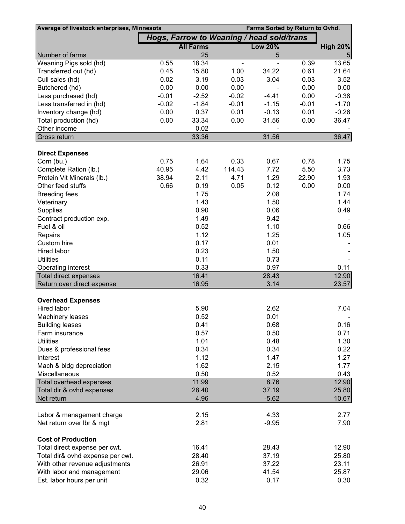| Average of livestock enterprises, Minnesota    | Farms Sorted by Return to Ovhd.           |                  |         |                |         |                 |
|------------------------------------------------|-------------------------------------------|------------------|---------|----------------|---------|-----------------|
|                                                | Hogs, Farrow to Weaning / head sold/trans |                  |         |                |         |                 |
|                                                |                                           | <b>All Farms</b> |         | <b>Low 20%</b> |         | <b>High 20%</b> |
| Number of farms                                |                                           | 25               |         | 5              |         | 5               |
| Weaning Pigs sold (hd)                         | 0.55                                      | 18.34            |         |                | 0.39    | 13.65           |
| Transferred out (hd)                           | 0.45                                      | 15.80            | 1.00    | 34.22          | 0.61    | 21.64           |
| Cull sales (hd)                                | 0.02                                      | 3.19             | 0.03    | 3.04           | 0.03    | 3.52            |
| Butchered (hd)                                 | 0.00                                      | 0.00             | 0.00    |                | 0.00    | 0.00            |
| Less purchased (hd)                            | $-0.01$                                   | $-2.52$          | $-0.02$ | $-4.41$        | 0.00    | $-0.38$         |
| Less transferred in (hd)                       | $-0.02$                                   | $-1.84$          | $-0.01$ | $-1.15$        | $-0.01$ | $-1.70$         |
| Inventory change (hd)                          | 0.00                                      | 0.37             | 0.01    | $-0.13$        | 0.01    | $-0.26$         |
| Total production (hd)                          | 0.00                                      | 33.34            | 0.00    | 31.56          | 0.00    | 36.47           |
| Other income                                   |                                           | 0.02             |         | 31.56          |         | 36.47           |
| Gross return                                   |                                           | 33.36            |         |                |         |                 |
| <b>Direct Expenses</b>                         |                                           |                  |         |                |         |                 |
| Corn (bu.)                                     | 0.75                                      | 1.64             | 0.33    | 0.67           | 0.78    | 1.75            |
| Complete Ration (lb.)                          | 40.95                                     | 4.42             | 114.43  | 7.72           | 5.50    | 3.73            |
| Protein Vit Minerals (lb.)                     | 38.94                                     | 2.11             | 4.71    | 1.29           | 22.90   | 1.93            |
| Other feed stuffs                              | 0.66                                      | 0.19             | 0.05    | 0.12           | 0.00    | 0.00            |
| <b>Breeding fees</b>                           |                                           | 1.75             |         | 2.08           |         | 1.74            |
| Veterinary                                     |                                           | 1.43             |         | 1.50           |         | 1.44            |
| Supplies                                       |                                           | 0.90             |         | 0.06           |         | 0.49            |
| Contract production exp.                       |                                           | 1.49             |         | 9.42           |         |                 |
| Fuel & oil                                     |                                           | 0.52             |         | 1.10           |         | 0.66            |
| Repairs                                        |                                           | 1.12             |         | 1.25           |         | 1.05            |
| Custom hire                                    |                                           | 0.17             |         | 0.01           |         |                 |
| Hired labor                                    |                                           | 0.23             |         | 1.50           |         |                 |
| <b>Utilities</b>                               |                                           | 0.11             |         | 0.73           |         |                 |
| Operating interest                             |                                           | 0.33             |         | 0.97           |         | 0.11            |
| Total direct expenses                          |                                           | 16.41            |         | 28.43          |         | 12.90           |
| Return over direct expense                     |                                           | 16.95            |         | 3.14           |         | 23.57           |
|                                                |                                           |                  |         |                |         |                 |
| <b>Overhead Expenses</b><br><b>Hired labor</b> |                                           | 5.90             |         | 2.62           |         | 7.04            |
| Machinery leases                               |                                           | 0.52             |         | 0.01           |         |                 |
| <b>Building leases</b>                         |                                           | 0.41             |         | 0.68           |         | 0.16            |
| Farm insurance                                 |                                           | 0.57             |         | 0.50           |         | 0.71            |
| <b>Utilities</b>                               |                                           | 1.01             |         | 0.48           |         | 1.30            |
| Dues & professional fees                       |                                           | 0.34             |         | 0.34           |         | 0.22            |
| Interest                                       |                                           | 1.12             |         | 1.47           |         | 1.27            |
| Mach & bldg depreciation                       |                                           | 1.62             |         | 2.15           |         | 1.77            |
| Miscellaneous                                  |                                           | 0.50             |         | 0.52           |         | 0.43            |
| <b>Total overhead expenses</b>                 |                                           | 11.99            |         | 8.76           |         | 12.90           |
| Total dir & ovhd expenses                      |                                           | 28.40            |         | 37.19          |         | 25.80           |
| Net return                                     |                                           | 4.96             |         | $-5.62$        |         | 10.67           |
|                                                |                                           |                  |         |                |         |                 |
| Labor & management charge                      |                                           | 2.15             |         | 4.33           |         | 2.77            |
| Net return over Ibr & mgt                      |                                           | 2.81             |         | $-9.95$        |         | 7.90            |
| <b>Cost of Production</b>                      |                                           |                  |         |                |         |                 |
| Total direct expense per cwt.                  |                                           | 16.41            |         | 28.43          |         | 12.90           |
| Total dir& ovhd expense per cwt.               |                                           | 28.40            |         | 37.19          |         | 25.80           |
| With other revenue adjustments                 |                                           | 26.91            |         | 37.22          |         | 23.11           |
| With labor and management                      |                                           | 29.06            |         | 41.54          |         | 25.87           |
| Est. labor hours per unit                      |                                           | 0.32             |         | 0.17           |         | 0.30            |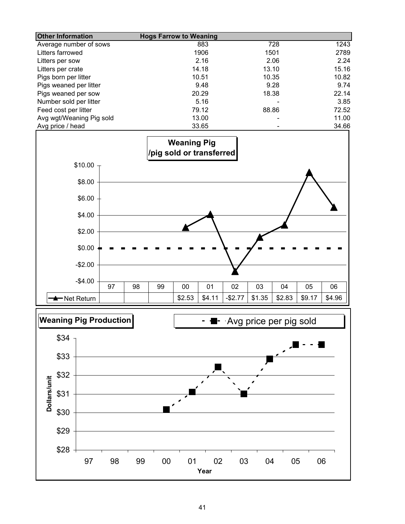| <b>Other Information</b> | <b>Hogs Farrow to Weaning</b> |       |       |
|--------------------------|-------------------------------|-------|-------|
| Average number of sows   | 883                           | 728   | 1243  |
| Litters farrowed         | 1906                          | 1501  | 2789  |
| Litters per sow          | 2.16                          | 2.06  | 2.24  |
| Litters per crate        | 14.18                         | 13.10 | 15.16 |
| Pigs born per litter     | 10.51                         | 10.35 | 10.82 |
| Pigs weaned per litter   | 9.48                          | 9.28  | 9.74  |
| Pigs weaned per sow      | 20.29                         | 18.38 | 22.14 |
| Number sold per litter   | 5.16                          |       | 3.85  |
| Feed cost per litter     | 79.12                         | 88.86 | 72.52 |
| Avg wgt/Weaning Pig sold | 13.00                         |       | 11.00 |
| Avg price / head         | 33.65                         |       | 34.66 |



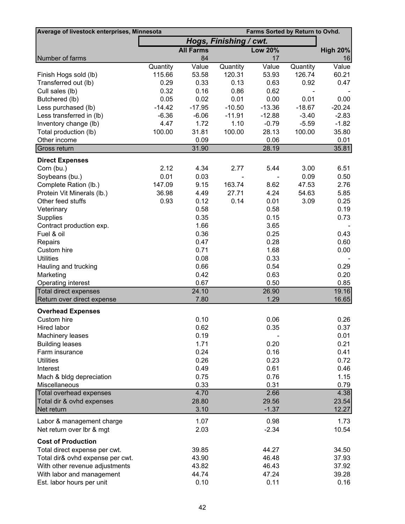| Average of livestock enterprises, Minnesota | Farms Sorted by Return to Ovhd. |                  |                        |                |          |                 |
|---------------------------------------------|---------------------------------|------------------|------------------------|----------------|----------|-----------------|
|                                             |                                 |                  | Hogs, Finishing / cwt. |                |          |                 |
|                                             |                                 | <b>All Farms</b> |                        | <b>Low 20%</b> |          | <b>High 20%</b> |
| Number of farms                             |                                 | 84               |                        | 17             |          | 16              |
|                                             | Quantity                        | Value            | Quantity               | Value          | Quantity | Value           |
| Finish Hogs sold (lb)                       | 115.66                          | 53.58            | 120.31                 | 53.93          | 126.74   | 60.21           |
| Transferred out (lb)                        | 0.29                            | 0.33             | 0.13                   | 0.63           | 0.92     | 0.47            |
| Cull sales (lb)                             | 0.32                            | 0.16             | 0.86                   | 0.62           |          |                 |
| Butchered (lb)                              | 0.05                            | 0.02             | 0.01                   | 0.00           | 0.01     | 0.00            |
| Less purchased (lb)                         | $-14.42$                        | $-17.95$         | $-10.50$               | $-13.36$       | $-18.67$ | $-20.24$        |
| Less transferred in (lb)                    | $-6.36$                         | $-6.06$          | $-11.91$               | $-12.88$       | $-3.40$  | $-2.83$         |
| Inventory change (lb)                       | 4.47                            | 1.72             | 1.10                   | $-0.79$        | $-5.59$  | $-1.82$         |
| Total production (lb)                       | 100.00                          | 31.81            | 100.00                 | 28.13          | 100.00   | 35.80           |
| Other income                                |                                 | 0.09             |                        | 0.06           |          | 0.01            |
| Gross return                                |                                 | 31.90            |                        | 28.19          |          | 35.81           |
| <b>Direct Expenses</b>                      |                                 |                  |                        |                |          |                 |
| Corn (bu.)                                  | 2.12                            | 4.34             | 2.77                   | 5.44           | 3.00     | 6.51            |
| Soybeans (bu.)                              | 0.01                            | 0.03             |                        |                | 0.09     | 0.50            |
| Complete Ration (lb.)                       | 147.09                          | 9.15             | 163.74                 | 8.62           | 47.53    | 2.76            |
| Protein Vit Minerals (lb.)                  | 36.98                           | 4.49             | 27.71                  | 4.24           | 54.63    | 5.85            |
| Other feed stuffs                           | 0.93                            | 0.12             | 0.14                   | 0.01           | 3.09     | 0.25            |
| Veterinary                                  |                                 | 0.58             |                        | 0.58           |          | 0.19            |
| Supplies                                    |                                 | 0.35             |                        | 0.15           |          | 0.73            |
| Contract production exp.                    |                                 | 1.66             |                        | 3.65           |          |                 |
| Fuel & oil                                  |                                 | 0.36             |                        | 0.25           |          | 0.43            |
| Repairs                                     |                                 | 0.47             |                        | 0.28           |          | 0.60            |
| Custom hire                                 |                                 | 0.71             |                        | 1.68           |          | 0.00            |
| <b>Utilities</b>                            |                                 | 0.08             |                        | 0.33           |          |                 |
| Hauling and trucking                        |                                 | 0.66             |                        | 0.54           |          | 0.29            |
| Marketing                                   |                                 | 0.42             |                        | 0.63           |          | 0.20            |
| Operating interest                          |                                 | 0.67             |                        | 0.50           |          | 0.85            |
| Total direct expenses                       |                                 | 24.10            |                        | 26.90          |          | 19.16           |
| Return over direct expense                  |                                 | 7.80             |                        | 1.29           |          | 16.65           |
| <b>Overhead Expenses</b>                    |                                 |                  |                        |                |          |                 |
| Custom hire                                 |                                 | 0.10             |                        | 0.06           |          | 0.26            |
| Hired labor                                 |                                 | 0.62             |                        | 0.35           |          | 0.37            |
| Machinery leases                            |                                 | 0.19             |                        |                |          | 0.01            |
| <b>Building leases</b>                      |                                 | 1.71             |                        | 0.20           |          | 0.21            |
| Farm insurance                              |                                 | 0.24             |                        | 0.16           |          | 0.41            |
| <b>Utilities</b>                            |                                 | 0.26             |                        | 0.23           |          | 0.72            |
| Interest                                    |                                 | 0.49             |                        | 0.61           |          | 0.46            |
| Mach & bldg depreciation                    |                                 | 0.75             |                        | 0.76           |          | 1.15            |
| Miscellaneous                               |                                 | 0.33             |                        | 0.31           |          | 0.79            |
| <b>Total overhead expenses</b>              |                                 | 4.70             |                        | 2.66           |          | 4.38            |
| Total dir & ovhd expenses                   |                                 | 28.80            |                        | 29.56          |          | 23.54           |
| Net return                                  |                                 | 3.10             |                        | $-1.37$        |          | 12.27           |
| Labor & management charge                   |                                 | 1.07             |                        | 0.98           |          | 1.73            |
| Net return over Ibr & mgt                   |                                 | 2.03             |                        | $-2.34$        |          | 10.54           |
| <b>Cost of Production</b>                   |                                 |                  |                        |                |          |                 |
| Total direct expense per cwt.               |                                 | 39.85            |                        | 44.27          |          | 34.50           |
| Total dir& ovhd expense per cwt.            |                                 | 43.90            |                        | 46.48          |          | 37.93           |
| With other revenue adjustments              |                                 | 43.82            |                        | 46.43          |          | 37.92           |
| With labor and management                   |                                 | 44.74            |                        | 47.24          |          | 39.28           |
| Est. labor hours per unit                   |                                 | 0.10             |                        | 0.11           |          | 0.16            |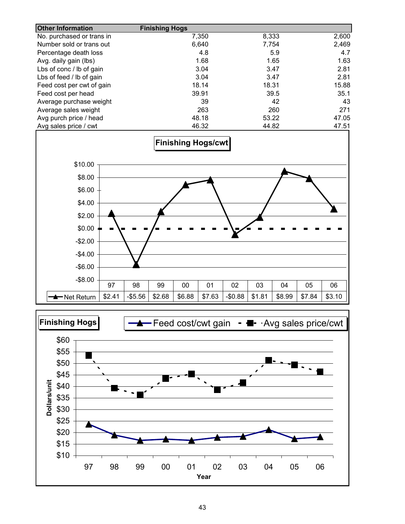| <b>Other Information</b>    |        |          | <b>Finishing Hogs</b> |        |        |          |        |        |        |        |
|-----------------------------|--------|----------|-----------------------|--------|--------|----------|--------|--------|--------|--------|
| No. purchased or trans in   |        |          |                       |        | 7,350  |          | 8,333  |        |        | 2,600  |
| Number sold or trans out    |        |          |                       |        | 6,640  |          | 7,754  |        |        | 2,469  |
| Percentage death loss       |        |          |                       |        | 4.8    |          |        | 5.9    |        | 4.7    |
| Avg. daily gain (lbs)       |        |          |                       |        | 1.68   |          |        | 1.65   |        | 1.63   |
| Lbs of conc / lb of gain    |        |          |                       |        | 3.04   |          |        | 3.47   |        | 2.81   |
| Lbs of feed / lb of gain    |        |          |                       |        | 3.04   |          |        | 3.47   |        | 2.81   |
| Feed cost per cwt of gain   |        |          |                       |        | 18.14  |          | 18.31  |        |        | 15.88  |
| Feed cost per head          |        |          |                       |        | 39.91  |          |        | 39.5   |        | 35.1   |
| Average purchase weight     |        |          |                       |        | 39     |          |        | 42     |        | 43     |
| Average sales weight        |        |          |                       |        | 263    |          |        | 260    |        | 271    |
| Avg purch price / head      |        |          |                       |        | 48.18  |          | 53.22  |        |        | 47.05  |
| Avg sales price / cwt       |        |          |                       |        | 46.32  |          | 44.82  |        |        | 47.51  |
| \$10.00<br>\$8.00<br>\$6.00 |        |          |                       |        |        |          |        |        |        |        |
| \$4.00                      |        |          |                       |        |        |          |        |        |        |        |
| \$2.00                      |        |          |                       |        |        |          |        |        |        |        |
| \$0.00                      |        |          |                       |        |        |          |        |        |        |        |
| $-$2.00$                    |        |          |                       |        |        |          |        |        |        |        |
| $-$4.00$                    |        |          |                       |        |        |          |        |        |        |        |
| $-$6.00$                    |        |          |                       |        |        |          |        |        |        |        |
| $-$8.00$                    | 97     | 98       | 99                    | 00     | 01     | 02       | 03     | 04     | 05     | 06     |
| <del>▲</del> Net Return     | \$2.41 | $-$5.56$ | \$2.68                | \$6.88 | \$7.63 | $-$0.88$ | \$1.81 | \$8.99 | \$7.84 | \$3.10 |

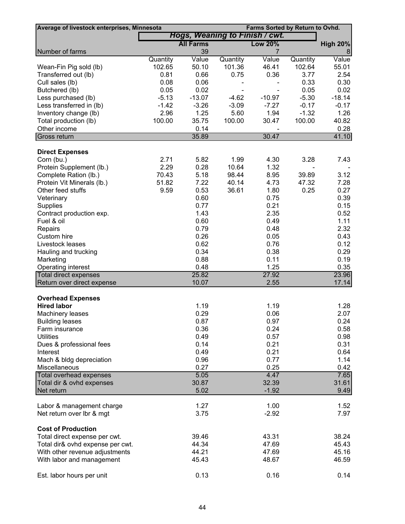| Average of livestock enterprises, Minnesota |          |                                |          | Farms Sorted by Return to Ovhd. |          |                 |
|---------------------------------------------|----------|--------------------------------|----------|---------------------------------|----------|-----------------|
|                                             |          | Hogs, Weaning to Finish / cwt. |          |                                 |          |                 |
|                                             |          | <b>All Farms</b>               |          | <b>Low 20%</b>                  |          | <b>High 20%</b> |
| Number of farms                             |          | 39                             |          | 7                               |          | 8               |
|                                             | Quantity | Value                          | Quantity | Value                           | Quantity | Value           |
| Wean-Fin Pig sold (lb)                      | 102.65   | 50.10                          | 101.36   | 46.41                           | 102.64   | 55.01           |
| Transferred out (lb)                        | 0.81     | 0.66                           | 0.75     | 0.36                            | 3.77     | 2.54            |
| Cull sales (lb)                             | 0.08     | 0.06                           |          |                                 | 0.33     | 0.30            |
| Butchered (lb)                              | 0.05     | 0.02                           |          |                                 | 0.05     | 0.02            |
| Less purchased (lb)                         | $-5.13$  | $-13.07$                       | $-4.62$  | $-10.97$                        | $-5.30$  | $-18.14$        |
| Less transferred in (lb)                    | $-1.42$  | $-3.26$                        | $-3.09$  | $-7.27$                         | $-0.17$  | $-0.17$         |
| Inventory change (lb)                       | 2.96     | 1.25                           | 5.60     | 1.94                            | $-1.32$  | 1.26            |
| Total production (lb)                       | 100.00   | 35.75                          | 100.00   | 30.47                           | 100.00   | 40.82           |
| Other income                                |          | 0.14                           |          | $\overline{\phantom{a}}$        |          | 0.28            |
| Gross return                                |          | 35.89                          |          | 30.47                           |          | 41.10           |
|                                             |          |                                |          |                                 |          |                 |
| <b>Direct Expenses</b>                      |          |                                |          |                                 |          |                 |
| Corn (bu.)                                  | 2.71     | 5.82                           | 1.99     | 4.30                            | 3.28     | 7.43            |
| Protein Supplement (lb.)                    | 2.29     | 0.28                           | 10.64    | 1.32                            |          |                 |
| Complete Ration (lb.)                       | 70.43    | 5.18                           | 98.44    | 8.95                            | 39.89    | 3.12            |
| Protein Vit Minerals (lb.)                  | 51.82    | 7.22                           | 40.14    | 4.73                            | 47.32    | 7.28            |
| Other feed stuffs                           | 9.59     | 0.53                           | 36.61    | 1.80                            | 0.25     | 0.27            |
| Veterinary                                  |          | 0.60                           |          | 0.75                            |          | 0.39            |
| Supplies                                    |          | 0.77                           |          | 0.21                            |          | 0.15            |
| Contract production exp.                    |          | 1.43                           |          | 2.35                            |          | 0.52            |
| Fuel & oil                                  |          | 0.60                           |          | 0.49                            |          | 1.11            |
| Repairs                                     |          | 0.79                           |          | 0.48                            |          | 2.32            |
| Custom hire                                 |          | 0.26                           |          | 0.05                            |          | 0.43            |
| Livestock leases                            |          | 0.62                           |          | 0.76                            |          | 0.12            |
| Hauling and trucking                        |          | 0.34                           |          | 0.38                            |          | 0.29            |
| Marketing                                   |          | 0.88                           |          | 0.11                            |          | 0.19            |
| Operating interest                          |          | 0.48                           |          | 1.25                            |          | 0.35            |
| <b>Total direct expenses</b>                |          | 25.82                          |          | 27.92                           |          | 23.96           |
| Return over direct expense                  |          | 10.07                          |          | 2.55                            |          | 17.14           |
|                                             |          |                                |          |                                 |          |                 |
| <b>Overhead Expenses</b>                    |          |                                |          |                                 |          |                 |
| <b>Hired labor</b>                          |          | 1.19                           |          | 1.19                            |          | 1.28            |
| Machinery leases                            |          | 0.29                           |          | 0.06                            |          | 2.07            |
| <b>Building leases</b>                      |          | 0.87                           |          | 0.97                            |          | 0.24            |
| Farm insurance                              |          | 0.36                           |          | 0.24                            |          | 0.58            |
| <b>Utilities</b>                            |          | 0.49                           |          | 0.57                            |          | 0.98            |
| Dues & professional fees                    |          | 0.14                           |          | 0.21                            |          | 0.31            |
| Interest                                    |          | 0.49                           |          | 0.21                            |          | 0.64            |
| Mach & bldg depreciation                    |          | 0.96                           |          | 0.77                            |          | 1.14            |
| Miscellaneous                               |          | 0.27                           |          | 0.25                            |          | 0.42            |
| <b>Total overhead expenses</b>              |          | 5.05                           |          | 4.47                            |          | 7.65            |
| Total dir & ovhd expenses                   |          | 30.87                          |          | 32.39                           |          | 31.61           |
| Net return                                  |          | 5.02                           |          | $-1.92$                         |          | 9.49            |
|                                             |          | 1.27                           |          | 1.00                            |          | 1.52            |
| Labor & management charge                   |          | 3.75                           |          | $-2.92$                         |          | 7.97            |
| Net return over Ibr & mgt                   |          |                                |          |                                 |          |                 |
| <b>Cost of Production</b>                   |          |                                |          |                                 |          |                 |
| Total direct expense per cwt.               |          | 39.46                          |          | 43.31                           |          | 38.24           |
| Total dir& ovhd expense per cwt.            |          | 44.34                          |          | 47.69                           |          | 45.43           |
| With other revenue adjustments              |          | 44.21                          |          | 47.69                           |          | 45.16           |
|                                             |          | 45.43                          |          | 48.67                           |          | 46.59           |
| With labor and management                   |          |                                |          |                                 |          |                 |
|                                             |          | 0.13                           |          | 0.16                            |          | 0.14            |
| Est. labor hours per unit                   |          |                                |          |                                 |          |                 |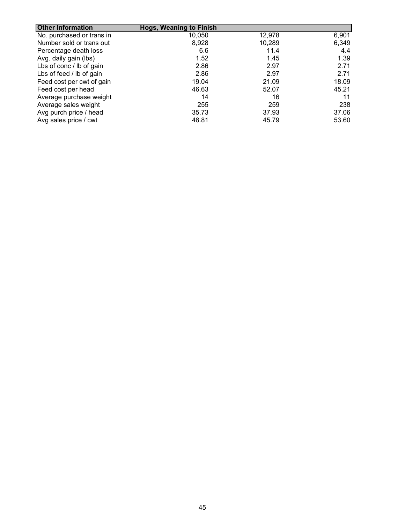| <b>Other Information</b>  | <b>Hogs, Weaning to Finish</b> |        |       |
|---------------------------|--------------------------------|--------|-------|
| No. purchased or trans in | 10,050                         | 12,978 | 6,901 |
| Number sold or trans out  | 8,928                          | 10,289 | 6,349 |
| Percentage death loss     | 6.6                            | 11.4   | 4.4   |
| Avg. daily gain (lbs)     | 1.52                           | 1.45   | 1.39  |
| Lbs of conc / lb of gain  | 2.86                           | 2.97   | 2.71  |
| Lbs of feed / lb of gain  | 2.86                           | 2.97   | 2.71  |
| Feed cost per cwt of gain | 19.04                          | 21.09  | 18.09 |
| Feed cost per head        | 46.63                          | 52.07  | 45.21 |
| Average purchase weight   | 14                             | 16     | 11    |
| Average sales weight      | 255                            | 259    | 238   |
| Avg purch price / head    | 35.73                          | 37.93  | 37.06 |
| Avg sales price / cwt     | 48.81                          | 45.79  | 53.60 |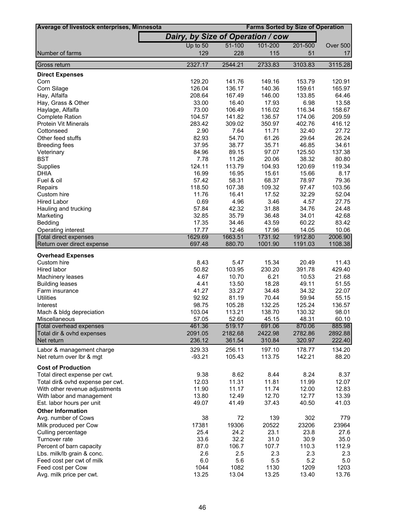| Average of livestock enterprises, Minnesota                 |                                   |                   | <b>Farms Sorted by Size of Operation</b> |                 |                |
|-------------------------------------------------------------|-----------------------------------|-------------------|------------------------------------------|-----------------|----------------|
|                                                             | Dairy, by Size of Operation / cow |                   |                                          |                 |                |
|                                                             | Up to 50                          | 51-100            | 101-200                                  | 201-500         | Over 500       |
| Number of farms                                             | 129                               | 228               | 115                                      | 51              | 17             |
|                                                             | 2327.17                           | 2544.21           | 2733.83                                  | 3103.83         | 3115.28        |
| Gross return                                                |                                   |                   |                                          |                 |                |
| <b>Direct Expenses</b><br>Corn                              | 129.20                            | 141.76            | 149.16                                   | 153.79          | 120.91         |
| Corn Silage                                                 | 126.04                            | 136.17            | 140.36                                   | 159.61          | 165.97         |
| Hay, Alfalfa                                                | 208.64                            | 167.49            | 146.00                                   | 133.85          | 64.46          |
| Hay, Grass & Other                                          | 33.00                             | 16.40             | 17.93                                    | 6.98            | 13.58          |
| Haylage, Alfalfa                                            | 73.00                             | 106.49            | 116.02                                   | 116.34          | 158.67         |
| <b>Complete Ration</b>                                      | 104.57                            | 141.82            | 136.57                                   | 174.06          | 209.59         |
| <b>Protein Vit Minerals</b>                                 | 283.42                            | 309.02            | 350.97                                   | 402.76          | 416.12         |
| Cottonseed                                                  | 2.90                              | 7.64              | 11.71                                    | 32.40           | 27.72          |
| Other feed stuffs                                           | 82.93                             | 54.70             | 61.26                                    | 29.64           | 26.24          |
| <b>Breeding fees</b>                                        | 37.95                             | 38.77             | 35.71                                    | 46.85           | 34.61          |
| Veterinary                                                  | 84.96                             | 89.15             | 97.07                                    | 125.50          | 137.38         |
| <b>BST</b>                                                  | 7.78                              | 11.26             | 20.06                                    | 38.32           | 80.80          |
| Supplies                                                    | 124.11                            | 113.79            | 104.93                                   | 120.69          | 119.34         |
| <b>DHIA</b>                                                 | 16.99                             | 16.95             | 15.61                                    | 15.66           | 8.17           |
| Fuel & oil                                                  | 57.42                             | 58.31             | 68.37                                    | 78.97           | 79.36          |
| Repairs                                                     | 118.50                            | 107.38            | 109.32                                   | 97.47           | 103.56         |
| Custom hire                                                 | 11.76                             | 16.41             | 17.52                                    | 32.29           | 52.04          |
| <b>Hired Labor</b>                                          | 0.69                              | 4.96              | 3.46                                     | 4.57            | 27.75          |
| Hauling and trucking                                        | 57.84                             | 42.32             | 31.88                                    | 34.76           | 24.48          |
| Marketing                                                   | 32.85                             | 35.79             | 36.48                                    | 34.01           | 42.68          |
| Bedding                                                     | 17.35                             | 34.46             | 43.59                                    | 60.22           | 83.42          |
| Operating interest                                          | 17.77                             | 12.46             | 17.96                                    | 14.05           | 10.06          |
| Total direct expenses                                       | 1629.69<br>697.48                 | 1663.51<br>880.70 | 1731.92<br>1001.90                       | 1912.80         | 2006.90        |
| Return over direct expense                                  |                                   |                   |                                          | 1191.03         | 1108.38        |
| <b>Overhead Expenses</b>                                    |                                   |                   |                                          |                 |                |
| Custom hire                                                 | 8.43                              | 5.47              | 15.34                                    | 20.49           | 11.43          |
| Hired labor                                                 | 50.82                             | 103.95            | 230.20                                   | 391.78          | 429.40         |
| Machinery leases                                            | 4.67                              | 10.70             | 6.21                                     | 10.53           | 21.68          |
| <b>Building leases</b>                                      | 4.41                              | 13.50             | 18.28                                    | 49.11           | 51.55          |
| Farm insurance                                              | 41.27                             | 33.27             | 34.48                                    | 34.32           | 22.07          |
| <b>Utilities</b>                                            | 92.92                             | 81.19             | 70.44                                    | 59.94           | 55.15          |
| Interest                                                    | 98.75                             | 105.28            | 132.25                                   | 125.24          | 136.57         |
| Mach & bldg depreciation<br>Miscellaneous                   | 103.04                            | 113.21<br>52.60   | 138.70                                   | 130.32<br>48.31 | 98.01<br>60.10 |
| Total overhead expenses                                     | 57.05<br>461.36                   | 519.17            | 45.15<br>691.06                          | 870.06          | 885.98         |
| Total dir & ovhd expenses                                   | 2091.05                           | 2182.68           | 2422.98                                  | 2782.86         | 2892.88        |
| Net return                                                  | 236.12                            | 361.54            | 310.84                                   | 320.97          | 222.40         |
| Labor & management charge                                   | 329.33                            | 256.11            | 197.10                                   | 178.77          | 134.20         |
| Net return over lbr & mgt                                   | $-93.21$                          | 105.43            | 113.75                                   | 142.21          | 88.20          |
|                                                             |                                   |                   |                                          |                 |                |
| <b>Cost of Production</b>                                   |                                   |                   |                                          |                 |                |
| Total direct expense per cwt.                               | 9.38                              | 8.62              | 8.44                                     | 8.24            | 8.37           |
| Total dir& ovhd expense per cwt.                            | 12.03                             | 11.31             | 11.81                                    | 11.99           | 12.07          |
| With other revenue adjustments<br>With labor and management | 11.90<br>13.80                    | 11.17<br>12.49    | 11.74<br>12.70                           | 12.00<br>12.77  | 12.83<br>13.39 |
| Est. labor hours per unit                                   | 49.07                             | 41.49             | 37.43                                    | 40.50           | 41.03          |
|                                                             |                                   |                   |                                          |                 |                |
| <b>Other Information</b>                                    |                                   |                   |                                          |                 |                |
| Avg. number of Cows                                         | 38<br>17381                       | 72<br>19306       | 139<br>20522                             | 302<br>23206    | 779<br>23964   |
| Milk produced per Cow                                       | 25.4                              | 24.2              | 23.1                                     | 23.8            | 27.6           |
| Culling percentage<br>Turnover rate                         | 33.6                              | 32.2              | 31.0                                     | 30.9            | 35.0           |
| Percent of barn capacity                                    | 87.0                              | 106.7             | 107.7                                    | 110.3           | 112.9          |
| Lbs. milk/lb grain & conc.                                  | 2.6                               | 2.5               | 2.3                                      | 2.3             | 2.3            |
| Feed cost per cwt of milk                                   | 6.0                               | 5.6               | 5.5                                      | 5.2             | 5.0            |
| Feed cost per Cow                                           | 1044                              | 1082              | 1130                                     | 1209            | 1203           |
| Avg. milk price per cwt.                                    | 13.25                             | 13.04             | 13.25                                    | 13.40           | 13.76          |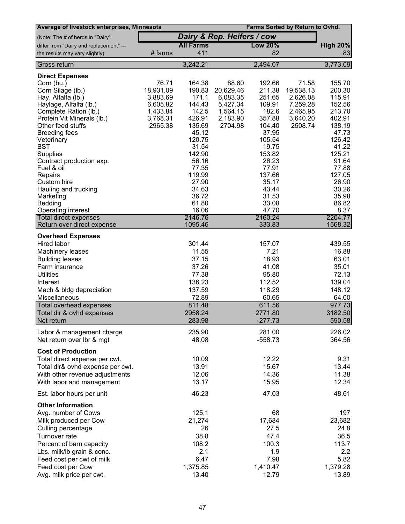| Average of livestock enterprises, Minnesota |           |                  |                            | Farms Sorted by Return to Ovhd. |           |                 |
|---------------------------------------------|-----------|------------------|----------------------------|---------------------------------|-----------|-----------------|
| (Note: The # of herds in "Dairy"            |           |                  | Dairy & Rep. Heifers / cow |                                 |           |                 |
| differ from "Dairy and replacement" ---     |           | <b>All Farms</b> |                            | <b>Low 20%</b>                  |           | <b>High 20%</b> |
| the results may vary slightly)              | # farms   | 411              |                            | 82                              |           | 83              |
| Gross return                                |           | 3,242.21         |                            | 2,494.07                        |           | 3,773.09        |
| <b>Direct Expenses</b>                      |           |                  |                            |                                 |           |                 |
| Corn (bu.)                                  | 76.71     | 164.38           | 88.60                      | 192.66                          | 71.58     | 155.70          |
| Corn Silage (lb.)                           | 18,931.09 | 190.83           | 20,629.46                  | 211.38                          | 19,538.13 | 200.30          |
| Hay, Alfalfa (lb.)                          | 3,883.69  | 171.1            | 6,083.35                   | 251.65                          | 2,626.08  | 115.91          |
| Haylage, Alfalfa (lb.)                      | 6,605.82  | 144.43           | 5,427.34                   | 109.91                          | 7,259.28  | 152.56          |
| Complete Ration (lb.)                       | 1,433.84  | 142.5            | 1,564.15                   | 182.6                           | 2,465.95  | 213.70          |
| Protein Vit Minerals (lb.)                  | 3,768.31  | 426.91           | 2,183.90                   | 357.88                          | 3,640.20  | 402.91          |
| Other feed stuffs<br><b>Breeding fees</b>   | 2965.38   | 135.69<br>45.12  | 2704.98                    | 104.40<br>37.95                 | 2508.74   | 138.19<br>47.73 |
| Veterinary                                  |           | 120.75           |                            | 105.54                          |           | 126.42          |
| <b>BST</b>                                  |           | 31.54            |                            | 19.75                           |           | 41.22           |
| Supplies                                    |           | 142.90           |                            | 153.82                          |           | 125.21          |
| Contract production exp.                    |           | 56.16            |                            | 26.23                           |           | 91.64           |
| Fuel & oil                                  |           | 77.35            |                            | 77.91                           |           | 77.88           |
| Repairs                                     |           | 119.99           |                            | 137.66                          |           | 127.05          |
| Custom hire                                 |           | 27.90            |                            | 35.17                           |           | 26.90           |
| Hauling and trucking                        |           | 34.63<br>36.72   |                            | 43.44<br>31.53                  |           | 30.26<br>35.98  |
| Marketing<br>Bedding                        |           | 61.80            |                            | 33.08                           |           | 86.82           |
| Operating interest                          |           | 16.06            |                            | 47.70                           |           | 8.37            |
| <b>Total direct expenses</b>                |           | 2146.76          |                            | 2160.24                         |           | 2204.77         |
| Return over direct expense                  |           | 1095.46          |                            | 333.83                          |           | 1568.32         |
| <b>Overhead Expenses</b>                    |           |                  |                            |                                 |           |                 |
| Hired labor                                 |           | 301.44           |                            | 157.07                          |           | 439.55          |
| <b>Machinery leases</b>                     |           | 11.55            |                            | 7.21                            |           | 16.88           |
| <b>Building leases</b>                      |           | 37.15            |                            | 18.93                           |           | 63.01           |
| Farm insurance                              |           | 37.26            |                            | 41.08                           |           | 35.01           |
| <b>Utilities</b>                            |           | 77.38            |                            | 95.80                           |           | 72.13           |
| Interest                                    |           | 136.23           |                            | 112.52                          |           | 139.04          |
| Mach & bldg depreciation                    |           | 137.59           |                            | 118.29                          |           | 148.12          |
| Miscellaneous<br>Total overhead expenses    |           | 72.89<br>811.48  |                            | 60.65<br>611.56                 |           | 64.00<br>977.73 |
| Total dir & ovhd expenses                   |           | 2958.24          |                            | 2771.80                         |           | 3182.50         |
| Net return                                  |           | 283.98           |                            | $-277.73$                       |           | 590.58          |
| Labor & management charge                   |           | 235.90           |                            | 281.00                          |           | 226.02          |
| Net return over Ibr & mgt                   |           | 48.08            |                            | $-558.73$                       |           | 364.56          |
| <b>Cost of Production</b>                   |           |                  |                            |                                 |           |                 |
| Total direct expense per cwt.               |           | 10.09            |                            | 12.22                           |           | 9.31            |
| Total dir& ovhd expense per cwt.            |           | 13.91            |                            | 15.67                           |           | 13.44           |
| With other revenue adjustments              |           | 12.06            |                            | 14.36                           |           | 11.38           |
| With labor and management                   |           | 13.17            |                            | 15.95                           |           | 12.34           |
| Est. labor hours per unit                   |           | 46.23            |                            | 47.03                           |           | 48.61           |
| <b>Other Information</b>                    |           |                  |                            |                                 |           |                 |
| Avg. number of Cows                         |           | 125.1            |                            | 68                              |           | 197             |
| Milk produced per Cow                       |           | 21,274           |                            | 17,684                          |           | 23,682          |
| Culling percentage                          |           | 26               |                            | 27.5                            |           | 24.8            |
| Turnover rate                               |           | 38.8             |                            | 47.4                            |           | 36.5            |
| Percent of barn capacity                    |           | 108.2            |                            | 100.3                           |           | 113.7           |
| Lbs. milk/lb grain & conc.                  |           | 2.1              |                            | 1.9                             |           | 2.2             |
| Feed cost per cwt of milk                   |           | 6.47             |                            | 7.98                            |           | 5.82            |
| Feed cost per Cow                           |           | 1,375.85         |                            | 1,410.47                        |           | 1,379.28        |
| Avg. milk price per cwt.                    |           | 13.40            |                            | 12.79                           |           | 13.89           |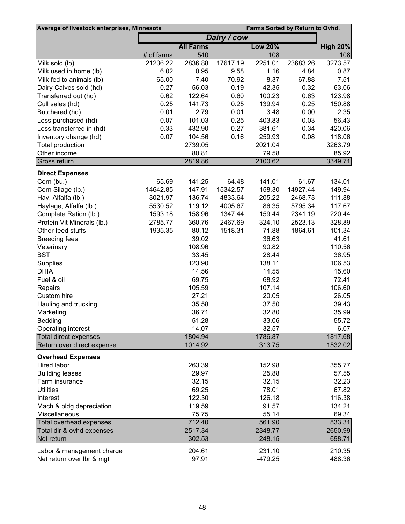| Dairy / cow<br><b>All Farms</b><br><b>Low 20%</b><br><b>High 20%</b><br># of farms<br>108<br>540<br>108<br>21236.22<br>2836.88<br>2251.01<br>3273.57<br>Milk sold (lb)<br>17617.19<br>23683.26<br>6.02<br>0.95<br>1.16<br>4.84<br>Milk used in home (lb)<br>9.58<br>0.87<br>65.00<br>7.40<br>70.92<br>8.37<br>7.51<br>Milk fed to animals (lb)<br>67.88<br>0.27<br>56.03<br>0.19<br>42.35<br>63.06<br>Dairy Calves sold (hd)<br>0.32<br>0.62<br>122.64<br>0.60<br>100.23<br>123.98<br>Transferred out (hd)<br>0.63<br>0.25<br>141.73<br>0.25<br>139.94<br>0.25<br>150.88<br>Cull sales (hd)<br>0.01<br>0.01<br>2.79<br>0.00<br>2.35<br>Butchered (hd)<br>3.48<br>$-0.07$<br>$-101.03$<br>$-0.25$<br>$-0.03$<br>$-56.43$<br>Less purchased (hd)<br>$-403.83$<br>$-0.33$<br>$-0.27$<br>$-381.61$<br>$-0.34$<br>$-420.06$<br>Less transferred in (hd)<br>$-432.90$<br>0.07<br>0.16<br>259.93<br>118.06<br>Inventory change (hd)<br>104.56<br>0.08<br><b>Total production</b><br>2739.05<br>2021.04<br>3263.79<br>Other income<br>80.81<br>85.92<br>79.58<br>Gross return<br>2100.62<br>2819.86<br>3349.71<br><b>Direct Expenses</b><br>65.69<br>141.25<br>134.01<br>Corn (bu.)<br>64.48<br>141.01<br>61.67<br>14642.85<br>147.91<br>15342.57<br>14927.44<br>149.94<br>Corn Silage (lb.)<br>158.30<br>111.88<br>Hay, Alfalfa (lb.)<br>3021.97<br>136.74<br>4833.64<br>205.22<br>2468.73<br>119.12<br>86.35<br>Haylage, Alfalfa (lb.)<br>5530.52<br>4005.67<br>5795.34<br>117.67<br>158.96<br>1347.44<br>220.44<br>Complete Ration (lb.)<br>1593.18<br>159.44<br>2341.19<br>360.76<br>2523.13<br>328.89<br>Protein Vit Minerals (lb.)<br>2785.77<br>2467.69<br>324.10<br>1935.35<br>80.12<br>1518.31<br>71.88<br>101.34<br>Other feed stuffs<br>1864.61<br>39.02<br>41.61<br><b>Breeding fees</b><br>36.63<br>108.96<br>110.56<br>Veterinary<br>90.82<br><b>BST</b><br>33.45<br>28.44<br>Supplies<br>123.90<br>138.11<br>106.53<br>15.60<br><b>DHIA</b><br>14.56<br>14.55<br>Fuel & oil<br>69.75<br>68.92<br>72.41<br>106.60<br>105.59<br>107.14<br>Repairs<br>27.21<br>26.05<br>Custom hire<br>20.05<br>35.58<br>Hauling and trucking<br>37.50<br>39.43<br>35.99<br>Marketing<br>36.71<br>32.80<br>51.28<br>55.72<br>33.06<br><b>Bedding</b><br>14.07<br>32.57<br>6.07<br>Operating interest<br>Total direct expenses<br>1804.94<br>1786.87<br>1817.68<br>Return over direct expense<br>1014.92<br>1532.02<br>313.75<br><b>Overhead Expenses</b><br>Hired labor<br>263.39<br>152.98<br>355.77<br><b>Building leases</b><br>29.97<br>25.88<br>57.55<br>Farm insurance<br>32.15<br>32.15<br>32.23<br><b>Utilities</b><br>69.25<br>67.82<br>78.01<br>122.30<br>116.38<br>Interest<br>126.18<br>Mach & bldg depreciation<br>119.59<br>91.57<br>134.21<br>Miscellaneous<br>75.75<br>55.14<br>712.40<br>833.31<br>561.90<br>2517.34<br>Total dir & ovhd expenses<br>2348.77<br>2650.99<br>Net return<br>302.53<br>$-248.15$<br>698.71<br>210.35<br>Labor & management charge<br>204.61<br>231.10 | Average of livestock enterprises, Minnesota |       | Farms Sorted by Return to Ovhd. |        |
|----------------------------------------------------------------------------------------------------------------------------------------------------------------------------------------------------------------------------------------------------------------------------------------------------------------------------------------------------------------------------------------------------------------------------------------------------------------------------------------------------------------------------------------------------------------------------------------------------------------------------------------------------------------------------------------------------------------------------------------------------------------------------------------------------------------------------------------------------------------------------------------------------------------------------------------------------------------------------------------------------------------------------------------------------------------------------------------------------------------------------------------------------------------------------------------------------------------------------------------------------------------------------------------------------------------------------------------------------------------------------------------------------------------------------------------------------------------------------------------------------------------------------------------------------------------------------------------------------------------------------------------------------------------------------------------------------------------------------------------------------------------------------------------------------------------------------------------------------------------------------------------------------------------------------------------------------------------------------------------------------------------------------------------------------------------------------------------------------------------------------------------------------------------------------------------------------------------------------------------------------------------------------------------------------------------------------------------------------------------------------------------------------------------------------------------------------------------------------------------------------------------------------------------------------------------------------------------------------------------------------------------------------------------------------------------------------------------------------------------------------------------------------------------------------------------------------------------------------------------------------------------------------------------------------------------------------------------------------------------|---------------------------------------------|-------|---------------------------------|--------|
| 36.95<br>69.34                                                                                                                                                                                                                                                                                                                                                                                                                                                                                                                                                                                                                                                                                                                                                                                                                                                                                                                                                                                                                                                                                                                                                                                                                                                                                                                                                                                                                                                                                                                                                                                                                                                                                                                                                                                                                                                                                                                                                                                                                                                                                                                                                                                                                                                                                                                                                                                                                                                                                                                                                                                                                                                                                                                                                                                                                                                                                                                                                                         |                                             |       |                                 |        |
|                                                                                                                                                                                                                                                                                                                                                                                                                                                                                                                                                                                                                                                                                                                                                                                                                                                                                                                                                                                                                                                                                                                                                                                                                                                                                                                                                                                                                                                                                                                                                                                                                                                                                                                                                                                                                                                                                                                                                                                                                                                                                                                                                                                                                                                                                                                                                                                                                                                                                                                                                                                                                                                                                                                                                                                                                                                                                                                                                                                        |                                             |       |                                 |        |
|                                                                                                                                                                                                                                                                                                                                                                                                                                                                                                                                                                                                                                                                                                                                                                                                                                                                                                                                                                                                                                                                                                                                                                                                                                                                                                                                                                                                                                                                                                                                                                                                                                                                                                                                                                                                                                                                                                                                                                                                                                                                                                                                                                                                                                                                                                                                                                                                                                                                                                                                                                                                                                                                                                                                                                                                                                                                                                                                                                                        |                                             |       |                                 |        |
|                                                                                                                                                                                                                                                                                                                                                                                                                                                                                                                                                                                                                                                                                                                                                                                                                                                                                                                                                                                                                                                                                                                                                                                                                                                                                                                                                                                                                                                                                                                                                                                                                                                                                                                                                                                                                                                                                                                                                                                                                                                                                                                                                                                                                                                                                                                                                                                                                                                                                                                                                                                                                                                                                                                                                                                                                                                                                                                                                                                        |                                             |       |                                 |        |
|                                                                                                                                                                                                                                                                                                                                                                                                                                                                                                                                                                                                                                                                                                                                                                                                                                                                                                                                                                                                                                                                                                                                                                                                                                                                                                                                                                                                                                                                                                                                                                                                                                                                                                                                                                                                                                                                                                                                                                                                                                                                                                                                                                                                                                                                                                                                                                                                                                                                                                                                                                                                                                                                                                                                                                                                                                                                                                                                                                                        |                                             |       |                                 |        |
|                                                                                                                                                                                                                                                                                                                                                                                                                                                                                                                                                                                                                                                                                                                                                                                                                                                                                                                                                                                                                                                                                                                                                                                                                                                                                                                                                                                                                                                                                                                                                                                                                                                                                                                                                                                                                                                                                                                                                                                                                                                                                                                                                                                                                                                                                                                                                                                                                                                                                                                                                                                                                                                                                                                                                                                                                                                                                                                                                                                        |                                             |       |                                 |        |
|                                                                                                                                                                                                                                                                                                                                                                                                                                                                                                                                                                                                                                                                                                                                                                                                                                                                                                                                                                                                                                                                                                                                                                                                                                                                                                                                                                                                                                                                                                                                                                                                                                                                                                                                                                                                                                                                                                                                                                                                                                                                                                                                                                                                                                                                                                                                                                                                                                                                                                                                                                                                                                                                                                                                                                                                                                                                                                                                                                                        |                                             |       |                                 |        |
|                                                                                                                                                                                                                                                                                                                                                                                                                                                                                                                                                                                                                                                                                                                                                                                                                                                                                                                                                                                                                                                                                                                                                                                                                                                                                                                                                                                                                                                                                                                                                                                                                                                                                                                                                                                                                                                                                                                                                                                                                                                                                                                                                                                                                                                                                                                                                                                                                                                                                                                                                                                                                                                                                                                                                                                                                                                                                                                                                                                        |                                             |       |                                 |        |
|                                                                                                                                                                                                                                                                                                                                                                                                                                                                                                                                                                                                                                                                                                                                                                                                                                                                                                                                                                                                                                                                                                                                                                                                                                                                                                                                                                                                                                                                                                                                                                                                                                                                                                                                                                                                                                                                                                                                                                                                                                                                                                                                                                                                                                                                                                                                                                                                                                                                                                                                                                                                                                                                                                                                                                                                                                                                                                                                                                                        |                                             |       |                                 |        |
|                                                                                                                                                                                                                                                                                                                                                                                                                                                                                                                                                                                                                                                                                                                                                                                                                                                                                                                                                                                                                                                                                                                                                                                                                                                                                                                                                                                                                                                                                                                                                                                                                                                                                                                                                                                                                                                                                                                                                                                                                                                                                                                                                                                                                                                                                                                                                                                                                                                                                                                                                                                                                                                                                                                                                                                                                                                                                                                                                                                        |                                             |       |                                 |        |
|                                                                                                                                                                                                                                                                                                                                                                                                                                                                                                                                                                                                                                                                                                                                                                                                                                                                                                                                                                                                                                                                                                                                                                                                                                                                                                                                                                                                                                                                                                                                                                                                                                                                                                                                                                                                                                                                                                                                                                                                                                                                                                                                                                                                                                                                                                                                                                                                                                                                                                                                                                                                                                                                                                                                                                                                                                                                                                                                                                                        |                                             |       |                                 |        |
|                                                                                                                                                                                                                                                                                                                                                                                                                                                                                                                                                                                                                                                                                                                                                                                                                                                                                                                                                                                                                                                                                                                                                                                                                                                                                                                                                                                                                                                                                                                                                                                                                                                                                                                                                                                                                                                                                                                                                                                                                                                                                                                                                                                                                                                                                                                                                                                                                                                                                                                                                                                                                                                                                                                                                                                                                                                                                                                                                                                        |                                             |       |                                 |        |
|                                                                                                                                                                                                                                                                                                                                                                                                                                                                                                                                                                                                                                                                                                                                                                                                                                                                                                                                                                                                                                                                                                                                                                                                                                                                                                                                                                                                                                                                                                                                                                                                                                                                                                                                                                                                                                                                                                                                                                                                                                                                                                                                                                                                                                                                                                                                                                                                                                                                                                                                                                                                                                                                                                                                                                                                                                                                                                                                                                                        |                                             |       |                                 |        |
|                                                                                                                                                                                                                                                                                                                                                                                                                                                                                                                                                                                                                                                                                                                                                                                                                                                                                                                                                                                                                                                                                                                                                                                                                                                                                                                                                                                                                                                                                                                                                                                                                                                                                                                                                                                                                                                                                                                                                                                                                                                                                                                                                                                                                                                                                                                                                                                                                                                                                                                                                                                                                                                                                                                                                                                                                                                                                                                                                                                        |                                             |       |                                 |        |
|                                                                                                                                                                                                                                                                                                                                                                                                                                                                                                                                                                                                                                                                                                                                                                                                                                                                                                                                                                                                                                                                                                                                                                                                                                                                                                                                                                                                                                                                                                                                                                                                                                                                                                                                                                                                                                                                                                                                                                                                                                                                                                                                                                                                                                                                                                                                                                                                                                                                                                                                                                                                                                                                                                                                                                                                                                                                                                                                                                                        |                                             |       |                                 |        |
|                                                                                                                                                                                                                                                                                                                                                                                                                                                                                                                                                                                                                                                                                                                                                                                                                                                                                                                                                                                                                                                                                                                                                                                                                                                                                                                                                                                                                                                                                                                                                                                                                                                                                                                                                                                                                                                                                                                                                                                                                                                                                                                                                                                                                                                                                                                                                                                                                                                                                                                                                                                                                                                                                                                                                                                                                                                                                                                                                                                        |                                             |       |                                 |        |
|                                                                                                                                                                                                                                                                                                                                                                                                                                                                                                                                                                                                                                                                                                                                                                                                                                                                                                                                                                                                                                                                                                                                                                                                                                                                                                                                                                                                                                                                                                                                                                                                                                                                                                                                                                                                                                                                                                                                                                                                                                                                                                                                                                                                                                                                                                                                                                                                                                                                                                                                                                                                                                                                                                                                                                                                                                                                                                                                                                                        |                                             |       |                                 |        |
|                                                                                                                                                                                                                                                                                                                                                                                                                                                                                                                                                                                                                                                                                                                                                                                                                                                                                                                                                                                                                                                                                                                                                                                                                                                                                                                                                                                                                                                                                                                                                                                                                                                                                                                                                                                                                                                                                                                                                                                                                                                                                                                                                                                                                                                                                                                                                                                                                                                                                                                                                                                                                                                                                                                                                                                                                                                                                                                                                                                        |                                             |       |                                 |        |
|                                                                                                                                                                                                                                                                                                                                                                                                                                                                                                                                                                                                                                                                                                                                                                                                                                                                                                                                                                                                                                                                                                                                                                                                                                                                                                                                                                                                                                                                                                                                                                                                                                                                                                                                                                                                                                                                                                                                                                                                                                                                                                                                                                                                                                                                                                                                                                                                                                                                                                                                                                                                                                                                                                                                                                                                                                                                                                                                                                                        |                                             |       |                                 |        |
|                                                                                                                                                                                                                                                                                                                                                                                                                                                                                                                                                                                                                                                                                                                                                                                                                                                                                                                                                                                                                                                                                                                                                                                                                                                                                                                                                                                                                                                                                                                                                                                                                                                                                                                                                                                                                                                                                                                                                                                                                                                                                                                                                                                                                                                                                                                                                                                                                                                                                                                                                                                                                                                                                                                                                                                                                                                                                                                                                                                        |                                             |       |                                 |        |
|                                                                                                                                                                                                                                                                                                                                                                                                                                                                                                                                                                                                                                                                                                                                                                                                                                                                                                                                                                                                                                                                                                                                                                                                                                                                                                                                                                                                                                                                                                                                                                                                                                                                                                                                                                                                                                                                                                                                                                                                                                                                                                                                                                                                                                                                                                                                                                                                                                                                                                                                                                                                                                                                                                                                                                                                                                                                                                                                                                                        |                                             |       |                                 |        |
|                                                                                                                                                                                                                                                                                                                                                                                                                                                                                                                                                                                                                                                                                                                                                                                                                                                                                                                                                                                                                                                                                                                                                                                                                                                                                                                                                                                                                                                                                                                                                                                                                                                                                                                                                                                                                                                                                                                                                                                                                                                                                                                                                                                                                                                                                                                                                                                                                                                                                                                                                                                                                                                                                                                                                                                                                                                                                                                                                                                        |                                             |       |                                 |        |
|                                                                                                                                                                                                                                                                                                                                                                                                                                                                                                                                                                                                                                                                                                                                                                                                                                                                                                                                                                                                                                                                                                                                                                                                                                                                                                                                                                                                                                                                                                                                                                                                                                                                                                                                                                                                                                                                                                                                                                                                                                                                                                                                                                                                                                                                                                                                                                                                                                                                                                                                                                                                                                                                                                                                                                                                                                                                                                                                                                                        |                                             |       |                                 |        |
|                                                                                                                                                                                                                                                                                                                                                                                                                                                                                                                                                                                                                                                                                                                                                                                                                                                                                                                                                                                                                                                                                                                                                                                                                                                                                                                                                                                                                                                                                                                                                                                                                                                                                                                                                                                                                                                                                                                                                                                                                                                                                                                                                                                                                                                                                                                                                                                                                                                                                                                                                                                                                                                                                                                                                                                                                                                                                                                                                                                        |                                             |       |                                 |        |
|                                                                                                                                                                                                                                                                                                                                                                                                                                                                                                                                                                                                                                                                                                                                                                                                                                                                                                                                                                                                                                                                                                                                                                                                                                                                                                                                                                                                                                                                                                                                                                                                                                                                                                                                                                                                                                                                                                                                                                                                                                                                                                                                                                                                                                                                                                                                                                                                                                                                                                                                                                                                                                                                                                                                                                                                                                                                                                                                                                                        |                                             |       |                                 |        |
|                                                                                                                                                                                                                                                                                                                                                                                                                                                                                                                                                                                                                                                                                                                                                                                                                                                                                                                                                                                                                                                                                                                                                                                                                                                                                                                                                                                                                                                                                                                                                                                                                                                                                                                                                                                                                                                                                                                                                                                                                                                                                                                                                                                                                                                                                                                                                                                                                                                                                                                                                                                                                                                                                                                                                                                                                                                                                                                                                                                        |                                             |       |                                 |        |
|                                                                                                                                                                                                                                                                                                                                                                                                                                                                                                                                                                                                                                                                                                                                                                                                                                                                                                                                                                                                                                                                                                                                                                                                                                                                                                                                                                                                                                                                                                                                                                                                                                                                                                                                                                                                                                                                                                                                                                                                                                                                                                                                                                                                                                                                                                                                                                                                                                                                                                                                                                                                                                                                                                                                                                                                                                                                                                                                                                                        |                                             |       |                                 |        |
|                                                                                                                                                                                                                                                                                                                                                                                                                                                                                                                                                                                                                                                                                                                                                                                                                                                                                                                                                                                                                                                                                                                                                                                                                                                                                                                                                                                                                                                                                                                                                                                                                                                                                                                                                                                                                                                                                                                                                                                                                                                                                                                                                                                                                                                                                                                                                                                                                                                                                                                                                                                                                                                                                                                                                                                                                                                                                                                                                                                        |                                             |       |                                 |        |
|                                                                                                                                                                                                                                                                                                                                                                                                                                                                                                                                                                                                                                                                                                                                                                                                                                                                                                                                                                                                                                                                                                                                                                                                                                                                                                                                                                                                                                                                                                                                                                                                                                                                                                                                                                                                                                                                                                                                                                                                                                                                                                                                                                                                                                                                                                                                                                                                                                                                                                                                                                                                                                                                                                                                                                                                                                                                                                                                                                                        |                                             |       |                                 |        |
|                                                                                                                                                                                                                                                                                                                                                                                                                                                                                                                                                                                                                                                                                                                                                                                                                                                                                                                                                                                                                                                                                                                                                                                                                                                                                                                                                                                                                                                                                                                                                                                                                                                                                                                                                                                                                                                                                                                                                                                                                                                                                                                                                                                                                                                                                                                                                                                                                                                                                                                                                                                                                                                                                                                                                                                                                                                                                                                                                                                        |                                             |       |                                 |        |
|                                                                                                                                                                                                                                                                                                                                                                                                                                                                                                                                                                                                                                                                                                                                                                                                                                                                                                                                                                                                                                                                                                                                                                                                                                                                                                                                                                                                                                                                                                                                                                                                                                                                                                                                                                                                                                                                                                                                                                                                                                                                                                                                                                                                                                                                                                                                                                                                                                                                                                                                                                                                                                                                                                                                                                                                                                                                                                                                                                                        |                                             |       |                                 |        |
|                                                                                                                                                                                                                                                                                                                                                                                                                                                                                                                                                                                                                                                                                                                                                                                                                                                                                                                                                                                                                                                                                                                                                                                                                                                                                                                                                                                                                                                                                                                                                                                                                                                                                                                                                                                                                                                                                                                                                                                                                                                                                                                                                                                                                                                                                                                                                                                                                                                                                                                                                                                                                                                                                                                                                                                                                                                                                                                                                                                        |                                             |       |                                 |        |
|                                                                                                                                                                                                                                                                                                                                                                                                                                                                                                                                                                                                                                                                                                                                                                                                                                                                                                                                                                                                                                                                                                                                                                                                                                                                                                                                                                                                                                                                                                                                                                                                                                                                                                                                                                                                                                                                                                                                                                                                                                                                                                                                                                                                                                                                                                                                                                                                                                                                                                                                                                                                                                                                                                                                                                                                                                                                                                                                                                                        |                                             |       |                                 |        |
|                                                                                                                                                                                                                                                                                                                                                                                                                                                                                                                                                                                                                                                                                                                                                                                                                                                                                                                                                                                                                                                                                                                                                                                                                                                                                                                                                                                                                                                                                                                                                                                                                                                                                                                                                                                                                                                                                                                                                                                                                                                                                                                                                                                                                                                                                                                                                                                                                                                                                                                                                                                                                                                                                                                                                                                                                                                                                                                                                                                        |                                             |       |                                 |        |
|                                                                                                                                                                                                                                                                                                                                                                                                                                                                                                                                                                                                                                                                                                                                                                                                                                                                                                                                                                                                                                                                                                                                                                                                                                                                                                                                                                                                                                                                                                                                                                                                                                                                                                                                                                                                                                                                                                                                                                                                                                                                                                                                                                                                                                                                                                                                                                                                                                                                                                                                                                                                                                                                                                                                                                                                                                                                                                                                                                                        |                                             |       |                                 |        |
|                                                                                                                                                                                                                                                                                                                                                                                                                                                                                                                                                                                                                                                                                                                                                                                                                                                                                                                                                                                                                                                                                                                                                                                                                                                                                                                                                                                                                                                                                                                                                                                                                                                                                                                                                                                                                                                                                                                                                                                                                                                                                                                                                                                                                                                                                                                                                                                                                                                                                                                                                                                                                                                                                                                                                                                                                                                                                                                                                                                        |                                             |       |                                 |        |
|                                                                                                                                                                                                                                                                                                                                                                                                                                                                                                                                                                                                                                                                                                                                                                                                                                                                                                                                                                                                                                                                                                                                                                                                                                                                                                                                                                                                                                                                                                                                                                                                                                                                                                                                                                                                                                                                                                                                                                                                                                                                                                                                                                                                                                                                                                                                                                                                                                                                                                                                                                                                                                                                                                                                                                                                                                                                                                                                                                                        |                                             |       |                                 |        |
|                                                                                                                                                                                                                                                                                                                                                                                                                                                                                                                                                                                                                                                                                                                                                                                                                                                                                                                                                                                                                                                                                                                                                                                                                                                                                                                                                                                                                                                                                                                                                                                                                                                                                                                                                                                                                                                                                                                                                                                                                                                                                                                                                                                                                                                                                                                                                                                                                                                                                                                                                                                                                                                                                                                                                                                                                                                                                                                                                                                        |                                             |       |                                 |        |
|                                                                                                                                                                                                                                                                                                                                                                                                                                                                                                                                                                                                                                                                                                                                                                                                                                                                                                                                                                                                                                                                                                                                                                                                                                                                                                                                                                                                                                                                                                                                                                                                                                                                                                                                                                                                                                                                                                                                                                                                                                                                                                                                                                                                                                                                                                                                                                                                                                                                                                                                                                                                                                                                                                                                                                                                                                                                                                                                                                                        |                                             |       |                                 |        |
|                                                                                                                                                                                                                                                                                                                                                                                                                                                                                                                                                                                                                                                                                                                                                                                                                                                                                                                                                                                                                                                                                                                                                                                                                                                                                                                                                                                                                                                                                                                                                                                                                                                                                                                                                                                                                                                                                                                                                                                                                                                                                                                                                                                                                                                                                                                                                                                                                                                                                                                                                                                                                                                                                                                                                                                                                                                                                                                                                                                        |                                             |       |                                 |        |
|                                                                                                                                                                                                                                                                                                                                                                                                                                                                                                                                                                                                                                                                                                                                                                                                                                                                                                                                                                                                                                                                                                                                                                                                                                                                                                                                                                                                                                                                                                                                                                                                                                                                                                                                                                                                                                                                                                                                                                                                                                                                                                                                                                                                                                                                                                                                                                                                                                                                                                                                                                                                                                                                                                                                                                                                                                                                                                                                                                                        |                                             |       |                                 |        |
|                                                                                                                                                                                                                                                                                                                                                                                                                                                                                                                                                                                                                                                                                                                                                                                                                                                                                                                                                                                                                                                                                                                                                                                                                                                                                                                                                                                                                                                                                                                                                                                                                                                                                                                                                                                                                                                                                                                                                                                                                                                                                                                                                                                                                                                                                                                                                                                                                                                                                                                                                                                                                                                                                                                                                                                                                                                                                                                                                                                        |                                             |       |                                 |        |
|                                                                                                                                                                                                                                                                                                                                                                                                                                                                                                                                                                                                                                                                                                                                                                                                                                                                                                                                                                                                                                                                                                                                                                                                                                                                                                                                                                                                                                                                                                                                                                                                                                                                                                                                                                                                                                                                                                                                                                                                                                                                                                                                                                                                                                                                                                                                                                                                                                                                                                                                                                                                                                                                                                                                                                                                                                                                                                                                                                                        |                                             |       |                                 |        |
|                                                                                                                                                                                                                                                                                                                                                                                                                                                                                                                                                                                                                                                                                                                                                                                                                                                                                                                                                                                                                                                                                                                                                                                                                                                                                                                                                                                                                                                                                                                                                                                                                                                                                                                                                                                                                                                                                                                                                                                                                                                                                                                                                                                                                                                                                                                                                                                                                                                                                                                                                                                                                                                                                                                                                                                                                                                                                                                                                                                        |                                             |       |                                 |        |
|                                                                                                                                                                                                                                                                                                                                                                                                                                                                                                                                                                                                                                                                                                                                                                                                                                                                                                                                                                                                                                                                                                                                                                                                                                                                                                                                                                                                                                                                                                                                                                                                                                                                                                                                                                                                                                                                                                                                                                                                                                                                                                                                                                                                                                                                                                                                                                                                                                                                                                                                                                                                                                                                                                                                                                                                                                                                                                                                                                                        |                                             |       |                                 |        |
|                                                                                                                                                                                                                                                                                                                                                                                                                                                                                                                                                                                                                                                                                                                                                                                                                                                                                                                                                                                                                                                                                                                                                                                                                                                                                                                                                                                                                                                                                                                                                                                                                                                                                                                                                                                                                                                                                                                                                                                                                                                                                                                                                                                                                                                                                                                                                                                                                                                                                                                                                                                                                                                                                                                                                                                                                                                                                                                                                                                        |                                             |       |                                 |        |
|                                                                                                                                                                                                                                                                                                                                                                                                                                                                                                                                                                                                                                                                                                                                                                                                                                                                                                                                                                                                                                                                                                                                                                                                                                                                                                                                                                                                                                                                                                                                                                                                                                                                                                                                                                                                                                                                                                                                                                                                                                                                                                                                                                                                                                                                                                                                                                                                                                                                                                                                                                                                                                                                                                                                                                                                                                                                                                                                                                                        |                                             |       |                                 |        |
|                                                                                                                                                                                                                                                                                                                                                                                                                                                                                                                                                                                                                                                                                                                                                                                                                                                                                                                                                                                                                                                                                                                                                                                                                                                                                                                                                                                                                                                                                                                                                                                                                                                                                                                                                                                                                                                                                                                                                                                                                                                                                                                                                                                                                                                                                                                                                                                                                                                                                                                                                                                                                                                                                                                                                                                                                                                                                                                                                                                        | Total overhead expenses                     |       |                                 |        |
|                                                                                                                                                                                                                                                                                                                                                                                                                                                                                                                                                                                                                                                                                                                                                                                                                                                                                                                                                                                                                                                                                                                                                                                                                                                                                                                                                                                                                                                                                                                                                                                                                                                                                                                                                                                                                                                                                                                                                                                                                                                                                                                                                                                                                                                                                                                                                                                                                                                                                                                                                                                                                                                                                                                                                                                                                                                                                                                                                                                        |                                             |       |                                 |        |
|                                                                                                                                                                                                                                                                                                                                                                                                                                                                                                                                                                                                                                                                                                                                                                                                                                                                                                                                                                                                                                                                                                                                                                                                                                                                                                                                                                                                                                                                                                                                                                                                                                                                                                                                                                                                                                                                                                                                                                                                                                                                                                                                                                                                                                                                                                                                                                                                                                                                                                                                                                                                                                                                                                                                                                                                                                                                                                                                                                                        |                                             |       |                                 |        |
|                                                                                                                                                                                                                                                                                                                                                                                                                                                                                                                                                                                                                                                                                                                                                                                                                                                                                                                                                                                                                                                                                                                                                                                                                                                                                                                                                                                                                                                                                                                                                                                                                                                                                                                                                                                                                                                                                                                                                                                                                                                                                                                                                                                                                                                                                                                                                                                                                                                                                                                                                                                                                                                                                                                                                                                                                                                                                                                                                                                        |                                             |       |                                 |        |
|                                                                                                                                                                                                                                                                                                                                                                                                                                                                                                                                                                                                                                                                                                                                                                                                                                                                                                                                                                                                                                                                                                                                                                                                                                                                                                                                                                                                                                                                                                                                                                                                                                                                                                                                                                                                                                                                                                                                                                                                                                                                                                                                                                                                                                                                                                                                                                                                                                                                                                                                                                                                                                                                                                                                                                                                                                                                                                                                                                                        | Net return over Ibr & mgt                   | 97.91 | $-479.25$                       | 488.36 |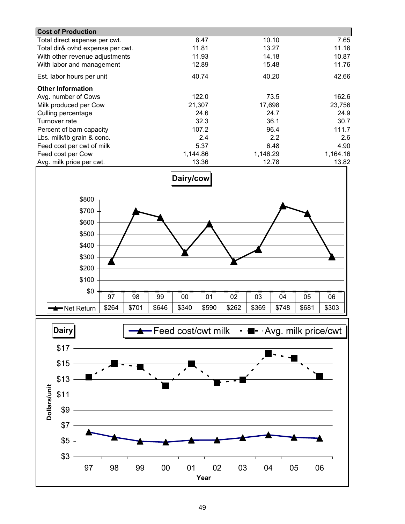| <b>Cost of Production</b>        |          |          |          |
|----------------------------------|----------|----------|----------|
| Total direct expense per cwt.    | 8.47     | 10.10    | 7.65     |
| Total dir& ovhd expense per cwt. | 11.81    | 13.27    | 11.16    |
| With other revenue adjustments   | 11.93    | 14.18    | 10.87    |
| With labor and management        | 12.89    | 15.48    | 11.76    |
| Est. labor hours per unit        | 40.74    | 40.20    | 42.66    |
| <b>Other Information</b>         |          |          |          |
| Avg. number of Cows              | 122.0    | 73.5     | 162.6    |
| Milk produced per Cow            | 21,307   | 17,698   | 23,756   |
| Culling percentage               | 24.6     | 24.7     | 24.9     |
| Turnover rate                    | 32.3     | 36.1     | 30.7     |
| Percent of barn capacity         | 107.2    | 96.4     | 111.7    |
| Lbs. milk/lb grain & conc.       | 2.4      | 2.2      | 2.6      |
| Feed cost per cwt of milk        | 5.37     | 6.48     | 4.90     |
| Feed cost per Cow                | 1,144.86 | 1,146.29 | 1,164.16 |
| Avg. milk price per cwt.         | 13.36    | 12.78    | 13.82    |



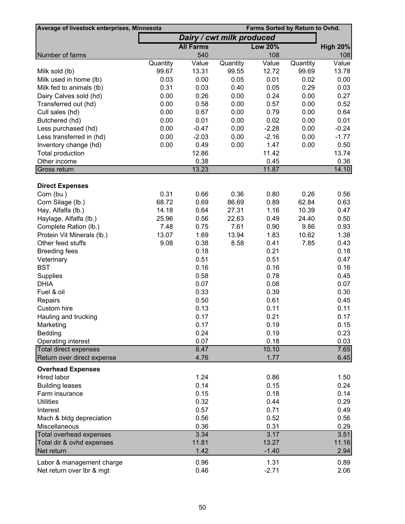| Average of livestock enterprises, Minnesota         |          |                  |                           | Farms Sorted by Return to Ovhd. |          |                 |
|-----------------------------------------------------|----------|------------------|---------------------------|---------------------------------|----------|-----------------|
|                                                     |          |                  | Dairy / cwt milk produced |                                 |          |                 |
|                                                     |          | <b>All Farms</b> |                           | <b>Low 20%</b>                  |          | <b>High 20%</b> |
| Number of farms                                     |          | 540              |                           | 108                             |          | 108             |
|                                                     | Quantity | Value            | Quantity                  | Value                           | Quantity | Value           |
| Milk sold (lb)                                      | 99.67    | 13.31            | 99.55                     | 12.72                           | 99.69    | 13.78           |
| Milk used in home (lb)                              | 0.03     | 0.00             | 0.05                      | 0.01                            | 0.02     | 0.00            |
| Milk fed to animals (lb)                            | 0.31     | 0.03             | 0.40                      | 0.05                            | 0.29     | 0.03            |
| Dairy Calves sold (hd)                              | 0.00     | 0.26             | 0.00                      | 0.24                            | 0.00     | 0.27            |
| Transferred out (hd)                                | 0.00     | 0.58             | 0.00                      | 0.57                            | 0.00     | 0.52            |
| Cull sales (hd)                                     | 0.00     | 0.67             | 0.00                      | 0.79                            | 0.00     | 0.64            |
| Butchered (hd)                                      | 0.00     | 0.01             | 0.00                      | 0.02                            | 0.00     | 0.01            |
| Less purchased (hd)                                 | 0.00     | $-0.47$          | 0.00                      | $-2.28$                         | 0.00     | $-0.24$         |
| Less transferred in (hd)                            | 0.00     | $-2.03$          | 0.00                      | $-2.16$                         | 0.00     | $-1.77$         |
| Inventory change (hd)                               | 0.00     | 0.49             | 0.00                      | 1.47                            | 0.00     | 0.50            |
| Total production                                    |          | 12.86            |                           | 11.42                           |          | 13.74           |
| Other income                                        |          | 0.38             |                           | 0.45                            |          | 0.36            |
| Gross return                                        |          | 13.23            |                           | 11.87                           |          | 14.10           |
|                                                     |          |                  |                           |                                 |          |                 |
| <b>Direct Expenses</b><br>Corn (bu.)                | 0.31     | 0.66             | 0.36                      | 0.80                            | 0.26     | 0.56            |
|                                                     | 68.72    |                  | 86.69                     | 0.89                            | 62.84    |                 |
| Corn Silage (lb.)                                   |          | 0.69             | 27.31                     | 1.16                            |          | 0.63            |
| Hay, Alfalfa (lb.)                                  | 14.18    | 0.64             |                           |                                 | 10.39    | 0.47            |
| Haylage, Alfalfa (lb.)                              | 25.96    | 0.56             | 22.63                     | 0.49                            | 24.40    | 0.50            |
| Complete Ration (lb.)                               | 7.48     | 0.75             | 7.61                      | 0.90                            | 9.86     | 0.93            |
| Protein Vit Minerals (lb.)                          | 13.07    | 1.69             | 13.94                     | 1.83                            | 10.62    | 1.38            |
| Other feed stuffs                                   | 9.08     | 0.38             | 8.58                      | 0.41                            | 7.85     | 0.43            |
| <b>Breeding fees</b>                                |          | 0.18             |                           | 0.21                            |          | 0.18            |
| Veterinary                                          |          | 0.51             |                           | 0.51                            |          | 0.47            |
| <b>BST</b>                                          |          | 0.16             |                           | 0.16                            |          | 0.16            |
| Supplies                                            |          | 0.58             |                           | 0.78                            |          | 0.45            |
| <b>DHIA</b>                                         |          | 0.07             |                           | 0.08                            |          | 0.07            |
| Fuel & oil                                          |          | 0.33             |                           | 0.39                            |          | 0.30            |
| Repairs                                             |          | 0.50             |                           | 0.61                            |          | 0.45            |
| Custom hire                                         |          | 0.13             |                           | 0.11                            |          | 0.11            |
| Hauling and trucking                                |          | 0.17             |                           | 0.21                            |          | 0.17            |
| Marketing                                           |          | 0.17             |                           | 0.19                            |          | 0.15            |
| <b>Bedding</b>                                      |          | 0.24             |                           | 0.19                            |          | 0.23            |
| Operating interest                                  |          | 0.07             |                           | 0.18                            |          | 0.03            |
| Total direct expenses<br>Return over direct expense |          | 8.47<br>4.76     |                           | 10.10<br>1.77                   |          | 7.65<br>6.45    |
|                                                     |          |                  |                           |                                 |          |                 |
| <b>Overhead Expenses</b>                            |          |                  |                           |                                 |          |                 |
| Hired labor                                         |          | 1.24             |                           | 0.86                            |          | 1.50            |
| <b>Building leases</b>                              |          | 0.14             |                           | 0.15                            |          | 0.24            |
| Farm insurance                                      |          | 0.15             |                           | 0.18                            |          | 0.14            |
| <b>Utilities</b>                                    |          | 0.32             |                           | 0.44                            |          | 0.29            |
| Interest                                            |          | 0.57             |                           | 0.71                            |          | 0.49            |
| Mach & bldg depreciation                            |          | 0.56             |                           | 0.52                            |          | 0.56            |
| Miscellaneous                                       |          | 0.36             |                           | 0.31                            |          | 0.29            |
| <b>Total overhead expenses</b>                      |          | 3.34             |                           | 3.17                            |          | 3.51            |
| Total dir & ovhd expenses                           |          | 11.81            |                           | 13.27                           |          | 11.16           |
| Net return                                          |          | 1.42             |                           | $-1.40$                         |          | 2.94            |
| Labor & management charge                           |          | 0.96             |                           | 1.31                            |          | 0.89            |
| Net return over Ibr & mgt                           |          | 0.46             |                           | $-2.71$                         |          | 2.06            |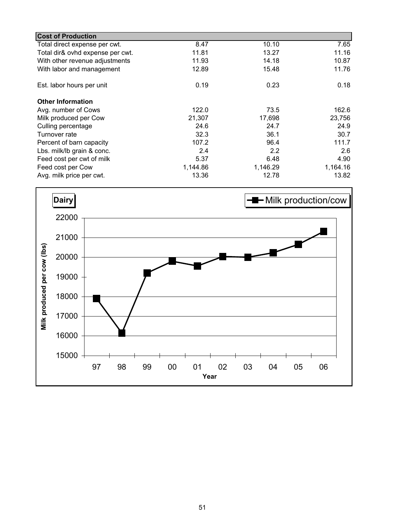| <b>Cost of Production</b>        |          |          |          |
|----------------------------------|----------|----------|----------|
| Total direct expense per cwt.    | 8.47     | 10.10    | 7.65     |
| Total dir& ovhd expense per cwt. | 11.81    | 13.27    | 11.16    |
| With other revenue adjustments   | 11.93    | 14.18    | 10.87    |
| With labor and management        | 12.89    | 15.48    | 11.76    |
| Est. labor hours per unit        | 0.19     | 0.23     | 0.18     |
| <b>Other Information</b>         |          |          |          |
| Avg. number of Cows              | 122.0    | 73.5     | 162.6    |
| Milk produced per Cow            | 21,307   | 17,698   | 23,756   |
| Culling percentage               | 24.6     | 24.7     | 24.9     |
| Turnover rate                    | 32.3     | 36.1     | 30.7     |
| Percent of barn capacity         | 107.2    | 96.4     | 111.7    |
| Lbs. milk/lb grain & conc.       | 2.4      | 2.2      | 2.6      |
| Feed cost per cwt of milk        | 5.37     | 6.48     | 4.90     |
| Feed cost per Cow                | 1,144.86 | 1,146.29 | 1,164.16 |
| Avg. milk price per cwt.         | 13.36    | 12.78    | 13.82    |

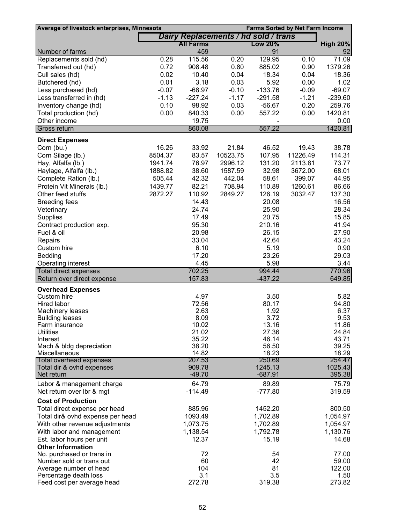| Average of livestock enterprises, Minnesota         |         |                                      |          | <b>Farms Sorted by Net Farm Income</b> |          |                  |
|-----------------------------------------------------|---------|--------------------------------------|----------|----------------------------------------|----------|------------------|
|                                                     |         | Dairy Replacements / hd sold / trans |          |                                        |          |                  |
|                                                     |         | All Farms                            |          | <b>Low 20%</b>                         |          | <b>High 20%</b>  |
| Number of farms                                     |         | 459                                  |          | 91                                     |          | 92               |
| Replacements sold (hd)                              | 0.28    | 115.56                               | 0.20     | 129.95                                 | 0.10     | 71.09            |
| Transferred out (hd)                                | 0.72    | 908.48                               | 0.80     | 885.02                                 | 0.90     | 1379.26          |
| Cull sales (hd)                                     | 0.02    | 10.40                                | 0.04     | 18.34                                  | 0.04     | 18.36            |
| Butchered (hd)                                      | 0.01    | 3.18                                 | 0.03     | 5.92                                   | 0.00     | 1.02             |
| Less purchased (hd)                                 | $-0.07$ | $-68.97$                             | $-0.10$  | $-133.76$                              | $-0.09$  | $-69.07$         |
| Less transferred in (hd)                            | $-1.13$ | $-227.24$                            | $-1.17$  | $-291.58$                              | $-1.21$  | $-239.60$        |
| Inventory change (hd)                               | 0.10    | 98.92                                | 0.03     | $-56.67$                               | 0.20     | 259.76           |
| Total production (hd)                               | 0.00    | 840.33                               | 0.00     | 557.22                                 | 0.00     | 1420.81          |
| Other income                                        |         | 19.75                                |          |                                        |          | 0.00             |
| Gross return                                        |         | 860.08                               |          | 557.22                                 |          | 1420.81          |
| <b>Direct Expenses</b>                              |         |                                      |          |                                        |          |                  |
| Corn (bu.)                                          | 16.26   | 33.92                                | 21.84    | 46.52                                  | 19.43    | 38.78            |
| Corn Silage (lb.)                                   | 8504.37 | 83.57                                | 10523.75 | 107.95                                 | 11226.49 | 114.31           |
| Hay, Alfalfa (lb.)                                  | 1941.74 | 76.97                                | 2996.12  | 131.20                                 | 2113.81  | 73.77            |
| Haylage, Alfalfa (lb.)                              | 1888.82 | 38.60                                | 1587.59  | 32.98                                  | 3672.00  | 68.01            |
| Complete Ration (lb.)                               | 505.44  | 42.32                                | 442.04   | 58.61                                  | 399.07   | 44.95            |
| Protein Vit Minerals (lb.)                          | 1439.77 | 82.21                                | 708.94   | 110.89                                 | 1260.61  | 86.66            |
| Other feed stuffs                                   | 2872.27 | 110.92                               | 2849.27  | 126.19                                 | 3032.47  | 137.30           |
| <b>Breeding fees</b>                                |         | 14.43                                |          | 20.08                                  |          | 16.56            |
| Veterinary                                          |         | 24.74                                |          | 25.90                                  |          | 28.34            |
| Supplies                                            |         | 17.49                                |          | 20.75                                  |          | 15.85            |
| Contract production exp.                            |         | 95.30                                |          | 210.16                                 |          | 41.94            |
| Fuel & oil                                          |         | 20.98                                |          | 26.15                                  |          | 27.90            |
| Repairs                                             |         | 33.04                                |          | 42.64                                  |          | 43.24            |
| Custom hire                                         |         | 6.10                                 |          | 5.19                                   |          | 0.90             |
| Bedding                                             |         | 17.20                                |          | 23.26                                  |          | 29.03            |
| Operating interest                                  |         | 4.45                                 |          | 5.98                                   |          | 3.44             |
| Total direct expenses<br>Return over direct expense |         | 702.25<br>157.83                     |          | 994.44<br>$-437.22$                    |          | 770.96<br>649.85 |
|                                                     |         |                                      |          |                                        |          |                  |
| <b>Overhead Expenses</b><br>Custom hire             |         | 4.97                                 |          | 3.50                                   |          | 5.82             |
| Hired labor                                         |         | 72.56                                |          | 80.17                                  |          | 94.80            |
| Machinery leases                                    |         | 2.63                                 |          | 1.92                                   |          | 6.37             |
| <b>Building leases</b>                              |         | 8.09                                 |          | 3.72                                   |          | 9.53             |
| Farm insurance                                      |         | 10.02                                |          | 13.16                                  |          | 11.86            |
| <b>Utilities</b>                                    |         | 21.02                                |          | 27.36                                  |          | 24.84            |
| Interest                                            |         | 35.22                                |          | 46.14                                  |          | 43.71            |
| Mach & bldg depreciation<br>Miscellaneous           |         | 38.20<br>14.82                       |          | 56.50<br>18.23                         |          | 39.25<br>18.29   |
| <b>Total overhead expenses</b>                      |         | 207.53                               |          | 250.69                                 |          | 254.47           |
| Total dir & ovhd expenses                           |         | 909.78                               |          | 1245.13                                |          | 1025.43          |
| Net return                                          |         | $-49.70$                             |          | $-687.91$                              |          | 395.38           |
| Labor & management charge                           |         | 64.79                                |          | 89.89                                  |          | 75.79            |
| Net return over Ibr & mgt                           |         | $-114.49$                            |          | $-777.80$                              |          | 319.59           |
| <b>Cost of Production</b>                           |         |                                      |          |                                        |          |                  |
| Total direct expense per head                       |         | 885.96                               |          | 1452.20                                |          | 800.50           |
| Total dir& ovhd expense per head                    |         | 1093.49                              |          | 1,702.89                               |          | 1,054.97         |
| With other revenue adjustments                      |         | 1,073.75                             |          | 1,702.89                               |          | 1,054.97         |
| With labor and management                           |         | 1,138.54                             |          | 1,792.78                               |          | 1,130.76         |
| Est. labor hours per unit                           |         | 12.37                                |          | 15.19                                  |          | 14.68            |
| <b>Other Information</b>                            |         |                                      |          |                                        |          |                  |
| No. purchased or trans in                           |         | 72                                   |          | 54                                     |          | 77.00            |
| Number sold or trans out                            |         | 60                                   |          | 42                                     |          | 59.00            |
| Average number of head<br>Percentage death loss     |         | 104<br>3.1                           |          | 81<br>3.5                              |          | 122.00<br>1.50   |
| Feed cost per average head                          |         | 272.78                               |          | 319.38                                 |          | 273.82           |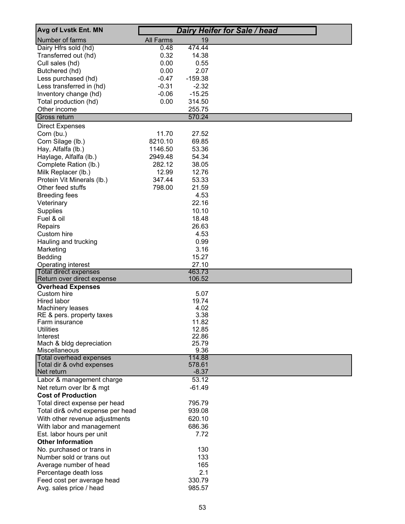| Avg of Lvstk Ent. MN                               |                  |                   | <b>Dairy Heifer for Sale / head</b> |
|----------------------------------------------------|------------------|-------------------|-------------------------------------|
| Number of farms                                    | <b>All Farms</b> | 19                |                                     |
| Dairy Hfrs sold (hd)                               | 0.48             | 474.44            |                                     |
| Transferred out (hd)                               | 0.32             | 14.38             |                                     |
| Cull sales (hd)                                    | 0.00             | 0.55              |                                     |
| Butchered (hd)                                     | 0.00             | 2.07              |                                     |
| Less purchased (hd)                                | $-0.47$          | $-159.38$         |                                     |
| Less transferred in (hd)                           | $-0.31$          | $-2.32$           |                                     |
| Inventory change (hd)                              | $-0.06$          | $-15.25$          |                                     |
| Total production (hd)                              | 0.00             | 314.50            |                                     |
| Other income<br>Gross return                       |                  | 255.75<br>570.24  |                                     |
|                                                    |                  |                   |                                     |
| <b>Direct Expenses</b><br>Corn (bu.)               | 11.70            | 27.52             |                                     |
| Corn Silage (lb.)                                  | 8210.10          | 69.85             |                                     |
| Hay, Alfalfa (lb.)                                 | 1146.50          | 53.36             |                                     |
| Haylage, Alfalfa (lb.)                             | 2949.48          | 54.34             |                                     |
| Complete Ration (lb.)                              | 282.12           | 38.05             |                                     |
| Milk Replacer (lb.)                                | 12.99            | 12.76             |                                     |
| Protein Vit Minerals (lb.)                         | 347.44           | 53.33             |                                     |
| Other feed stuffs                                  | 798.00           | 21.59             |                                     |
| <b>Breeding fees</b>                               |                  | 4.53              |                                     |
| Veterinary                                         |                  | 22.16             |                                     |
| Supplies                                           |                  | 10.10             |                                     |
| Fuel & oil                                         |                  | 18.48             |                                     |
| Repairs                                            |                  | 26.63             |                                     |
| Custom hire                                        |                  | 4.53              |                                     |
| Hauling and trucking                               |                  | 0.99              |                                     |
| Marketing                                          |                  | 3.16              |                                     |
| Bedding                                            |                  | 15.27             |                                     |
| Operating interest<br><b>Total direct expenses</b> |                  | 27.10<br>463.73   |                                     |
| Return over direct expense                         |                  | 106.52            |                                     |
| <b>Overhead Expenses</b>                           |                  |                   |                                     |
| Custom hire                                        |                  | 5.07              |                                     |
| Hired labor                                        |                  | 19.74             |                                     |
| <b>Machinery leases</b>                            |                  | 4.02<br>3.38      |                                     |
| RE & pers. property taxes<br><b>Farm insurance</b> |                  | 11.82             |                                     |
| <b>Utilities</b>                                   |                  | 12.85             |                                     |
| Interest                                           |                  | 22.86             |                                     |
| Mach & bldg depreciation                           |                  | 25.79             |                                     |
| Miscellaneous                                      |                  | 9.36              |                                     |
| Total overhead expenses                            |                  | 114.88            |                                     |
| Total dir & ovhd expenses<br>Net return            |                  | 578.61<br>$-8.37$ |                                     |
| Labor & management charge                          |                  | 53.12             |                                     |
| Net return over Ibr & mgt                          |                  | $-61.49$          |                                     |
| <b>Cost of Production</b>                          |                  |                   |                                     |
| Total direct expense per head                      |                  | 795.79            |                                     |
| Total dir& ovhd expense per head                   |                  | 939.08            |                                     |
| With other revenue adjustments                     |                  | 620.10            |                                     |
| With labor and management                          |                  | 686.36            |                                     |
| Est. labor hours per unit                          |                  | 7.72              |                                     |
| <b>Other Information</b>                           |                  |                   |                                     |
| No. purchased or trans in                          |                  | 130               |                                     |
| Number sold or trans out                           |                  | 133               |                                     |
| Average number of head                             |                  | 165               |                                     |
| Percentage death loss                              |                  | 2.1               |                                     |
| Feed cost per average head                         |                  | 330.79<br>985.57  |                                     |
| Avg. sales price / head                            |                  |                   |                                     |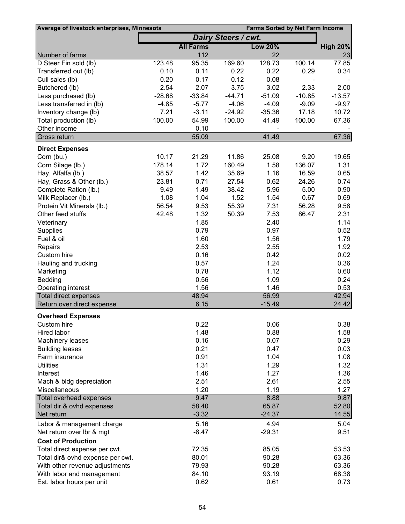| Average of livestock enterprises, Minnesota            |          |                  |                            |                   | <b>Farms Sorted by Net Farm Income</b> |                 |
|--------------------------------------------------------|----------|------------------|----------------------------|-------------------|----------------------------------------|-----------------|
|                                                        |          |                  | <b>Dairy Steers / cwt.</b> |                   |                                        |                 |
|                                                        |          | <b>All Farms</b> |                            | <b>Low 20%</b>    |                                        | <b>High 20%</b> |
| Number of farms                                        |          | 112              |                            | 22                |                                        | 23              |
| D Steer Fin sold (lb)                                  | 123.48   | 95.35            | 169.60                     | 128.73            | 100.14                                 | 77.85           |
| Transferred out (lb)                                   | 0.10     | 0.11             | 0.22                       | 0.22              | 0.29                                   | 0.34            |
| Cull sales (lb)                                        | 0.20     | 0.17             | 0.12                       | 0.08              |                                        |                 |
| Butchered (lb)                                         | 2.54     | 2.07             | 3.75                       | 3.02              | 2.33                                   | 2.00            |
| Less purchased (lb)                                    | $-28.68$ | $-33.84$         | $-44.71$                   | $-51.09$          | $-10.85$                               | $-13.57$        |
| Less transferred in (lb)                               | $-4.85$  | $-5.77$          | $-4.06$                    | $-4.09$           | $-9.09$                                | $-9.97$         |
| Inventory change (lb)                                  | 7.21     | $-3.11$          | $-24.92$                   | $-35.36$          | 17.18                                  | 10.72           |
| Total production (lb)                                  | 100.00   | 54.99            | 100.00                     | 41.49             | 100.00                                 | 67.36           |
| Other income                                           |          | 0.10             |                            |                   |                                        |                 |
| Gross return                                           |          | 55.09            |                            | 41.49             |                                        | 67.36           |
| <b>Direct Expenses</b>                                 |          |                  |                            |                   |                                        |                 |
| Corn (bu.)                                             | 10.17    | 21.29            | 11.86                      | 25.08             | 9.20                                   | 19.65           |
| Corn Silage (lb.)                                      | 178.14   | 1.72             | 160.49                     | 1.58              | 136.07                                 | 1.31            |
| Hay, Alfalfa (lb.)                                     | 38.57    | 1.42             | 35.69                      | 1.16              | 16.59                                  | 0.65            |
| Hay, Grass & Other (lb.)                               | 23.81    | 0.71             | 27.54                      | 0.62              | 24.26                                  | 0.74            |
| Complete Ration (lb.)                                  | 9.49     | 1.49             | 38.42                      | 5.96              | 5.00                                   | 0.90            |
| Milk Replacer (lb.)                                    | 1.08     | 1.04             | 1.52                       | 1.54              | 0.67                                   | 0.69            |
| Protein Vit Minerals (lb.)                             | 56.54    | 9.53             | 55.39                      | 7.31              | 56.28                                  | 9.58            |
| Other feed stuffs                                      | 42.48    | 1.32             | 50.39                      | 7.53              | 86.47                                  | 2.31            |
| Veterinary                                             |          | 1.85             |                            | 2.40              |                                        | 1.14            |
| Supplies                                               |          | 0.79             |                            | 0.97              |                                        | 0.52            |
| Fuel & oil                                             |          | 1.60             |                            | 1.56              |                                        | 1.79            |
| Repairs                                                |          | 2.53             |                            | 2.55              |                                        | 1.92            |
| Custom hire                                            |          | 0.16             |                            | 0.42              |                                        | 0.02            |
| Hauling and trucking                                   |          | 0.57             |                            | 1.24              |                                        | 0.36            |
| Marketing                                              |          | 0.78             |                            | 1.12              |                                        | 0.60            |
| Bedding                                                |          | 0.56             |                            | 1.09              |                                        | 0.24            |
| Operating interest                                     |          | 1.56             |                            | 1.46              |                                        | 0.53            |
| <b>Total direct expenses</b>                           |          | 48.94            |                            | 56.99<br>$-15.49$ |                                        | 42.94           |
| Return over direct expense                             |          | 6.15             |                            |                   |                                        | 24.42           |
| <b>Overhead Expenses</b>                               |          |                  |                            |                   |                                        |                 |
| Custom hire                                            |          | 0.22             |                            | 0.06              |                                        | 0.38            |
| Hired labor                                            |          | 1.48             |                            | 0.88              |                                        | 1.58            |
| Machinery leases                                       |          | 0.16             |                            | 0.07              |                                        | 0.29            |
| <b>Building leases</b>                                 |          | 0.21             |                            | 0.47              |                                        | 0.03            |
| Farm insurance                                         |          | 0.91             |                            | 1.04              |                                        | 1.08            |
| <b>Utilities</b>                                       |          | 1.31             |                            | 1.29              |                                        | 1.32            |
| Interest                                               |          | 1.46             |                            | 1.27              |                                        | 1.36            |
| Mach & bldg depreciation                               |          | 2.51             |                            | 2.61              |                                        | 2.55            |
| Miscellaneous                                          |          | 1.20<br>9.47     |                            | 1.19<br>8.88      |                                        | 1.27<br>9.87    |
| Total overhead expenses<br>Total dir & ovhd expenses   |          | 58.40            |                            | 65.87             |                                        | 52.80           |
| Net return                                             |          | $-3.32$          |                            | $-24.37$          |                                        | 14.55           |
|                                                        |          | 5.16             |                            | 4.94              |                                        | 5.04            |
| Labor & management charge<br>Net return over Ibr & mgt |          | $-8.47$          |                            | $-29.31$          |                                        | 9.51            |
| <b>Cost of Production</b>                              |          |                  |                            |                   |                                        |                 |
| Total direct expense per cwt.                          |          | 72.35            |                            | 85.05             |                                        | 53.53           |
| Total dir& ovhd expense per cwt.                       |          | 80.01            |                            | 90.28             |                                        | 63.36           |
| With other revenue adjustments                         |          | 79.93            |                            | 90.28             |                                        | 63.36           |
| With labor and management                              |          | 84.10            |                            | 93.19             |                                        | 68.38           |
| Est. labor hours per unit                              |          | 0.62             |                            | 0.61              |                                        | 0.73            |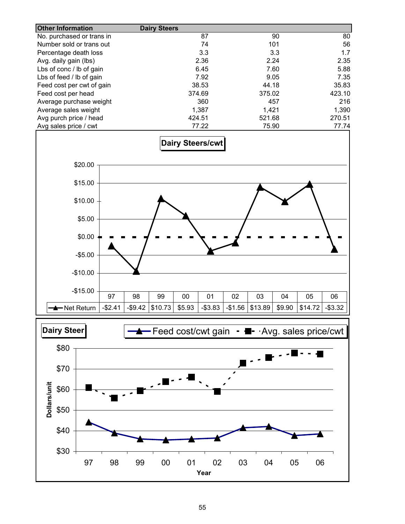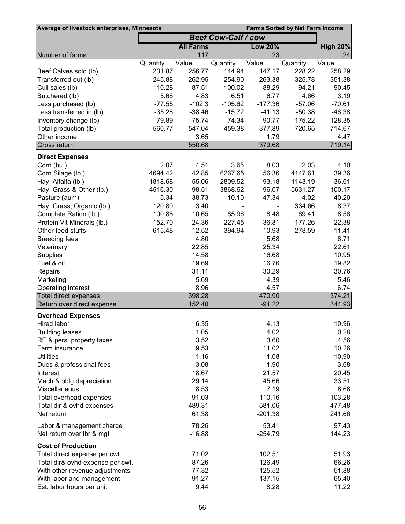| Average of livestock enterprises, Minnesota<br><b>Farms Sorted by Net Farm Income</b> |                            |                   |                   |                       |                    |                    |
|---------------------------------------------------------------------------------------|----------------------------|-------------------|-------------------|-----------------------|--------------------|--------------------|
|                                                                                       | <b>Beef Cow-Calf / cow</b> |                   |                   |                       |                    |                    |
|                                                                                       |                            | <b>All Farms</b>  |                   | <b>Low 20%</b>        |                    | <b>High 20%</b>    |
| Number of farms                                                                       |                            | 117               |                   | 23                    |                    | 24                 |
|                                                                                       | Quantity                   | Value             | Quantity          | Value                 | Quantity           | Value              |
| Beef Calves sold (lb)                                                                 | 231.87                     | 256.77            | 144.94            | 147.17                | 228.22             | 258.29             |
| Transferred out (lb)                                                                  | 245.88                     | 262.95            | 254.90            | 263.38                | 325.78             | 351.38             |
| Cull sales (lb)                                                                       | 110.28                     | 87.51             | 100.02            | 88.29                 | 94.21              | 90.45              |
| Butchered (lb)                                                                        | 5.68                       | 4.83              | 6.51              | 6.77                  | 4.66               | 3.19               |
| Less purchased (lb)                                                                   | $-77.55$                   | $-102.3$          | $-105.62$         | $-177.36$<br>$-41.13$ | $-57.06$           | $-70.61$           |
| Less transferred in (lb)<br>Inventory change (lb)                                     | $-35.28$<br>79.89          | $-38.46$<br>75.74 | $-15.72$<br>74.34 | 90.77                 | $-50.38$<br>175.22 | $-46.38$<br>128.35 |
| Total production (lb)                                                                 | 560.77                     | 547.04            | 459.38            | 377.89                | 720.65             | 714.67             |
| Other income                                                                          |                            | 3.65              |                   | 1.79                  |                    | 4.47               |
| Gross return                                                                          |                            | 550.68            |                   | 379.68                |                    | 719.14             |
|                                                                                       |                            |                   |                   |                       |                    |                    |
| <b>Direct Expenses</b>                                                                |                            |                   |                   |                       |                    |                    |
| Corn (bu.)                                                                            | 2.07<br>4694.42            | 4.51<br>42.85     | 3.65<br>6267.65   | 8.03<br>56.36         | 2.03<br>4147.61    | 4.10<br>39.36      |
| Corn Silage (lb.)                                                                     | 1818.68                    | 55.06             | 2809.52           | 93.18                 | 1143.19            | 36.61              |
| Hay, Alfalfa (lb.)<br>Hay, Grass & Other (lb.)                                        | 4516.30                    | 98.51             | 3868.62           | 96.07                 | 5631.27            | 100.17             |
| Pasture (aum)                                                                         | 5.34                       | 38.73             | 10.10             | 47.34                 | 4.02               | 40.20              |
| Hay, Grass, Organic (lb.)                                                             | 120.80                     | 3.40              |                   |                       | 334.66             | 8.37               |
| Complete Ration (lb.)                                                                 | 100.88                     | 10.65             | 85.96             | 8.48                  | 69.41              | 8.56               |
| Protein Vit Minerals (lb.)                                                            | 152.70                     | 24.36             | 227.45            | 36.81                 | 177.26             | 22.38              |
| Other feed stuffs                                                                     | 615.48                     | 12.52             | 394.94            | 10.93                 | 278.59             | 11.41              |
| <b>Breeding fees</b>                                                                  |                            | 4.80              |                   | 5.68                  |                    | 6.71               |
| Veterinary                                                                            |                            | 22.85             |                   | 25.34                 |                    | 22.61              |
| Supplies                                                                              |                            | 14.58             |                   | 16.68                 |                    | 10.95              |
| Fuel & oil                                                                            |                            | 19.69             |                   | 16.76                 |                    | 19.82              |
| Repairs                                                                               |                            | 31.11             |                   | 30.29                 |                    | 30.76              |
| Marketing                                                                             |                            | 5.69              |                   | 4.39                  |                    | 5.46               |
| Operating interest                                                                    |                            | 8.96              |                   | 14.57                 |                    | 6.74               |
| <b>Total direct expenses</b>                                                          |                            | 398.28            |                   | 470.90                |                    | 374.21             |
| Return over direct expense                                                            |                            | 152.40            |                   | $-91.22$              |                    | 344.93             |
| <b>Overhead Expenses</b>                                                              |                            |                   |                   |                       |                    |                    |
| Hired labor                                                                           |                            | 6.35              |                   | 4.13                  |                    | 10.96              |
| <b>Building leases</b>                                                                |                            | 1.05              |                   | 4.02                  |                    | 0.28               |
| RE & pers. property taxes                                                             |                            | 3.52              |                   | 3.60                  |                    | 4.56               |
| Farm insurance                                                                        |                            | 9.53              |                   | 11.02                 |                    | 10.26              |
| <b>Utilities</b>                                                                      |                            | 11.16             |                   | 11.08                 |                    | 10.90              |
| Dues & professional fees                                                              |                            | 3.08              |                   | 1.90                  |                    | 3.68               |
| Interest                                                                              |                            | 18.67             |                   | 21.57                 |                    | 20.45              |
| Mach & bldg depreciation                                                              |                            | 29.14             |                   | 45.66                 |                    | 33.51              |
| Miscellaneous                                                                         |                            | 8.53              |                   | 7.19                  |                    | 8.68               |
| Total overhead expenses                                                               |                            | 91.03             |                   | 110.16                |                    | 103.28             |
| Total dir & ovhd expenses                                                             |                            | 489.31            |                   | 581.06                |                    | 477.48             |
| Net return                                                                            |                            | 61.38             |                   | $-201.38$             |                    | 241.66             |
| Labor & management charge                                                             |                            | 78.26             |                   | 53.41                 |                    | 97.43              |
| Net return over Ibr & mgt                                                             |                            | $-16.88$          |                   | $-254.79$             |                    | 144.23             |
| <b>Cost of Production</b>                                                             |                            |                   |                   |                       |                    |                    |
| Total direct expense per cwt.                                                         |                            | 71.02             |                   | 102.51                |                    | 51.93              |
| Total dir& ovhd expense per cwt.                                                      |                            | 87.26             |                   | 126.49                |                    | 66.26              |
| With other revenue adjustments                                                        |                            | 77.32             |                   | 125.52                |                    | 51.88              |
| With labor and management                                                             |                            | 91.27             |                   | 137.15                |                    | 65.40              |
| Est. labor hours per unit                                                             |                            | 9.44              |                   | 8.28                  |                    | 11.22              |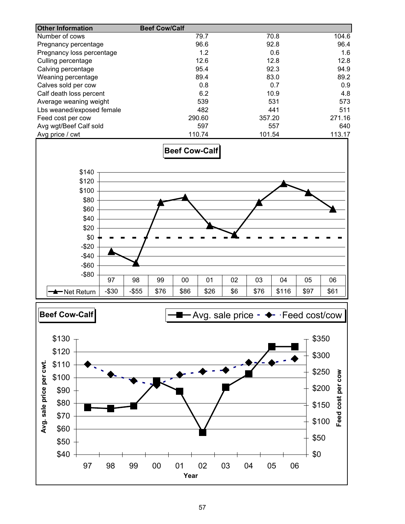| <b>Other Information</b>  | <b>Beef Cow/Calf</b> |        |        |
|---------------------------|----------------------|--------|--------|
| Number of cows            | 79.7                 | 70.8   | 104.6  |
| Pregnancy percentage      | 96.6                 | 92.8   | 96.4   |
| Pregnancy loss percentage | 1.2                  | 0.6    | 1.6    |
| Culling percentage        | 12.6                 | 12.8   | 12.8   |
| Calving percentage        | 95.4                 | 92.3   | 94.9   |
| Weaning percentage        | 89.4                 | 83.0   | 89.2   |
| Calves sold per cow       | 0.8                  | 0.7    | 0.9    |
| Calf death loss percent   | 6.2                  | 10.9   | 4.8    |
| Average weaning weight    | 539                  | 531    | 573    |
| Lbs weaned/exposed female | 482                  | 441    | 511    |
| Feed cost per cow         | 290.60               | 357.20 | 271.16 |
| Avg wgt/Beef Calf sold    | 597                  | 557    | 640    |
| Avg price / cwt           | 110.74               | 101.54 | 113.17 |



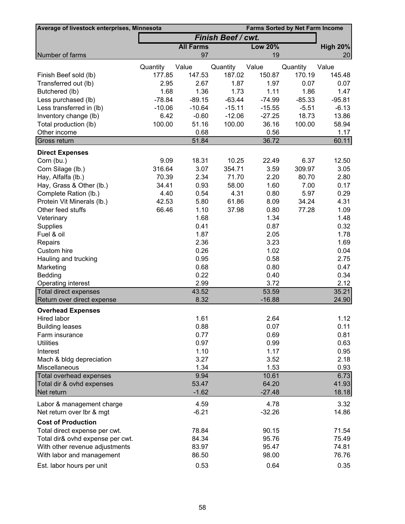| Average of livestock enterprises, Minnesota<br><b>Farms Sorted by Net Farm Income</b> |          |                  |                           |                |          |                 |
|---------------------------------------------------------------------------------------|----------|------------------|---------------------------|----------------|----------|-----------------|
|                                                                                       |          |                  | <b>Finish Beef / cwt.</b> |                |          |                 |
|                                                                                       |          | <b>All Farms</b> |                           | <b>Low 20%</b> |          | <b>High 20%</b> |
| Number of farms                                                                       |          | 97               |                           | 19             |          | 20              |
|                                                                                       | Quantity | Value            | Quantity                  | Value          | Quantity | Value           |
| Finish Beef sold (lb)                                                                 | 177.85   | 147.53           | 187.02                    | 150.87         | 170.19   | 145.48          |
| Transferred out (lb)                                                                  | 2.95     | 2.67             | 1.87                      | 1.97           | 0.07     | 0.07            |
| Butchered (lb)                                                                        | 1.68     | 1.36             | 1.73                      | 1.11           | 1.86     | 1.47            |
| Less purchased (lb)                                                                   | $-78.84$ | $-89.15$         | $-63.44$                  | $-74.99$       | $-85.33$ | $-95.81$        |
| Less transferred in (lb)                                                              | $-10.06$ | $-10.64$         | $-15.11$                  | $-15.55$       | $-5.51$  | $-6.13$         |
| Inventory change (lb)                                                                 | 6.42     | $-0.60$          | $-12.06$                  | $-27.25$       | 18.73    | 13.86           |
| Total production (lb)                                                                 | 100.00   | 51.16            | 100.00                    | 36.16          | 100.00   | 58.94           |
| Other income                                                                          |          | 0.68             |                           | 0.56           |          | 1.17            |
| Gross return                                                                          |          | 51.84            |                           | 36.72          |          | 60.11           |
|                                                                                       |          |                  |                           |                |          |                 |
| <b>Direct Expenses</b><br>Corn (bu.)                                                  | 9.09     | 18.31            | 10.25                     | 22.49          | 6.37     | 12.50           |
| Corn Silage (lb.)                                                                     | 316.64   | 3.07             | 354.71                    | 3.59           | 309.97   | 3.05            |
|                                                                                       |          |                  |                           |                |          |                 |
| Hay, Alfalfa (lb.)                                                                    | 70.39    | 2.34             | 71.70                     | 2.20           | 80.70    | 2.80            |
| Hay, Grass & Other (lb.)                                                              | 34.41    | 0.93             | 58.00                     | 1.60           | 7.00     | 0.17            |
| Complete Ration (lb.)                                                                 | 4.40     | 0.54             | 4.31                      | 0.80           | 5.97     | 0.29            |
| Protein Vit Minerals (lb.)                                                            | 42.53    | 5.80             | 61.86                     | 8.09           | 34.24    | 4.31            |
| Other feed stuffs                                                                     | 66.46    | 1.10             | 37.98                     | 0.80           | 77.28    | 1.09            |
| Veterinary                                                                            |          | 1.68             |                           | 1.34           |          | 1.48            |
| Supplies                                                                              |          | 0.41             |                           | 0.87           |          | 0.32            |
| Fuel & oil                                                                            |          | 1.87             |                           | 2.05           |          | 1.78            |
| Repairs                                                                               |          | 2.36             |                           | 3.23           |          | 1.69            |
| Custom hire                                                                           |          | 0.26             |                           | 1.02           |          | 0.04            |
| Hauling and trucking                                                                  |          | 0.95             |                           | 0.58           |          | 2.75            |
| Marketing                                                                             |          | 0.68             |                           | 0.80           |          | 0.47            |
| Bedding                                                                               |          | 0.22             |                           | 0.40           |          | 0.34            |
| Operating interest                                                                    |          | 2.99             |                           | 3.72           |          | 2.12            |
| <b>Total direct expenses</b>                                                          |          | 43.52            |                           | 53.59          |          | 35.21           |
| Return over direct expense                                                            |          | 8.32             |                           | $-16.88$       |          | 24.90           |
| <b>Overhead Expenses</b>                                                              |          |                  |                           |                |          |                 |
| Hired labor                                                                           |          | 1.61             |                           | 2.64           |          | 1.12            |
| <b>Building leases</b>                                                                |          | 0.88             |                           | 0.07           |          | 0.11            |
| Farm insurance                                                                        |          | 0.77             |                           | 0.69           |          | 0.81            |
| <b>Utilities</b>                                                                      |          | 0.97             |                           | 0.99           |          | 0.63            |
| Interest                                                                              |          | 1.10             |                           | 1.17           |          | 0.95            |
| Mach & bldg depreciation                                                              |          | 3.27             |                           | 3.52           |          | 2.18            |
| Miscellaneous                                                                         |          | 1.34             |                           | 1.53           |          | 0.93            |
| <b>Total overhead expenses</b>                                                        |          | 9.94             |                           | 10.61          |          | 6.73            |
| Total dir & ovhd expenses                                                             |          | 53.47            |                           | 64.20          |          | 41.93           |
| Net return                                                                            |          | $-1.62$          |                           | $-27.48$       |          | 18.18           |
| Labor & management charge                                                             |          | 4.59             |                           | 4.78           |          | 3.32            |
| Net return over Ibr & mgt                                                             |          | $-6.21$          |                           | $-32.26$       |          | 14.86           |
| <b>Cost of Production</b>                                                             |          |                  |                           |                |          |                 |
| Total direct expense per cwt.                                                         |          | 78.84            |                           | 90.15          |          | 71.54           |
| Total dir& ovhd expense per cwt.                                                      |          | 84.34            |                           | 95.76          |          | 75.49           |
| With other revenue adjustments                                                        |          | 83.97            |                           | 95.47          |          | 74.81           |
| With labor and management                                                             |          | 86.50            |                           | 98.00          |          | 76.76           |
| Est. labor hours per unit                                                             |          | 0.53             |                           | 0.64           |          | 0.35            |
|                                                                                       |          |                  |                           |                |          |                 |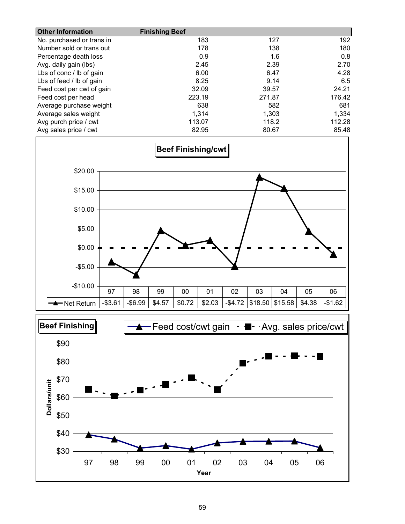| <b>Other Information</b>  | <b>Finishing Beef</b> |        |        |
|---------------------------|-----------------------|--------|--------|
| No. purchased or trans in | 183                   | 127    | 192    |
| Number sold or trans out  | 178                   | 138    | 180    |
| Percentage death loss     | 0.9                   | 1.6    | 0.8    |
| Avg. daily gain (lbs)     | 2.45                  | 2.39   | 2.70   |
| Lbs of conc / lb of gain  | 6.00                  | 6.47   | 4.28   |
| Lbs of feed / lb of gain  | 8.25                  | 9.14   | 6.5    |
| Feed cost per cwt of gain | 32.09                 | 39.57  | 24.21  |
| Feed cost per head        | 223.19                | 271.87 | 176.42 |
| Average purchase weight   | 638                   | 582    | 681    |
| Average sales weight      | 1,314                 | 1.303  | 1,334  |
| Avg purch price / cwt     | 113.07                | 118.2  | 112.28 |
| Avg sales price / cwt     | 82.95                 | 80.67  | 85.48  |